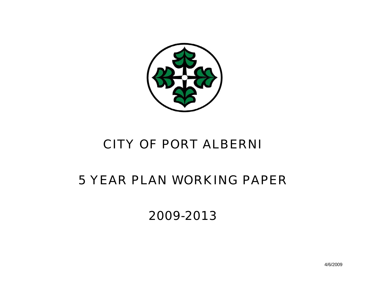

## *CITY OF PORT ALBERNI*

# *5 YEAR PLAN WORKING PAPER*

*2009-2013*

4/6/2009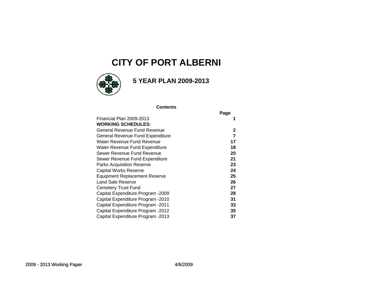### **CITY OF PORT ALBERNI**



### **5 YEAR PLAN 2009-2013**

#### **Contents**

|                                      | Page |
|--------------------------------------|------|
| Financial Plan 2009-2013             |      |
| <b>WORKING SCHEDULES:</b>            |      |
| General Revenue Fund Revenue         | 2    |
| General Revenue Fund Expenditure     | 7    |
| Water Revenue Fund Revenue           | 17   |
| Water Revenue Fund Expenditure       | 18   |
| Sewer Revenue Fund Revenue           | 20   |
| Sewer Revenue Fund Expenditure       | 21   |
| <b>Parks Acquisition Reserve</b>     | 23   |
| Capital Works Reserve                | 24   |
| <b>Equipment Replacement Reserve</b> | 25   |
| Land Sale Reserve                    | 26   |
| Cemetery Trust Fund                  | 27   |
| Capital Expenditure Program -2009    | 28   |
| Capital Expenditure Program -2010    | 31   |
| Capital Expenditure Program -2011    | 33   |
| Capital Expenditure Program -2012    | 35   |
| Capital Expenditure Program -2013    | 37   |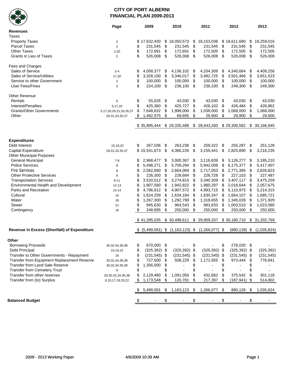

#### **CITY OF PORT ALBERNI FINANCIAL PLAN 2009-2013**

| ▼                                            | Page                          |    | 2009            |      | 2010                              |      | 2011             | 2012                  |      | 2013         |
|----------------------------------------------|-------------------------------|----|-----------------|------|-----------------------------------|------|------------------|-----------------------|------|--------------|
| <b>Revenues</b>                              |                               |    |                 |      |                                   |      |                  |                       |      |              |
| Taxes                                        |                               |    |                 |      |                                   |      |                  |                       |      |              |
| <b>Property Taxes</b>                        | $\overline{2}$                |    | \$17,632,430    |      | \$18,050,573                      | \$   | 18,153,036       | \$18,611,680          | \$   | 19,259,016   |
|                                              |                               |    |                 |      |                                   |      |                  |                       |      |              |
| <b>Parcel Taxes</b>                          | $\overline{2}$                | \$ | 231,545         | \$   | 231,545                           | \$   | 231,545          | \$<br>231,545         | \$   | 231,545      |
| <b>Other Taxes</b>                           | 2,20                          | \$ | 172,691         | \$   | 172,691                           | \$   | 172,505          | \$<br>172,505         | \$   | 172,505      |
| Grants in Lieu of Taxes                      | 2                             | \$ | 526,008         | \$   | 526,008                           | \$   | 526,008          | \$<br>526,008         | -\$  | 526,008      |
| Fees and Charges                             |                               |    |                 |      |                                   |      |                  |                       |      |              |
| Sales of Service                             | $2 - 4$                       | \$ | 4,058,377       | \$   | 4,136,102 \$                      |      | 4,204,309        | \$<br>4,340,664       | -\$  | 4,409,256    |
| Sales of Service/Utilities                   | 17,20                         | \$ | 3,328,100       | \$   | 3,346,017                         | \$   | 3,482,725        | \$<br>3,501,466       | -\$  | 3,651,523    |
| Service to other Government                  | $\overline{\mathbf{c}}$       | \$ | 100,000         | \$   | 100,000                           | \$   | 100,000          | \$<br>100,000         | \$   | 100,000      |
| User Fees/Fines                              | 5                             | \$ | 224,100         | \$   | 236,100 \$                        |      | 236,100 \$       | 249,300               | -\$  | 249,300      |
|                                              |                               |    |                 |      |                                   |      |                  |                       |      |              |
| <b>Other Revenue</b>                         |                               |    |                 |      |                                   |      |                  |                       |      |              |
| Rentals                                      | 5                             | \$ | 55,026          | \$   | 43,030                            | - \$ | 43,030 \$        | 43,030                | - \$ | 43,030       |
| Interest/Penalties                           | 5,17,20                       | \$ | 425,360         | \$   | 425,727                           | \$   | 426,102          | \$<br>426,484         | \$   | 426,862      |
| <b>Grants/Other Governments</b>              | 5, 17, 20, 29, 31, 33, 35, 37 | \$ | 7,648,832       | \$   | 1,998,000                         | \$   | 1,038,000        | \$<br>1,068,000       | \$   | 1,068,000    |
| Other                                        | 29,31,33,35,37                |    | 1,492,975       | \$   | 69,695                            | \$   | 29,900           | \$<br>29,900          | \$   | 29,900       |
|                                              |                               |    | \$35,895,444    |      | \$29,335,488                      |      | \$ 28,643,260    | \$29,300,582          |      | \$30,166,945 |
|                                              |                               |    |                 |      |                                   |      |                  |                       |      |              |
|                                              |                               |    |                 |      |                                   |      |                  |                       |      |              |
| <b>Expenditures</b>                          |                               |    |                 |      |                                   |      |                  |                       |      |              |
| Debt Interest                                | 15,19,22                      | \$ | 267,036         | - \$ | 263,236                           | -\$  | 259,322          | \$<br>255,287         | -\$  | 251,128      |
| Capital Expenditure                          | 29,31,33,35,37                |    | \$15,541,673    | \$   | 4,366,226                         | \$   | 3,150,441        | \$<br>2,825,890       | \$   | 3,216,235    |
| <b>Other Municipal Purposes</b>              |                               |    |                 |      |                                   |      |                  |                       |      |              |
| <b>General Municipal</b>                     | $7 - 8$                       | \$ | 2,968,477       | \$   | 3,000,367                         | \$   | 3,116,639        | \$<br>3,126,277       | - \$ | 3,185,210    |
| <b>Police Services</b>                       | 8                             | \$ | 5,498,271       | \$   | 5,709,294                         | \$   | 5,942,008        | \$<br>6,175,377       | -\$  | 6,417,407    |
| <b>Fire Services</b>                         | 8                             | \$ | 2,582,690       | \$   | 2,664,069                         | \$   | 2,717,053        | \$<br>2,771,395       | \$   | 2,826,823    |
| <b>Other Protective Services</b>             | 9                             | \$ | 226,300         | \$   | 228,684                           | \$   | 226,728          | \$<br>227,103         | \$   | 227,487      |
|                                              |                               |    |                 |      |                                   |      |                  |                       |      |              |
| <b>Transportation Services</b>               | $9 - 11$                      | \$ | 3,520,012       | \$   | 3,274,815                         | \$   | 3,340,309        | \$<br>3,407,117       | \$   | 3,475,259    |
| Environmental Health and Development         | $12 - 13$                     | \$ | 1,907,580       | \$   | 1,942,822                         | \$   | 1,980,287        | \$<br>2,018,644       | \$   | 2,057,675    |
| Parks and Recreation                         | $13 - 14$                     | \$ | 4,796,912       | \$   | 4,907,572                         | \$   | 4,993,715        | \$<br>5,110,975       | \$   | 5,214,315    |
| Cultural                                     | 15                            | \$ | 1,624,259       | \$   | 1,634,184                         | \$   | 1,630,347        | \$<br>1,664,107       | \$   | 1,685,721    |
| Water                                        | 18                            | \$ | 1,267,300       | \$   | 1,292,799                         | \$   | 1,318,655        | \$<br>1,345,028       | \$   | 1,371,929    |
| Sewer                                        | 21                            | \$ | 945,630         | \$   | 964,543                           | \$   | 983,833          | \$<br>1,003,510       | \$   | 1,023,580    |
| Contingency                                  | 16                            |    | 248,895         | \$   | 250,000                           | \$   | 250,000          | \$<br>250,000         | \$   | 250,000      |
|                                              |                               |    |                 |      |                                   |      |                  |                       |      |              |
|                                              |                               |    | \$41,395,035    |      | \$30,498,611                      |      | \$ 29,909,337    | \$30,180,710          |      | \$31,202,769 |
| Revenue in Excess (Shortfall) of Expenditure |                               |    |                 |      | $$$ (5,499,591) \$ (1,163,123) \$ |      | $(1,266,077)$ \$ | $(880, 128)$ \$       |      | (1,035,824)  |
| Other                                        |                               |    |                 |      |                                   |      |                  |                       |      |              |
| <b>Borrowing Proceeds</b>                    | 30, 32, 34, 36, 38            | \$ | 670,000 \$      |      |                                   | \$   |                  | \$<br>276,020 \$      |      |              |
| Debt Principal                               |                               | \$ | $(325, 392)$ \$ |      | $(325, 392)$ \$                   |      | $(325, 392)$ \$  | $(325, 392)$ \$       |      | (325, 392)   |
|                                              | 15,19,22                      |    |                 |      |                                   |      |                  |                       |      |              |
| Transfer to Other Governments - Repayment    | 16                            | \$ | $(231, 545)$ \$ |      | $(231, 545)$ \$                   |      | $(231, 545)$ \$  | $(231, 545)$ \$       |      | (231, 545)   |
| Transfer from Equipment Replacement Reserve  | 30, 32, 34, 36, 38            | \$ | 727,500         | \$   | 508,229                           | \$   | 1,172,955        | \$<br>973,444         | \$   | 776,841      |
| Transfer from Land Sale Reserve              | 30, 32, 34, 36, 38            | \$ | 1,356,000       | \$   |                                   | \$   | $\overline{a}$   | \$                    | \$   |              |
| <b>Transfer from Cemetery Trust</b>          | 6                             | \$ |                 | \$   |                                   | \$   |                  | \$                    | \$   |              |
| Transfer from other reserves                 | 20, 30, 32, 34, 36, 38        | \$ | 2,129,480       | \$   | 1,091,050                         | \$   | 432,662          | \$<br>375,542         | \$   | 301,118      |
| Transfer from (to) Surplus                   | 6, 15, 17, 19, 20, 22         |    | 1,173,548       | \$   | 120,781                           | \$   | 217,397          | \$<br>$(187, 941)$ \$ |      | 514,802      |
|                                              |                               |    |                 |      |                                   |      |                  |                       |      |              |
|                                              |                               | S  | 5,499,591       | \$   | 1,163,123                         | \$   | 1,266,077        | \$<br>880,128         | \$   | 1,035,824    |
| <b>Balanced Budget</b>                       |                               | \$ |                 | \$   |                                   | \$   |                  | \$                    | \$   |              |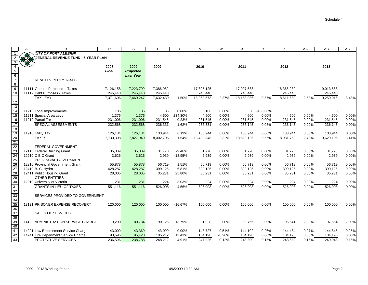| S<br>B<br>R<br>U<br>$\vee$<br>W<br>X<br>Y<br>Z<br>AA<br>AB<br>AC<br>$\overline{A}$<br><b>CITY OF PORT ALBERNI</b><br>***<br><b>JOENERAL REVENUE FUND - 5 YEAR PLAN</b><br>3<br>$\overline{4}$<br>2008<br>2009<br>2009<br>2010<br>2011<br>2012<br>2013<br>$\overline{5}$<br><b>Final</b><br><b>Projected</b><br>$\frac{6}{7}$<br><b>Last Year</b><br><b>REAL PROPERTY TAXES</b><br>$\bf 8$<br>$\overline{9}$<br>11111 General Purposes - Taxes<br>17,223,799<br>17,386,982<br>17,907,588<br>18,366,232<br>17,126,158<br>17,805,125<br>19,013,568<br>$\overline{10}$<br>245,448<br>245,448<br>245,448<br>11112 Debt Purposes - Taxes<br>245,448<br>245,448<br>245,448<br>245,448<br>11<br><b>TAX LEVY</b><br>17,632,430<br>18,050,573<br>18,611,680<br>3.48%<br>17,371,606<br>17,469,247<br>2.37%<br>18,153,036<br>2.53%<br>19,259,016<br>1.50%<br>0.57%<br>$\overline{12}$<br>$\overline{13}$<br>$\overline{14}$<br>0.00%<br>0.00%<br>0 -100.00%<br>$\mathbf 0$<br>11210 Local Improvements<br>186<br>186<br>186<br>0<br>186<br>15<br>1,376<br>234.30%<br>4,600<br>0.00%<br>0.00%<br>4,600<br>0.00%<br>4,600<br>0.00%<br>11211 Special Area Levy<br>1,376<br>4,600<br>4,600<br>$\overline{16}$<br>11212 Parcel Tax<br>231,006<br>0.23%<br>0.00%<br>0.00%<br>0.00%<br>0.00%<br>231,006<br>231,545<br>231,545<br>231,545<br>231,545<br>231,545<br>$\overline{17}$<br>SPECIAL ASSESSMENTS<br>232,568<br>1.62%<br>236,331<br>0.00%<br>236,145<br>$-0.08%$<br>236,145<br>236,145<br>0.00%<br>232,568<br>236,331<br>0.00%<br>18<br>19<br>0.00%<br>0.00%<br>0.00%<br>11910 Utility Tax<br>126,134<br>126,134<br>133,944<br>6.19%<br>133,944<br>133,944<br>133,944<br>0.00%<br>133,944<br>20<br>21<br><b>TAXES</b><br>17,827,949<br>18,002,705<br>18,420,848<br>2.32%<br>0.56%<br>18,981,769<br>19,629,105<br>3.41%<br>17,730,308<br>1.54%<br>18,523,125<br>2.48%<br>$\frac{22}{23}$<br>$\frac{23}{24}$<br>FEDERAL GOVERNMENT<br>0.00%<br>35,089<br>35,089<br>31,770<br>$-9.46%$<br>31,770<br>0.00%<br>31,770<br>0.00%<br>31,770<br>0.00%<br>31,770<br>12110 Federal Building Grant<br>12210 C B C Grant<br>$-18.95%$<br>2,939<br>0.00%<br>2,939<br>0.00%<br>2,939<br>3,626<br>3,626<br>2,939<br>2,939<br>0.00%<br>PROVINCIAL GOVERNMENT<br>26<br>27<br>28<br>12310 Provincial Government Grant<br>55,878<br>55,878<br>56,719<br>1.51%<br>56,719<br>0.00%<br>56,719<br>0.00%<br>56,719<br>0.00%<br>56,719<br>$-6.81%$<br>0.00%<br>0.00%<br>12410 B. C. Hydro<br>428,287<br>428,287<br>399,125<br>399,125<br>399,125<br>399,125<br>0.00%<br>399,125<br>12411 Public Housing Grant<br>28,005<br>35,231<br>28,005<br>35,231<br>25.80%<br>35,231<br>0.00%<br>0.00%<br>35,231<br>0.00%<br>35,231<br>29<br>30<br><b>OTHER ENTITIES</b><br>$-3.03%$<br>0.00%<br>224<br>0.00%<br>224<br>0.00%<br>0.00%<br>12910 University of Victoria<br>231<br>231<br>224<br>224<br>224<br>31<br><b>GRANTS IN LIEU OF TAXES</b><br>0.00%<br>551,116<br>551,116<br>526,008<br>$-4.56%$<br>526,008<br>0.00%<br>526,008<br>526,008<br>0.00%<br>0.00%<br>526,008<br>$\frac{32}{33}$<br>$\frac{33}{34}$<br>$\frac{35}{35}$<br>SERVICES PROVIDED TO GOVERNMENT<br>13121 PRISONER EXPENSE RECOVERY<br>120,000<br>120,000<br>100,000<br>$-16.67%$<br>100,000<br>0.00%<br>100,000<br>0.00%<br>100,000<br>0.00%<br>100,000<br>0.00%<br>$\overline{36}$<br>$\overline{37}$<br><b>SALES OF SERVICES</b><br>38<br>39<br>14120 ADMINISTRATION SERVICE CHARGE<br>80,784<br>13.79%<br>91,928<br>2.00%<br>93,766<br>2.00%<br>97,554<br>2.00%<br>79,200<br>90,125<br>95,641<br>2.00%<br>40<br>41<br>14221 Law Enforcement Service Charge<br>143,000<br>143,360<br>143,000<br>0.00%<br>143,727<br>0.51%<br>144,102<br>0.26%<br>144,484<br>0.27%<br>144,845<br>0.25%<br>42<br>95,428<br>$-0.96%$<br>0.00%<br>0.00%<br>14241 Fire Department Service Charge<br>93,596<br>105,212<br>12.41%<br>104,198<br>104,198<br>104,198<br>104,198<br>43<br><b>PROTECTIVE SERVICES</b><br>247,925<br>248,300<br>236,596<br>238,788<br>248,212<br>4.91%<br>$-0.12%$<br>0.15%<br>248,682<br>0.15%<br>249,043 |  |  |  |  |  |  |  |       |
|--------------------------------------------------------------------------------------------------------------------------------------------------------------------------------------------------------------------------------------------------------------------------------------------------------------------------------------------------------------------------------------------------------------------------------------------------------------------------------------------------------------------------------------------------------------------------------------------------------------------------------------------------------------------------------------------------------------------------------------------------------------------------------------------------------------------------------------------------------------------------------------------------------------------------------------------------------------------------------------------------------------------------------------------------------------------------------------------------------------------------------------------------------------------------------------------------------------------------------------------------------------------------------------------------------------------------------------------------------------------------------------------------------------------------------------------------------------------------------------------------------------------------------------------------------------------------------------------------------------------------------------------------------------------------------------------------------------------------------------------------------------------------------------------------------------------------------------------------------------------------------------------------------------------------------------------------------------------------------------------------------------------------------------------------------------------------------------------------------------------------------------------------------------------------------------------------------------------------------------------------------------------------------------------------------------------------------------------------------------------------------------------------------------------------------------------------------------------------------------------------------------------------------------------------------------------------------------------------------------------------------------------------------------------------------------------------------------------------------------------------------------------------------------------------------------------------------------------------------------------------------------------------------------------------------------------------------------------------------------------------------------------------------------------------------------------------------------------------------------------------------------------------------------------------------------------------------------------------------------------------------------------------------------------------------------------------------------------------------------------------------------------------------------------------------------------------------------------------------------------------------------------------------------------------------------------------------------------------------------------------------------------------------------------------------------------------------------------------------------------------------------------------------------------------------------------------------------------------------------------------------------------------------------------------------------------------------------------------------------------------------------------------------------------|--|--|--|--|--|--|--|-------|
|                                                                                                                                                                                                                                                                                                                                                                                                                                                                                                                                                                                                                                                                                                                                                                                                                                                                                                                                                                                                                                                                                                                                                                                                                                                                                                                                                                                                                                                                                                                                                                                                                                                                                                                                                                                                                                                                                                                                                                                                                                                                                                                                                                                                                                                                                                                                                                                                                                                                                                                                                                                                                                                                                                                                                                                                                                                                                                                                                                                                                                                                                                                                                                                                                                                                                                                                                                                                                                                                                                                                                                                                                                                                                                                                                                                                                                                                                                                                                                                                                                            |  |  |  |  |  |  |  |       |
|                                                                                                                                                                                                                                                                                                                                                                                                                                                                                                                                                                                                                                                                                                                                                                                                                                                                                                                                                                                                                                                                                                                                                                                                                                                                                                                                                                                                                                                                                                                                                                                                                                                                                                                                                                                                                                                                                                                                                                                                                                                                                                                                                                                                                                                                                                                                                                                                                                                                                                                                                                                                                                                                                                                                                                                                                                                                                                                                                                                                                                                                                                                                                                                                                                                                                                                                                                                                                                                                                                                                                                                                                                                                                                                                                                                                                                                                                                                                                                                                                                            |  |  |  |  |  |  |  |       |
|                                                                                                                                                                                                                                                                                                                                                                                                                                                                                                                                                                                                                                                                                                                                                                                                                                                                                                                                                                                                                                                                                                                                                                                                                                                                                                                                                                                                                                                                                                                                                                                                                                                                                                                                                                                                                                                                                                                                                                                                                                                                                                                                                                                                                                                                                                                                                                                                                                                                                                                                                                                                                                                                                                                                                                                                                                                                                                                                                                                                                                                                                                                                                                                                                                                                                                                                                                                                                                                                                                                                                                                                                                                                                                                                                                                                                                                                                                                                                                                                                                            |  |  |  |  |  |  |  |       |
|                                                                                                                                                                                                                                                                                                                                                                                                                                                                                                                                                                                                                                                                                                                                                                                                                                                                                                                                                                                                                                                                                                                                                                                                                                                                                                                                                                                                                                                                                                                                                                                                                                                                                                                                                                                                                                                                                                                                                                                                                                                                                                                                                                                                                                                                                                                                                                                                                                                                                                                                                                                                                                                                                                                                                                                                                                                                                                                                                                                                                                                                                                                                                                                                                                                                                                                                                                                                                                                                                                                                                                                                                                                                                                                                                                                                                                                                                                                                                                                                                                            |  |  |  |  |  |  |  |       |
|                                                                                                                                                                                                                                                                                                                                                                                                                                                                                                                                                                                                                                                                                                                                                                                                                                                                                                                                                                                                                                                                                                                                                                                                                                                                                                                                                                                                                                                                                                                                                                                                                                                                                                                                                                                                                                                                                                                                                                                                                                                                                                                                                                                                                                                                                                                                                                                                                                                                                                                                                                                                                                                                                                                                                                                                                                                                                                                                                                                                                                                                                                                                                                                                                                                                                                                                                                                                                                                                                                                                                                                                                                                                                                                                                                                                                                                                                                                                                                                                                                            |  |  |  |  |  |  |  |       |
|                                                                                                                                                                                                                                                                                                                                                                                                                                                                                                                                                                                                                                                                                                                                                                                                                                                                                                                                                                                                                                                                                                                                                                                                                                                                                                                                                                                                                                                                                                                                                                                                                                                                                                                                                                                                                                                                                                                                                                                                                                                                                                                                                                                                                                                                                                                                                                                                                                                                                                                                                                                                                                                                                                                                                                                                                                                                                                                                                                                                                                                                                                                                                                                                                                                                                                                                                                                                                                                                                                                                                                                                                                                                                                                                                                                                                                                                                                                                                                                                                                            |  |  |  |  |  |  |  |       |
|                                                                                                                                                                                                                                                                                                                                                                                                                                                                                                                                                                                                                                                                                                                                                                                                                                                                                                                                                                                                                                                                                                                                                                                                                                                                                                                                                                                                                                                                                                                                                                                                                                                                                                                                                                                                                                                                                                                                                                                                                                                                                                                                                                                                                                                                                                                                                                                                                                                                                                                                                                                                                                                                                                                                                                                                                                                                                                                                                                                                                                                                                                                                                                                                                                                                                                                                                                                                                                                                                                                                                                                                                                                                                                                                                                                                                                                                                                                                                                                                                                            |  |  |  |  |  |  |  |       |
|                                                                                                                                                                                                                                                                                                                                                                                                                                                                                                                                                                                                                                                                                                                                                                                                                                                                                                                                                                                                                                                                                                                                                                                                                                                                                                                                                                                                                                                                                                                                                                                                                                                                                                                                                                                                                                                                                                                                                                                                                                                                                                                                                                                                                                                                                                                                                                                                                                                                                                                                                                                                                                                                                                                                                                                                                                                                                                                                                                                                                                                                                                                                                                                                                                                                                                                                                                                                                                                                                                                                                                                                                                                                                                                                                                                                                                                                                                                                                                                                                                            |  |  |  |  |  |  |  |       |
|                                                                                                                                                                                                                                                                                                                                                                                                                                                                                                                                                                                                                                                                                                                                                                                                                                                                                                                                                                                                                                                                                                                                                                                                                                                                                                                                                                                                                                                                                                                                                                                                                                                                                                                                                                                                                                                                                                                                                                                                                                                                                                                                                                                                                                                                                                                                                                                                                                                                                                                                                                                                                                                                                                                                                                                                                                                                                                                                                                                                                                                                                                                                                                                                                                                                                                                                                                                                                                                                                                                                                                                                                                                                                                                                                                                                                                                                                                                                                                                                                                            |  |  |  |  |  |  |  |       |
|                                                                                                                                                                                                                                                                                                                                                                                                                                                                                                                                                                                                                                                                                                                                                                                                                                                                                                                                                                                                                                                                                                                                                                                                                                                                                                                                                                                                                                                                                                                                                                                                                                                                                                                                                                                                                                                                                                                                                                                                                                                                                                                                                                                                                                                                                                                                                                                                                                                                                                                                                                                                                                                                                                                                                                                                                                                                                                                                                                                                                                                                                                                                                                                                                                                                                                                                                                                                                                                                                                                                                                                                                                                                                                                                                                                                                                                                                                                                                                                                                                            |  |  |  |  |  |  |  |       |
|                                                                                                                                                                                                                                                                                                                                                                                                                                                                                                                                                                                                                                                                                                                                                                                                                                                                                                                                                                                                                                                                                                                                                                                                                                                                                                                                                                                                                                                                                                                                                                                                                                                                                                                                                                                                                                                                                                                                                                                                                                                                                                                                                                                                                                                                                                                                                                                                                                                                                                                                                                                                                                                                                                                                                                                                                                                                                                                                                                                                                                                                                                                                                                                                                                                                                                                                                                                                                                                                                                                                                                                                                                                                                                                                                                                                                                                                                                                                                                                                                                            |  |  |  |  |  |  |  |       |
|                                                                                                                                                                                                                                                                                                                                                                                                                                                                                                                                                                                                                                                                                                                                                                                                                                                                                                                                                                                                                                                                                                                                                                                                                                                                                                                                                                                                                                                                                                                                                                                                                                                                                                                                                                                                                                                                                                                                                                                                                                                                                                                                                                                                                                                                                                                                                                                                                                                                                                                                                                                                                                                                                                                                                                                                                                                                                                                                                                                                                                                                                                                                                                                                                                                                                                                                                                                                                                                                                                                                                                                                                                                                                                                                                                                                                                                                                                                                                                                                                                            |  |  |  |  |  |  |  |       |
|                                                                                                                                                                                                                                                                                                                                                                                                                                                                                                                                                                                                                                                                                                                                                                                                                                                                                                                                                                                                                                                                                                                                                                                                                                                                                                                                                                                                                                                                                                                                                                                                                                                                                                                                                                                                                                                                                                                                                                                                                                                                                                                                                                                                                                                                                                                                                                                                                                                                                                                                                                                                                                                                                                                                                                                                                                                                                                                                                                                                                                                                                                                                                                                                                                                                                                                                                                                                                                                                                                                                                                                                                                                                                                                                                                                                                                                                                                                                                                                                                                            |  |  |  |  |  |  |  |       |
|                                                                                                                                                                                                                                                                                                                                                                                                                                                                                                                                                                                                                                                                                                                                                                                                                                                                                                                                                                                                                                                                                                                                                                                                                                                                                                                                                                                                                                                                                                                                                                                                                                                                                                                                                                                                                                                                                                                                                                                                                                                                                                                                                                                                                                                                                                                                                                                                                                                                                                                                                                                                                                                                                                                                                                                                                                                                                                                                                                                                                                                                                                                                                                                                                                                                                                                                                                                                                                                                                                                                                                                                                                                                                                                                                                                                                                                                                                                                                                                                                                            |  |  |  |  |  |  |  |       |
|                                                                                                                                                                                                                                                                                                                                                                                                                                                                                                                                                                                                                                                                                                                                                                                                                                                                                                                                                                                                                                                                                                                                                                                                                                                                                                                                                                                                                                                                                                                                                                                                                                                                                                                                                                                                                                                                                                                                                                                                                                                                                                                                                                                                                                                                                                                                                                                                                                                                                                                                                                                                                                                                                                                                                                                                                                                                                                                                                                                                                                                                                                                                                                                                                                                                                                                                                                                                                                                                                                                                                                                                                                                                                                                                                                                                                                                                                                                                                                                                                                            |  |  |  |  |  |  |  |       |
|                                                                                                                                                                                                                                                                                                                                                                                                                                                                                                                                                                                                                                                                                                                                                                                                                                                                                                                                                                                                                                                                                                                                                                                                                                                                                                                                                                                                                                                                                                                                                                                                                                                                                                                                                                                                                                                                                                                                                                                                                                                                                                                                                                                                                                                                                                                                                                                                                                                                                                                                                                                                                                                                                                                                                                                                                                                                                                                                                                                                                                                                                                                                                                                                                                                                                                                                                                                                                                                                                                                                                                                                                                                                                                                                                                                                                                                                                                                                                                                                                                            |  |  |  |  |  |  |  |       |
|                                                                                                                                                                                                                                                                                                                                                                                                                                                                                                                                                                                                                                                                                                                                                                                                                                                                                                                                                                                                                                                                                                                                                                                                                                                                                                                                                                                                                                                                                                                                                                                                                                                                                                                                                                                                                                                                                                                                                                                                                                                                                                                                                                                                                                                                                                                                                                                                                                                                                                                                                                                                                                                                                                                                                                                                                                                                                                                                                                                                                                                                                                                                                                                                                                                                                                                                                                                                                                                                                                                                                                                                                                                                                                                                                                                                                                                                                                                                                                                                                                            |  |  |  |  |  |  |  |       |
|                                                                                                                                                                                                                                                                                                                                                                                                                                                                                                                                                                                                                                                                                                                                                                                                                                                                                                                                                                                                                                                                                                                                                                                                                                                                                                                                                                                                                                                                                                                                                                                                                                                                                                                                                                                                                                                                                                                                                                                                                                                                                                                                                                                                                                                                                                                                                                                                                                                                                                                                                                                                                                                                                                                                                                                                                                                                                                                                                                                                                                                                                                                                                                                                                                                                                                                                                                                                                                                                                                                                                                                                                                                                                                                                                                                                                                                                                                                                                                                                                                            |  |  |  |  |  |  |  |       |
|                                                                                                                                                                                                                                                                                                                                                                                                                                                                                                                                                                                                                                                                                                                                                                                                                                                                                                                                                                                                                                                                                                                                                                                                                                                                                                                                                                                                                                                                                                                                                                                                                                                                                                                                                                                                                                                                                                                                                                                                                                                                                                                                                                                                                                                                                                                                                                                                                                                                                                                                                                                                                                                                                                                                                                                                                                                                                                                                                                                                                                                                                                                                                                                                                                                                                                                                                                                                                                                                                                                                                                                                                                                                                                                                                                                                                                                                                                                                                                                                                                            |  |  |  |  |  |  |  |       |
|                                                                                                                                                                                                                                                                                                                                                                                                                                                                                                                                                                                                                                                                                                                                                                                                                                                                                                                                                                                                                                                                                                                                                                                                                                                                                                                                                                                                                                                                                                                                                                                                                                                                                                                                                                                                                                                                                                                                                                                                                                                                                                                                                                                                                                                                                                                                                                                                                                                                                                                                                                                                                                                                                                                                                                                                                                                                                                                                                                                                                                                                                                                                                                                                                                                                                                                                                                                                                                                                                                                                                                                                                                                                                                                                                                                                                                                                                                                                                                                                                                            |  |  |  |  |  |  |  |       |
|                                                                                                                                                                                                                                                                                                                                                                                                                                                                                                                                                                                                                                                                                                                                                                                                                                                                                                                                                                                                                                                                                                                                                                                                                                                                                                                                                                                                                                                                                                                                                                                                                                                                                                                                                                                                                                                                                                                                                                                                                                                                                                                                                                                                                                                                                                                                                                                                                                                                                                                                                                                                                                                                                                                                                                                                                                                                                                                                                                                                                                                                                                                                                                                                                                                                                                                                                                                                                                                                                                                                                                                                                                                                                                                                                                                                                                                                                                                                                                                                                                            |  |  |  |  |  |  |  |       |
|                                                                                                                                                                                                                                                                                                                                                                                                                                                                                                                                                                                                                                                                                                                                                                                                                                                                                                                                                                                                                                                                                                                                                                                                                                                                                                                                                                                                                                                                                                                                                                                                                                                                                                                                                                                                                                                                                                                                                                                                                                                                                                                                                                                                                                                                                                                                                                                                                                                                                                                                                                                                                                                                                                                                                                                                                                                                                                                                                                                                                                                                                                                                                                                                                                                                                                                                                                                                                                                                                                                                                                                                                                                                                                                                                                                                                                                                                                                                                                                                                                            |  |  |  |  |  |  |  |       |
|                                                                                                                                                                                                                                                                                                                                                                                                                                                                                                                                                                                                                                                                                                                                                                                                                                                                                                                                                                                                                                                                                                                                                                                                                                                                                                                                                                                                                                                                                                                                                                                                                                                                                                                                                                                                                                                                                                                                                                                                                                                                                                                                                                                                                                                                                                                                                                                                                                                                                                                                                                                                                                                                                                                                                                                                                                                                                                                                                                                                                                                                                                                                                                                                                                                                                                                                                                                                                                                                                                                                                                                                                                                                                                                                                                                                                                                                                                                                                                                                                                            |  |  |  |  |  |  |  |       |
|                                                                                                                                                                                                                                                                                                                                                                                                                                                                                                                                                                                                                                                                                                                                                                                                                                                                                                                                                                                                                                                                                                                                                                                                                                                                                                                                                                                                                                                                                                                                                                                                                                                                                                                                                                                                                                                                                                                                                                                                                                                                                                                                                                                                                                                                                                                                                                                                                                                                                                                                                                                                                                                                                                                                                                                                                                                                                                                                                                                                                                                                                                                                                                                                                                                                                                                                                                                                                                                                                                                                                                                                                                                                                                                                                                                                                                                                                                                                                                                                                                            |  |  |  |  |  |  |  | 0.00% |
|                                                                                                                                                                                                                                                                                                                                                                                                                                                                                                                                                                                                                                                                                                                                                                                                                                                                                                                                                                                                                                                                                                                                                                                                                                                                                                                                                                                                                                                                                                                                                                                                                                                                                                                                                                                                                                                                                                                                                                                                                                                                                                                                                                                                                                                                                                                                                                                                                                                                                                                                                                                                                                                                                                                                                                                                                                                                                                                                                                                                                                                                                                                                                                                                                                                                                                                                                                                                                                                                                                                                                                                                                                                                                                                                                                                                                                                                                                                                                                                                                                            |  |  |  |  |  |  |  |       |
|                                                                                                                                                                                                                                                                                                                                                                                                                                                                                                                                                                                                                                                                                                                                                                                                                                                                                                                                                                                                                                                                                                                                                                                                                                                                                                                                                                                                                                                                                                                                                                                                                                                                                                                                                                                                                                                                                                                                                                                                                                                                                                                                                                                                                                                                                                                                                                                                                                                                                                                                                                                                                                                                                                                                                                                                                                                                                                                                                                                                                                                                                                                                                                                                                                                                                                                                                                                                                                                                                                                                                                                                                                                                                                                                                                                                                                                                                                                                                                                                                                            |  |  |  |  |  |  |  | 0.00% |
|                                                                                                                                                                                                                                                                                                                                                                                                                                                                                                                                                                                                                                                                                                                                                                                                                                                                                                                                                                                                                                                                                                                                                                                                                                                                                                                                                                                                                                                                                                                                                                                                                                                                                                                                                                                                                                                                                                                                                                                                                                                                                                                                                                                                                                                                                                                                                                                                                                                                                                                                                                                                                                                                                                                                                                                                                                                                                                                                                                                                                                                                                                                                                                                                                                                                                                                                                                                                                                                                                                                                                                                                                                                                                                                                                                                                                                                                                                                                                                                                                                            |  |  |  |  |  |  |  | 0.00% |
|                                                                                                                                                                                                                                                                                                                                                                                                                                                                                                                                                                                                                                                                                                                                                                                                                                                                                                                                                                                                                                                                                                                                                                                                                                                                                                                                                                                                                                                                                                                                                                                                                                                                                                                                                                                                                                                                                                                                                                                                                                                                                                                                                                                                                                                                                                                                                                                                                                                                                                                                                                                                                                                                                                                                                                                                                                                                                                                                                                                                                                                                                                                                                                                                                                                                                                                                                                                                                                                                                                                                                                                                                                                                                                                                                                                                                                                                                                                                                                                                                                            |  |  |  |  |  |  |  | 0.00% |
|                                                                                                                                                                                                                                                                                                                                                                                                                                                                                                                                                                                                                                                                                                                                                                                                                                                                                                                                                                                                                                                                                                                                                                                                                                                                                                                                                                                                                                                                                                                                                                                                                                                                                                                                                                                                                                                                                                                                                                                                                                                                                                                                                                                                                                                                                                                                                                                                                                                                                                                                                                                                                                                                                                                                                                                                                                                                                                                                                                                                                                                                                                                                                                                                                                                                                                                                                                                                                                                                                                                                                                                                                                                                                                                                                                                                                                                                                                                                                                                                                                            |  |  |  |  |  |  |  |       |
|                                                                                                                                                                                                                                                                                                                                                                                                                                                                                                                                                                                                                                                                                                                                                                                                                                                                                                                                                                                                                                                                                                                                                                                                                                                                                                                                                                                                                                                                                                                                                                                                                                                                                                                                                                                                                                                                                                                                                                                                                                                                                                                                                                                                                                                                                                                                                                                                                                                                                                                                                                                                                                                                                                                                                                                                                                                                                                                                                                                                                                                                                                                                                                                                                                                                                                                                                                                                                                                                                                                                                                                                                                                                                                                                                                                                                                                                                                                                                                                                                                            |  |  |  |  |  |  |  |       |
|                                                                                                                                                                                                                                                                                                                                                                                                                                                                                                                                                                                                                                                                                                                                                                                                                                                                                                                                                                                                                                                                                                                                                                                                                                                                                                                                                                                                                                                                                                                                                                                                                                                                                                                                                                                                                                                                                                                                                                                                                                                                                                                                                                                                                                                                                                                                                                                                                                                                                                                                                                                                                                                                                                                                                                                                                                                                                                                                                                                                                                                                                                                                                                                                                                                                                                                                                                                                                                                                                                                                                                                                                                                                                                                                                                                                                                                                                                                                                                                                                                            |  |  |  |  |  |  |  |       |
|                                                                                                                                                                                                                                                                                                                                                                                                                                                                                                                                                                                                                                                                                                                                                                                                                                                                                                                                                                                                                                                                                                                                                                                                                                                                                                                                                                                                                                                                                                                                                                                                                                                                                                                                                                                                                                                                                                                                                                                                                                                                                                                                                                                                                                                                                                                                                                                                                                                                                                                                                                                                                                                                                                                                                                                                                                                                                                                                                                                                                                                                                                                                                                                                                                                                                                                                                                                                                                                                                                                                                                                                                                                                                                                                                                                                                                                                                                                                                                                                                                            |  |  |  |  |  |  |  |       |
|                                                                                                                                                                                                                                                                                                                                                                                                                                                                                                                                                                                                                                                                                                                                                                                                                                                                                                                                                                                                                                                                                                                                                                                                                                                                                                                                                                                                                                                                                                                                                                                                                                                                                                                                                                                                                                                                                                                                                                                                                                                                                                                                                                                                                                                                                                                                                                                                                                                                                                                                                                                                                                                                                                                                                                                                                                                                                                                                                                                                                                                                                                                                                                                                                                                                                                                                                                                                                                                                                                                                                                                                                                                                                                                                                                                                                                                                                                                                                                                                                                            |  |  |  |  |  |  |  |       |
|                                                                                                                                                                                                                                                                                                                                                                                                                                                                                                                                                                                                                                                                                                                                                                                                                                                                                                                                                                                                                                                                                                                                                                                                                                                                                                                                                                                                                                                                                                                                                                                                                                                                                                                                                                                                                                                                                                                                                                                                                                                                                                                                                                                                                                                                                                                                                                                                                                                                                                                                                                                                                                                                                                                                                                                                                                                                                                                                                                                                                                                                                                                                                                                                                                                                                                                                                                                                                                                                                                                                                                                                                                                                                                                                                                                                                                                                                                                                                                                                                                            |  |  |  |  |  |  |  |       |
|                                                                                                                                                                                                                                                                                                                                                                                                                                                                                                                                                                                                                                                                                                                                                                                                                                                                                                                                                                                                                                                                                                                                                                                                                                                                                                                                                                                                                                                                                                                                                                                                                                                                                                                                                                                                                                                                                                                                                                                                                                                                                                                                                                                                                                                                                                                                                                                                                                                                                                                                                                                                                                                                                                                                                                                                                                                                                                                                                                                                                                                                                                                                                                                                                                                                                                                                                                                                                                                                                                                                                                                                                                                                                                                                                                                                                                                                                                                                                                                                                                            |  |  |  |  |  |  |  |       |
|                                                                                                                                                                                                                                                                                                                                                                                                                                                                                                                                                                                                                                                                                                                                                                                                                                                                                                                                                                                                                                                                                                                                                                                                                                                                                                                                                                                                                                                                                                                                                                                                                                                                                                                                                                                                                                                                                                                                                                                                                                                                                                                                                                                                                                                                                                                                                                                                                                                                                                                                                                                                                                                                                                                                                                                                                                                                                                                                                                                                                                                                                                                                                                                                                                                                                                                                                                                                                                                                                                                                                                                                                                                                                                                                                                                                                                                                                                                                                                                                                                            |  |  |  |  |  |  |  |       |
|                                                                                                                                                                                                                                                                                                                                                                                                                                                                                                                                                                                                                                                                                                                                                                                                                                                                                                                                                                                                                                                                                                                                                                                                                                                                                                                                                                                                                                                                                                                                                                                                                                                                                                                                                                                                                                                                                                                                                                                                                                                                                                                                                                                                                                                                                                                                                                                                                                                                                                                                                                                                                                                                                                                                                                                                                                                                                                                                                                                                                                                                                                                                                                                                                                                                                                                                                                                                                                                                                                                                                                                                                                                                                                                                                                                                                                                                                                                                                                                                                                            |  |  |  |  |  |  |  |       |
|                                                                                                                                                                                                                                                                                                                                                                                                                                                                                                                                                                                                                                                                                                                                                                                                                                                                                                                                                                                                                                                                                                                                                                                                                                                                                                                                                                                                                                                                                                                                                                                                                                                                                                                                                                                                                                                                                                                                                                                                                                                                                                                                                                                                                                                                                                                                                                                                                                                                                                                                                                                                                                                                                                                                                                                                                                                                                                                                                                                                                                                                                                                                                                                                                                                                                                                                                                                                                                                                                                                                                                                                                                                                                                                                                                                                                                                                                                                                                                                                                                            |  |  |  |  |  |  |  |       |
|                                                                                                                                                                                                                                                                                                                                                                                                                                                                                                                                                                                                                                                                                                                                                                                                                                                                                                                                                                                                                                                                                                                                                                                                                                                                                                                                                                                                                                                                                                                                                                                                                                                                                                                                                                                                                                                                                                                                                                                                                                                                                                                                                                                                                                                                                                                                                                                                                                                                                                                                                                                                                                                                                                                                                                                                                                                                                                                                                                                                                                                                                                                                                                                                                                                                                                                                                                                                                                                                                                                                                                                                                                                                                                                                                                                                                                                                                                                                                                                                                                            |  |  |  |  |  |  |  |       |
|                                                                                                                                                                                                                                                                                                                                                                                                                                                                                                                                                                                                                                                                                                                                                                                                                                                                                                                                                                                                                                                                                                                                                                                                                                                                                                                                                                                                                                                                                                                                                                                                                                                                                                                                                                                                                                                                                                                                                                                                                                                                                                                                                                                                                                                                                                                                                                                                                                                                                                                                                                                                                                                                                                                                                                                                                                                                                                                                                                                                                                                                                                                                                                                                                                                                                                                                                                                                                                                                                                                                                                                                                                                                                                                                                                                                                                                                                                                                                                                                                                            |  |  |  |  |  |  |  |       |
|                                                                                                                                                                                                                                                                                                                                                                                                                                                                                                                                                                                                                                                                                                                                                                                                                                                                                                                                                                                                                                                                                                                                                                                                                                                                                                                                                                                                                                                                                                                                                                                                                                                                                                                                                                                                                                                                                                                                                                                                                                                                                                                                                                                                                                                                                                                                                                                                                                                                                                                                                                                                                                                                                                                                                                                                                                                                                                                                                                                                                                                                                                                                                                                                                                                                                                                                                                                                                                                                                                                                                                                                                                                                                                                                                                                                                                                                                                                                                                                                                                            |  |  |  |  |  |  |  | 0.00% |
|                                                                                                                                                                                                                                                                                                                                                                                                                                                                                                                                                                                                                                                                                                                                                                                                                                                                                                                                                                                                                                                                                                                                                                                                                                                                                                                                                                                                                                                                                                                                                                                                                                                                                                                                                                                                                                                                                                                                                                                                                                                                                                                                                                                                                                                                                                                                                                                                                                                                                                                                                                                                                                                                                                                                                                                                                                                                                                                                                                                                                                                                                                                                                                                                                                                                                                                                                                                                                                                                                                                                                                                                                                                                                                                                                                                                                                                                                                                                                                                                                                            |  |  |  |  |  |  |  | 0.15% |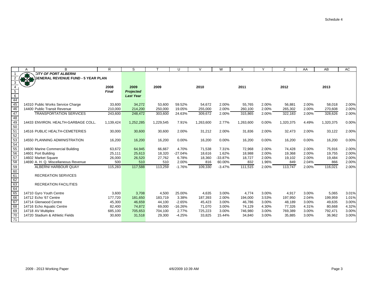|                                                                                                                 | A   | B                                         | R.           | S                | $\mathsf{T}$ | U         | $\vee$    | W         | X         | $\checkmark$ | Z         | AA    | AB        | AC    |
|-----------------------------------------------------------------------------------------------------------------|-----|-------------------------------------------|--------------|------------------|--------------|-----------|-----------|-----------|-----------|--------------|-----------|-------|-----------|-------|
|                                                                                                                 |     | <b>CITY OF PORT ALBERNI</b>               |              |                  |              |           |           |           |           |              |           |       |           |       |
|                                                                                                                 | 878 | <b>SENERAL REVENUE FUND - 5 YEAR PLAN</b> |              |                  |              |           |           |           |           |              |           |       |           |       |
| 3                                                                                                               |     |                                           |              |                  |              |           |           |           |           |              |           |       |           |       |
| $\overline{4}$                                                                                                  |     |                                           | 2008         | 2009             | 2009         |           | 2010      |           | 2011      |              | 2012      |       | 2013      |       |
|                                                                                                                 |     |                                           | <b>Final</b> | <b>Projected</b> |              |           |           |           |           |              |           |       |           |       |
|                                                                                                                 |     |                                           |              | <b>Last Year</b> |              |           |           |           |           |              |           |       |           |       |
| $rac{5}{6}$<br>$rac{6}{45}$                                                                                     |     |                                           |              |                  |              |           |           |           |           |              |           |       |           |       |
|                                                                                                                 |     | 14310 Public Works Service Charge         | 33,600       | 34,272           | 53,600       | 59.52%    | 54,672    | 2.00%     | 55,765    | 2.00%        | 56,881    | 2.00% | 58,018    | 2.00% |
| 46                                                                                                              |     | 14400 Public Transit Revenue              | 210,000      | 214,200          | 250,000      | 19.05%    | 255,000   | 2.00%     | 260,100   | 2.00%        | 265,302   | 2.00% | 270,608   | 2.00% |
| 47                                                                                                              |     | <b>TRANSPORTATION SERVICES</b>            | 243,600      | 248,472          | 303,600      | 24.63%    | 309,672   | 2.00%     | 315,865   | 2.00%        | 322,183   | 2.00% | 328,626   | 2.00% |
| 48                                                                                                              |     |                                           |              |                  |              |           |           |           |           |              |           |       |           |       |
| 49<br>50                                                                                                        |     | 14433 ENVIRON, HEALTH-GARBAGE COLL,       | 1,139,424    | 1,252,285        | 1,229,545    | 7.91%     | 1,263,600 | 2.77%     | 1,263,600 | 0.00%        | 1,320,375 | 4.49% | 1,320,375 | 0.00% |
|                                                                                                                 |     |                                           |              |                  |              |           |           |           |           |              |           |       |           |       |
|                                                                                                                 |     | 14516 PUBLIC HEALTH-CEMETERIES            | 30,000       | 30,600           | 30,600       | 2.00%     | 31,212    | 2.00%     | 31,836    | 2.00%        | 32,473    | 2.00% | 33,122    | 2.00% |
|                                                                                                                 |     |                                           |              |                  |              |           |           |           |           |              |           |       |           |       |
|                                                                                                                 |     | 14550 PLANNING ADMINISTRATION             | 16,200       | 16,200           | 16,200       | 0.00%     | 16,200    | 0.00%     | 16,200    | 0.00%        | 16,200    | 0.00% | 16,200    | 0.00% |
|                                                                                                                 |     |                                           |              |                  |              |           |           |           |           |              |           |       |           |       |
|                                                                                                                 |     | 14600 Marine Commercial Building          | 63,672       | 64,945           | 66,667       | 4.70%     | 71,538    | 7.31%     | 72,968    | 2.00%        | 74,428    | 2.00% | 75,916    | 2.00% |
|                                                                                                                 |     | 14601 Port Building                       | 25,111       | 25,613           | 18,320       | $-27.04%$ | 18,616    | 1.62%     | 18,988    | 2.00%        | 19,368    | 2.00% | 19,755    | 2.00% |
|                                                                                                                 |     | 14602 Market Square                       | 26,000       | 26,520           | 27,762       | 6.78%     | 18,360    | $-33.87%$ | 18,727    | 2.00%        | 19,102    | 2.00% | 19,484    | 2.00% |
|                                                                                                                 |     | 14690 A. H. Q. Miscellaneous Revenue      | 500          | 510              | 510          | 2.00%     | 816       | 60.00%    | 832       | 1.96%        | 849       | 2.04% | 866       | 2.00% |
| $\frac{51}{52}$ $\frac{53}{54}$ $\frac{54}{55}$ $\frac{56}{57}$ $\frac{58}{59}$ $\frac{59}{60}$ $\frac{60}{61}$ |     | <b>ALBERNI HARBOUR QUAY</b>               | 115,283      | 117,588          | 113,259      | $-1.76%$  | 109,330   | $-3.47%$  | 111,515   | 2.00%        | 113,747   | 2.00% | 116,021   | 2.00% |
|                                                                                                                 |     |                                           |              |                  |              |           |           |           |           |              |           |       |           |       |
|                                                                                                                 |     | <b>RECREATION SERVICES</b>                |              |                  |              |           |           |           |           |              |           |       |           |       |
| 62<br>63                                                                                                        |     |                                           |              |                  |              |           |           |           |           |              |           |       |           |       |
|                                                                                                                 |     | <b>RECREATION FACILITIES</b>              |              |                  |              |           |           |           |           |              |           |       |           |       |
| 64                                                                                                              |     |                                           |              |                  |              |           |           |           |           |              |           |       |           |       |
| $\frac{65}{66}$                                                                                                 |     | 14710 Gyro Youth Centre                   | 3,600        | 3,708            | 4.500        | 25.00%    | 4.635     | 3.00%     | 4.774     | 3.00%        | 4,917     | 3.00% | 5,065     | 3.01% |
|                                                                                                                 |     | 14712 Echo '67 Centre                     | 177,720      | 181,650          | 183,719      | 3.38%     | 187,393   | 2.00%     | 194,000   | 3.53%        | 197,950   | 2.04% | 199,959   | 1.01% |
| 67                                                                                                              |     | 14714 Glenwood Centre                     | 45,300       | 46,659           | 44,100       | $-2.65%$  | 45,423    | 3.00%     | 46,786    | 3.00%        | 48,189    | 3.00% | 49,635    | 3.00% |
| $\overline{68}$                                                                                                 |     | 14716 Echo Aquatic Centre                 | 82,400       | 74,872           | 69,000       | $-16.26%$ | 71,070    | 3.00%     | 74,129    | 4.30%        | 77,326    | 4.31% | 80,668    | 4.32% |
| 69                                                                                                              |     | 14718 AV Multiplex                        | 685,100      | 705,653          | 704,100      | 2.77%     | 725,223   | 3.00%     | 746,980   | 3.00%        | 769,389   | 3.00% | 792,471   | 3.00% |
| $\frac{70}{71}$                                                                                                 |     | 14720 Stadium & Athletic Fields           | 30,600       | 31,518           | 29,300       | $-4.25%$  | 33,825    | 15.44%    | 34,840    | 3.00%        | 35,885    | 3.00% | 36,962    | 3.00% |
|                                                                                                                 |     |                                           |              |                  |              |           |           |           |           |              |           |       |           |       |

J.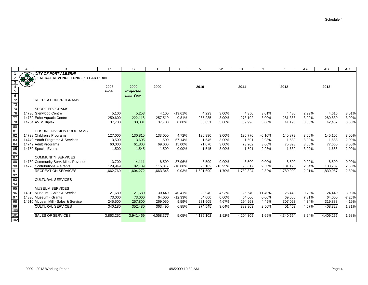|                                             |               | B                                    | R                | S                |                  | U         | $\mathsf{V}$ | W         | Χ         |           | Z                | AA       | AB               | AC       |
|---------------------------------------------|---------------|--------------------------------------|------------------|------------------|------------------|-----------|--------------|-----------|-----------|-----------|------------------|----------|------------------|----------|
|                                             |               | <b>CITY OF PORT ALBERNI</b>          |                  |                  |                  |           |              |           |           |           |                  |          |                  |          |
|                                             | $\frac{1}{2}$ | SENERAL REVENUE FUND - 5 YEAR PLAN ( |                  |                  |                  |           |              |           |           |           |                  |          |                  |          |
| 3                                           |               |                                      |                  |                  |                  |           |              |           |           |           |                  |          |                  |          |
| $\overline{4}$                              |               |                                      | 2008             | 2009             | 2009             |           | 2010         |           | 2011      |           | 2012             |          | 2013             |          |
|                                             |               |                                      | <b>Final</b>     | Projected        |                  |           |              |           |           |           |                  |          |                  |          |
| $\begin{array}{r} 5 \\ 6 \\ 72 \end{array}$ |               |                                      |                  | <b>Last Year</b> |                  |           |              |           |           |           |                  |          |                  |          |
|                                             |               | <b>RECREATION PROGRAMS</b>           |                  |                  |                  |           |              |           |           |           |                  |          |                  |          |
| 73                                          |               |                                      |                  |                  |                  |           |              |           |           |           |                  |          |                  |          |
| $\frac{1}{74}$                              |               | <b>SPORT PROGRAMS</b>                |                  |                  |                  |           |              |           |           |           |                  |          |                  |          |
| 76                                          |               | 14730 Glenwood Centre                | 5,100            | 5,253            | 4,100            | $-19.61%$ | 4,223        | 3.00%     | 4,350     | 3.01%     | 4,480            | 2.99%    | 4,615            | 3.01%    |
| $\overline{77}$                             |               | 14732 Echo Aquatic Centre            | 259,600          | 222,118          | 257,510          | $-0.81%$  | 265,235      | 3.00%     | 273,192   | 3.00%     | 281.388          | 3.00%    | 289,830          | 3.00%    |
| $\frac{78}{80}$                             |               | 14734 AV Multiplex                   | 37,700           | 38,831           | 37,700           | 0.00%     | 38,831       | 3.00%     | 39,996    | 3.00%     | 41,196           | 3.00%    | 42,432           | 3.00%    |
|                                             |               |                                      |                  |                  |                  |           |              |           |           |           |                  |          |                  |          |
| 81                                          |               | LEISURE DIVISION PROGRAMS            |                  |                  |                  |           |              |           |           |           |                  |          |                  |          |
| $\frac{82}{83}$                             |               | 14738 Children's Programs            | 127,000          | 130,810          | 133,000          | 4.72%     | 136,990      | 3.00%     | 136,776   | $-0.16%$  | 140,879          | 3.00%    | 145,105          | 3.00%    |
|                                             |               | 14740 Youth Programs & Services      | 3,500            | 3,605            | 1,500            | $-57.14%$ | 1,545        | 3.00%     | 1,591     | 2.98%     | 1,639            | 3.02%    | 1,688            | 2.99%    |
| 84                                          |               | 14742 Adult Programs                 | 60,000           | 61,800           | 69,000           | 15.00%    | 71,070       | 3.00%     | 73,202    | 3.00%     | 75,398           | 3.00%    | 77,660           | 3.00%    |
|                                             |               | 14750 Special Events                 | 1,500            | 1,545            | 1,500            | 0.00%     | 1,545        | 3.00%     | 1,591     | 2.98%     | 1,639            | 3.02%    | 1,688            | 2.99%    |
| $\frac{85}{86}$                             |               |                                      |                  |                  |                  |           |              |           |           |           |                  |          |                  |          |
|                                             |               | <b>COMMUNITY SERVICES</b>            |                  |                  |                  |           |              |           |           |           |                  |          |                  |          |
| 88                                          |               | 14760 Community Serv. Misc. Revenue  | 13,700           | 14,111           | 8,500            | $-37.96%$ | 8,500        | 0.00%     | 8,500     | 0.00%     | 8,500            | $0.00\%$ | 8,500            | 0.00%    |
| 90                                          |               | 14770 Contributions & Grants         | 129,949          | 82,139           | 115,817          | $-10.88%$ | 96,182       | $-16.95%$ | 98,617    | 2.53%     | 101,125          | 2.54%    | 103,709          | 2.56%    |
|                                             |               | <b>RECREATION SERVICES</b>           | 1,662,769        | 1,604,272        | 1,663,346        | 0.03%     | 1,691,690    | 1.70%     | 1,739,324 | 2.82%     | 1,789,900        | 2.91%    | 1,839,987        | 2.80%    |
|                                             |               |                                      |                  |                  |                  |           |              |           |           |           |                  |          |                  |          |
|                                             |               | <b>CULTURAL SERVICES</b>             |                  |                  |                  |           |              |           |           |           |                  |          |                  |          |
| $\frac{91}{92}$ $\frac{93}{95}$             |               | <b>MUSEUM SERVICES</b>               |                  |                  |                  |           |              |           |           |           |                  |          |                  |          |
| 96                                          |               | 14810 Museum - Sales & Service       |                  |                  |                  | 40.41%    | 28,940       | $-4.93%$  | 25,640    | $-11.40%$ |                  | $-0.78%$ |                  | $-3.93%$ |
| $\frac{1}{97}$                              |               | 14830 Museum - Grants                | 21,680<br>73,000 | 21,680<br>73,000 | 30,440<br>64,000 | $-12.33%$ | 64,000       | 0.00%     | 64,000    | 0.00%     | 25,440<br>69,000 | 7.81%    | 24,440<br>64,000 | $-7.25%$ |
| 98                                          |               | 14910 McLean Mill - Sales & Service  | 245,500          | 257,800          | 269,050          | 9.59%     | 281,605      | 4.67%     | 294,263   | 4.49%     | 307,023          | 4.34%    | 319,888          | 4.19%    |
|                                             |               | <b>CULTURAL SERVICES</b>             |                  |                  |                  |           |              |           |           |           | 401,463          |          |                  | 1.71%    |
|                                             |               |                                      | 340,180          | 352,480          | 363,490          | 6.85%     | 374,545      | 3.04%     | 383,903   | 2.50%     |                  | 4.57%    | 408,328          |          |
| $\frac{100}{99}$<br>100                     |               | <b>SALES OF SERVICES</b>             |                  |                  | 4,058,377        |           | 4,136,102    | 1.92%     |           |           | 4,340,664        | 3.24%    | 4,409,256        |          |
| 102                                         |               |                                      | 3,863,252        | 3,941,469        |                  | 5.05%     |              |           | 4,204,309 | 1.65%     |                  |          |                  | 1.58%    |
|                                             |               |                                      |                  |                  |                  |           |              |           |           |           |                  |          |                  |          |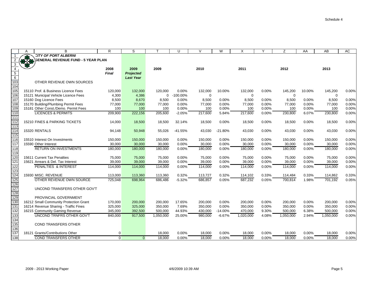|                                  | A | B                                         | R.                   | S                             |             | U           | $\vee$   | W         | X         | Y        | Z           | AA       | AB          | AC    |
|----------------------------------|---|-------------------------------------------|----------------------|-------------------------------|-------------|-------------|----------|-----------|-----------|----------|-------------|----------|-------------|-------|
| -1                               |   | <b>CITY OF PORT ALBERNI</b>               |                      |                               |             |             |          |           |           |          |             |          |             |       |
|                                  |   | <b>SENERAL REVENUE FUND - 5 YEAR PLAN</b> |                      |                               |             |             |          |           |           |          |             |          |             |       |
| 3                                |   |                                           |                      |                               |             |             |          |           |           |          |             |          |             |       |
| $\overline{4}$<br>$\overline{5}$ |   |                                           | 2008<br><b>Final</b> | 2009                          | 2009        |             | 2010     |           | 2011      |          | 2012        |          | 2013        |       |
| $6\overline{6}$                  |   |                                           |                      | Projected<br><b>Last Year</b> |             |             |          |           |           |          |             |          |             |       |
| 103                              |   | OTHER REVENUE OWN SOURCES                 |                      |                               |             |             |          |           |           |          |             |          |             |       |
| 104                              |   |                                           |                      |                               |             |             |          |           |           |          |             |          |             |       |
| 105                              |   | 15110 Prof. & Business Licence Fees       | 120,000              | 132,000                       | 120,000     | 0.00%       | 132,000  | 10.00%    | 132,000   | $0.00\%$ | 145,200     | 10.00%   | 145,200     | 0.00% |
| 106                              |   | 15121 Municipal Vehicle Licence Fees      | 4,300                | 4,386                         | $\mathbf 0$ | $-100.00\%$ | $\Omega$ |           | 0         |          | $\mathbf 0$ |          | $\mathbf 0$ |       |
| 107                              |   | 15160 Dog Licence Fees                    | 8,500                | 8,670                         | 8,500       | 0.00%       | 8,500    | 0.00%     | 8,500     | 0.00%    | 8,500       | 0.00%    | 8,500       | 0.00% |
| 108                              |   | 15170 Building/Plumbing Permit Fees       | 77,000               | 77,000                        | 77,000      | 0.00%       | 77,000   | 0.00%     | 77,000    | 0.00%    | 77,000      | 0.00%    | 77,000      | 0.00% |
| 109                              |   | 15181 Other Const./Demo. Permit Fees      | 100                  | 100                           | 100         | 0.00%       | 100      | 0.00%     | 100       | 0.00%    | 100         | 0.00%    | 100         | 0.00% |
| 110                              |   | <b>LICENCES &amp; PERMITS</b>             | 209,900              | 222,156                       | 205,600     | $-2.05%$    | 217,600  | 5.84%     | 217,600   | 0.00%    | 230,800     | 6.07%    | 230,800     | 0.00% |
| 111                              |   |                                           |                      |                               |             |             |          |           |           |          |             |          |             |       |
| 112                              |   | 15210 FINES & PARKING TICKETS             | 14,000               | 18,500                        | 18,500      | 32.14%      | 18,500   | 0.00%     | 18,500    | 0.00%    | 18,500      | 0.00%    | 18,500      | 0.00% |
| $\overline{113}$<br>114          |   | 15320 RENTALS                             | 94,148               | 50,948                        | 55,026      | $-41.55%$   | 43,030   | $-21.80%$ | 43,030    | 0.00%    | 43,030      | $0.00\%$ | 43,030      | 0.00% |
| $\overline{115}$                 |   |                                           |                      |                               |             |             |          |           |           |          |             |          |             |       |
| $\overline{116}$                 |   | 15510 Interest On Investments             | 150,000              | 150,000                       | 150,000     | 0.00%       | 150,000  | 0.00%     | 150,000   | 0.00%    | 150,000     | 0.00%    | 150,000     | 0.00% |
| 117                              |   | 15590 Other Interest                      | 30,000               | 30,000                        | 30,000      | 0.00%       | 30,000   | 0.00%     | 30,000    | 0.00%    | 30,000      | 0.00%    | 30,000      | 0.00% |
| 118                              |   | <b>RETURN ON INVESTMENTS</b>              | 180,000              | 180,000                       | 180,000     | 0.00%       | 180.000  | 0.00%     | 180,000   | 0.00%    | 180.000     | 0.00%    | 180,000     | 0.00% |
| 119                              |   |                                           |                      |                               |             |             |          |           |           |          |             |          |             |       |
| $\overline{120}$                 |   | 15611 Current Tax Penalties               | 75,000               | 75,000                        | 75,000      | 0.00%       | 75,000   | 0.00%     | 75,000    | 0.00%    | 75,000      | 0.00%    | 75,000      | 0.00% |
| 121                              |   | 15621 Arrears & Del. Tax Interest         | 39,000               | 39,000                        | 39,000      | 0.00%       | 39,000   | 0.00%     | 39,000    | $0.00\%$ | 39,000      | 0.00%    | 39,000      | 0.00% |
| 122                              |   | PENALTIES & INTEREST                      | 114,000              | 114,000                       | 114,000     | 0.00%       | 114,000  | 0.00%     | 114,000   | 0.00%    | 114,000     | 0.00%    | 114,000     | 0.00% |
| 123                              |   |                                           |                      |                               |             |             |          |           |           |          |             |          |             |       |
| 124                              |   | 15930 MISC, REVENUE                       | 113,000              | 113,360                       | 113,360     | 0.32%       | 113,727  | 0.32%     | 114,102   | 0.33%    | 114,484     | 0.33%    | 114,862     | 0.33% |
| $\overline{125}$                 |   | OTHER REVENUE OWN SOURCE                  | 725,048              | 698,964                       | 686,486     | $-5.32%$    | 686,857  | 0.05%     | 687,232   | 0.05%    | 700,814     | 1.98%    | 701,192     | 0.05% |
| 126<br>127                       |   | UNCOND TRANSFERS OTHER GOV'T              |                      |                               |             |             |          |           |           |          |             |          |             |       |
| $\overline{128}$                 |   |                                           |                      |                               |             |             |          |           |           |          |             |          |             |       |
| 129                              |   | PROVINCIAL GOVERNMENT                     |                      |                               |             |             |          |           |           |          |             |          |             |       |
| 130                              |   | 16212 Small Community Protection Grant    | 170,000              | 200,000                       | 200,000     | 17.65%      | 200,000  | 0.00%     | 200,000   | 0.00%    | 200,000     | 0.00%    | 200,000     | 0.00% |
| 131                              |   | 16214 Revenue Sharing - Traffic Fines     | 325,000              | 325,000                       | 350,000     | 7.69%       | 350,000  | 0.00%     | 350,000   | 0.00%    | 350,000     | 0.00%    | 350,000     | 0.00% |
| 132                              |   | 16215 Community Gaming Revenue            | 345,000              | 392,500                       | 500,000     | 44.93%      | 430,000  | $-14.00%$ | 470,000   | 9.30%    | 500,000     | 6.38%    | 500,000     | 0.00% |
| 133                              |   | UNCOND TRNFRS OTHER GOV'T                 | 840,000              | 917,500                       | 1,050,000   | 25.00%      | 980,000  | $-6.67%$  | 1,020,000 | 4.08%    | 1,050,000   | 2.94%    | 1,050,000   | 0.00% |
| 134                              |   |                                           |                      |                               |             |             |          |           |           |          |             |          |             |       |
| 135                              |   | COND TRANSFERS OTHER                      |                      |                               |             |             |          |           |           |          |             |          |             |       |
| 136                              |   |                                           |                      |                               |             |             |          |           |           |          |             |          |             |       |
| 137                              |   | 18121 Grants/Contributions Other          | $\mathbf 0$          |                               | 18,000      | 0.00%       | 18,000   | 0.00%     | 18,000    | 0.00%    | 18,000      | 0.00%    | 18,000      | 0.00% |
| 138                              |   | <b>COND TRANSFERS OTHER</b>               | $\Omega$             | $\Omega$                      | 18,000      | 0.00%       | 18,000   | 0.00%     | 18.000    | 0.00%    | 18,000      | 0.00%    | 18,000      | 0.00% |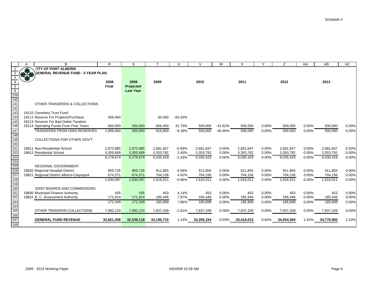| <b>CITY OF PORT ALBERNI</b><br>$\overline{1}$<br>$\overline{2}$<br><b>GENERAL REVENUE FUND - 5 YEAR PLAN</b><br>$\overline{\mathbf{3}}$<br>$\begin{array}{c c c}\n & \text{if } 1 & \text{if } 1 & \text{if } 1 & \text{if } 1 & \text{if } 1 & \text{if } 1 & \text{if } 1 & \text{if } 1 & \text{if } 1 & \text{if } 1 & \text{if } 1 & \text{if } 1 & \text{if } 1 & \text{if } 1 & \text{if } 1 & \text{if } 1 & \text{if } 1 & \text{if } 1 & \text{if } 1 & \text{if } 1 & \text{if } 1 & \text{if } 1 & \text{if } 1 & \text{if } 1 & \text{if } 1 & \text{if } 1$<br>2009<br>2009<br>2010<br>2008<br>2011<br>2012<br>2013<br>Final<br><b>Projected</b><br><b>Last Year</b><br>OTHER TRANSFERS & COLLECTIONS<br>143<br>19110 Cemetery Trust Fund<br>144<br>19111 Reserve For Projects/Purchase<br>$-83.20%$<br>359,464<br>60.400<br>145<br>19113 Reserve For Bad Debts-Taxation<br>146<br>19114 Operating Funds From Prior Years<br>31.75%<br>$-41.62%$<br>0.00%<br>0.00%<br>650,000<br>500,000<br>856,400<br>500,000<br>500,000<br>500,000<br>500,000<br>147<br>500,000<br><b>TRANSFERS FROM OWN RESERVES</b><br>500,000<br>916,800<br>500,000<br>$-45.46%$<br>500,000<br>0.00%<br>500,000<br>0.00%<br>1,009,464<br>$-9.18%$<br>$\frac{11}{148}$<br>$\frac{149}{150}$ | AC             |
|-------------------------------------------------------------------------------------------------------------------------------------------------------------------------------------------------------------------------------------------------------------------------------------------------------------------------------------------------------------------------------------------------------------------------------------------------------------------------------------------------------------------------------------------------------------------------------------------------------------------------------------------------------------------------------------------------------------------------------------------------------------------------------------------------------------------------------------------------------------------------------------------------------------------------------------------------------------------------------------------------------------------------------------------------------------------------------------------------------------------------------------------------------------------------------------------------------------------------------------------------------------------------------|----------------|
|                                                                                                                                                                                                                                                                                                                                                                                                                                                                                                                                                                                                                                                                                                                                                                                                                                                                                                                                                                                                                                                                                                                                                                                                                                                                               |                |
|                                                                                                                                                                                                                                                                                                                                                                                                                                                                                                                                                                                                                                                                                                                                                                                                                                                                                                                                                                                                                                                                                                                                                                                                                                                                               |                |
|                                                                                                                                                                                                                                                                                                                                                                                                                                                                                                                                                                                                                                                                                                                                                                                                                                                                                                                                                                                                                                                                                                                                                                                                                                                                               |                |
|                                                                                                                                                                                                                                                                                                                                                                                                                                                                                                                                                                                                                                                                                                                                                                                                                                                                                                                                                                                                                                                                                                                                                                                                                                                                               |                |
|                                                                                                                                                                                                                                                                                                                                                                                                                                                                                                                                                                                                                                                                                                                                                                                                                                                                                                                                                                                                                                                                                                                                                                                                                                                                               |                |
|                                                                                                                                                                                                                                                                                                                                                                                                                                                                                                                                                                                                                                                                                                                                                                                                                                                                                                                                                                                                                                                                                                                                                                                                                                                                               |                |
|                                                                                                                                                                                                                                                                                                                                                                                                                                                                                                                                                                                                                                                                                                                                                                                                                                                                                                                                                                                                                                                                                                                                                                                                                                                                               |                |
|                                                                                                                                                                                                                                                                                                                                                                                                                                                                                                                                                                                                                                                                                                                                                                                                                                                                                                                                                                                                                                                                                                                                                                                                                                                                               |                |
|                                                                                                                                                                                                                                                                                                                                                                                                                                                                                                                                                                                                                                                                                                                                                                                                                                                                                                                                                                                                                                                                                                                                                                                                                                                                               |                |
|                                                                                                                                                                                                                                                                                                                                                                                                                                                                                                                                                                                                                                                                                                                                                                                                                                                                                                                                                                                                                                                                                                                                                                                                                                                                               |                |
|                                                                                                                                                                                                                                                                                                                                                                                                                                                                                                                                                                                                                                                                                                                                                                                                                                                                                                                                                                                                                                                                                                                                                                                                                                                                               |                |
|                                                                                                                                                                                                                                                                                                                                                                                                                                                                                                                                                                                                                                                                                                                                                                                                                                                                                                                                                                                                                                                                                                                                                                                                                                                                               |                |
|                                                                                                                                                                                                                                                                                                                                                                                                                                                                                                                                                                                                                                                                                                                                                                                                                                                                                                                                                                                                                                                                                                                                                                                                                                                                               |                |
|                                                                                                                                                                                                                                                                                                                                                                                                                                                                                                                                                                                                                                                                                                                                                                                                                                                                                                                                                                                                                                                                                                                                                                                                                                                                               | 0.00%          |
|                                                                                                                                                                                                                                                                                                                                                                                                                                                                                                                                                                                                                                                                                                                                                                                                                                                                                                                                                                                                                                                                                                                                                                                                                                                                               | 0.00%          |
|                                                                                                                                                                                                                                                                                                                                                                                                                                                                                                                                                                                                                                                                                                                                                                                                                                                                                                                                                                                                                                                                                                                                                                                                                                                                               |                |
| COLLECTIONS FOR OTHER GOV'T                                                                                                                                                                                                                                                                                                                                                                                                                                                                                                                                                                                                                                                                                                                                                                                                                                                                                                                                                                                                                                                                                                                                                                                                                                                   |                |
| 151                                                                                                                                                                                                                                                                                                                                                                                                                                                                                                                                                                                                                                                                                                                                                                                                                                                                                                                                                                                                                                                                                                                                                                                                                                                                           |                |
| 19811 Non-Residential School<br>2,873,985<br>2,873,985<br>2.681.647<br>$-6.69%$<br>2,681,647<br>0.00%<br>2,681,647<br>0.00%<br>2,681,647<br>0.00%<br>2,681,647<br>19812 Residential School<br>1.45%<br>0.00%<br>0.00%<br>0.00%<br>3,305,689<br>3,353,782                                                                                                                                                                                                                                                                                                                                                                                                                                                                                                                                                                                                                                                                                                                                                                                                                                                                                                                                                                                                                      | 0.00%<br>0.00% |
| 3,305,689<br>3,353,782<br>3,353,782<br>3,353,782<br>3,353,782                                                                                                                                                                                                                                                                                                                                                                                                                                                                                                                                                                                                                                                                                                                                                                                                                                                                                                                                                                                                                                                                                                                                                                                                                 |                |
| 6,035,429<br>0.00%<br>6,035,429<br>6,035,429<br>0.00%<br>6,179,674<br>6,035,429<br>$-2.33%$<br>0.00%<br>6,035,429<br>6,179,674                                                                                                                                                                                                                                                                                                                                                                                                                                                                                                                                                                                                                                                                                                                                                                                                                                                                                                                                                                                                                                                                                                                                                | 0.00%          |
| <b>REGIONAL GOVERNMENT</b>                                                                                                                                                                                                                                                                                                                                                                                                                                                                                                                                                                                                                                                                                                                                                                                                                                                                                                                                                                                                                                                                                                                                                                                                                                                    |                |
| 19820 Regional Hospital District<br>955,726<br>955,726<br>$-4.59%$<br>911,855<br>0.00%<br>0.00%<br>911,855<br>0.00%<br>911,855<br>911,855<br>911,855                                                                                                                                                                                                                                                                                                                                                                                                                                                                                                                                                                                                                                                                                                                                                                                                                                                                                                                                                                                                                                                                                                                          | 0.00%          |
| 4.42%<br>0.00%<br>0.00%<br>0.00%<br>19821 Regional District Alberni-Clayoquot<br>674,371<br>674,371<br>704,156<br>704,156<br>704,156<br>704,156<br>704,156                                                                                                                                                                                                                                                                                                                                                                                                                                                                                                                                                                                                                                                                                                                                                                                                                                                                                                                                                                                                                                                                                                                    | 0.00%          |
| 1,616,011<br>1,616,011<br>0.00%<br>1,616,011<br>0.00%<br>1,616,011<br>0.00%<br>1,616,011<br>1,630,097<br>1,630,097<br>$-0.86%$                                                                                                                                                                                                                                                                                                                                                                                                                                                                                                                                                                                                                                                                                                                                                                                                                                                                                                                                                                                                                                                                                                                                                | 0.00%          |
|                                                                                                                                                                                                                                                                                                                                                                                                                                                                                                                                                                                                                                                                                                                                                                                                                                                                                                                                                                                                                                                                                                                                                                                                                                                                               |                |
| JOINT BOARDS AND COMMISSIONS                                                                                                                                                                                                                                                                                                                                                                                                                                                                                                                                                                                                                                                                                                                                                                                                                                                                                                                                                                                                                                                                                                                                                                                                                                                  |                |
| 19830 Municipal Finance Authority<br>435<br>435<br>453<br>4.14%<br>453<br>0.00%<br>453<br>0.00%<br>453<br>0.00%                                                                                                                                                                                                                                                                                                                                                                                                                                                                                                                                                                                                                                                                                                                                                                                                                                                                                                                                                                                                                                                                                                                                                               | 453<br>0.00%   |
| 7.87%<br>0.00%<br>0.00%<br>0.00%<br>19831 B. C. Assessment Authority<br>171.914<br>171.914<br>185,446<br>185,446<br>185,446<br>185,446<br>185,446                                                                                                                                                                                                                                                                                                                                                                                                                                                                                                                                                                                                                                                                                                                                                                                                                                                                                                                                                                                                                                                                                                                             | 0.00%          |
| 185,899<br>172,349<br>172,349<br>7.86%<br>185,899<br>0.00%<br>185,899<br>0.00%<br>0.00%<br>185,899<br>185,899                                                                                                                                                                                                                                                                                                                                                                                                                                                                                                                                                                                                                                                                                                                                                                                                                                                                                                                                                                                                                                                                                                                                                                 | 0.00%          |
|                                                                                                                                                                                                                                                                                                                                                                                                                                                                                                                                                                                                                                                                                                                                                                                                                                                                                                                                                                                                                                                                                                                                                                                                                                                                               |                |
| OTHER TRANSFER, COLLECTIONS<br>7,982,120<br>7,982,120<br>7,837,339<br>0.00%<br>7,837,339<br>0.00%<br>7,837,339<br>0.00%<br>$-1.81%$<br>7,837,339<br>7,837,339                                                                                                                                                                                                                                                                                                                                                                                                                                                                                                                                                                                                                                                                                                                                                                                                                                                                                                                                                                                                                                                                                                                 | 0.00%          |
|                                                                                                                                                                                                                                                                                                                                                                                                                                                                                                                                                                                                                                                                                                                                                                                                                                                                                                                                                                                                                                                                                                                                                                                                                                                                               |                |
| 32,539,118<br><b>GENERAL FUND REVENUE</b><br>32,821,308<br>33,195,715<br>0.03%<br>1.14%<br>33,205,154<br>33,416,013<br>0.64%<br>34,054,594<br>1.91%<br>34,770,900                                                                                                                                                                                                                                                                                                                                                                                                                                                                                                                                                                                                                                                                                                                                                                                                                                                                                                                                                                                                                                                                                                             | 2.10%          |
|                                                                                                                                                                                                                                                                                                                                                                                                                                                                                                                                                                                                                                                                                                                                                                                                                                                                                                                                                                                                                                                                                                                                                                                                                                                                               |                |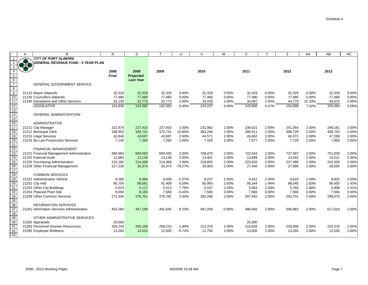|                         | A             | B                                         | R            | S                |         | $\cup$    | V       | W        | X       | ٧     | Z       | AA     | AB      | AC    |
|-------------------------|---------------|-------------------------------------------|--------------|------------------|---------|-----------|---------|----------|---------|-------|---------|--------|---------|-------|
|                         |               | <b>CITY OF PORT ALBERNI</b>               |              |                  |         |           |         |          |         |       |         |        |         |       |
|                         | $\frac{1}{2}$ | <b>GENERAL REVENUE FUND - 5 YEAR PLAN</b> |              |                  |         |           |         |          |         |       |         |        |         |       |
| 3                       |               |                                           |              |                  |         |           |         |          |         |       |         |        |         |       |
|                         |               |                                           | 2008         | 2009             | 2009    |           | 2010    |          | 2011    |       | 2012    |        | 2013    |       |
| 5                       |               |                                           | <b>Final</b> | <b>Projected</b> |         |           |         |          |         |       |         |        |         |       |
| $\frac{6}{7}$           |               |                                           |              | <b>Last Year</b> |         |           |         |          |         |       |         |        |         |       |
|                         |               | <b>GENERAL GOVERNMENT SERVICE</b>         |              |                  |         |           |         |          |         |       |         |        |         |       |
| $\overline{\mathbf{8}}$ |               |                                           |              |                  |         |           |         |          |         |       |         |        |         |       |
| $\overline{9}$          |               | 21110 Mayor-Stipends                      | 32,329       | 32,329           | 32,329  | 0.00%     | 32,329  | 0.00%    | 32,329  | 0.00% | 32,329  | 0.00%  | 32,329  | 0.00% |
| 10                      |               | 21130 Councillors-Stipends                | 77,480       | 77,480           | 77,480  | 0.00%     | 77,480  | 0.00%    | 77,480  | 0.00% | 77,480  | 0.00%  | 77,480  | 0.00% |
| 11                      |               | 21190 Receptions and Other Services       | 32,130       | 32,773           | 32,773  | 2.00%     | 33,428  | 2.00%    | 34,097  | 2.00% | 44,779  | 31.33% | 45,675  | 2.00% |
| 12                      |               | <b>LEGISLATIVE</b>                        | 141,939      | 142,582          | 142,582 | 0.45%     | 143,237 | 0.46%    | 143,906 | 0.47% | 154,588 | 7.42%  | 155,484 | 0.58% |
| 13                      |               |                                           |              |                  |         |           |         |          |         |       |         |        |         |       |
| 14                      |               | <b>GENERAL ADMINISTRATION</b>             |              |                  |         |           |         |          |         |       |         |        |         |       |
| 15                      |               |                                           |              |                  |         |           |         |          |         |       |         |        |         |       |
| 16                      |               | <b>ADMINISTRATIVE</b>                     |              |                  |         |           |         |          |         |       |         |        |         |       |
| 17                      |               | 21211 City Manager                        | 222,974      | 227,433          | 227,433 | 2.00%     | 231.982 | 2.00%    | 236.621 | 2.00% | 241,354 | 2.00%  | 246,181 | 2.00% |
| 18                      |               | 21212 Municipal Clerk                     | 338,952      | 345,731          | 375,731 | 10.85%    | 383.246 | 2.00%    | 390.911 | 2.00% | 398.729 | 2.00%  | 406.703 | 2.00% |
| 19                      |               | 21215 Legal Services                      | 42,840       | 43,697           | 43,697  | 2.00%     | 44,571  | 2.00%    | 45,462  | 2.00% | 46,372  | 2.00%  | 47,299  | 2.00% |
| 20                      |               | 21216 By-Law Prosecution Services         | 7,140        | 7,283            | 7,283   | 2.00%     | 7,429   | 2.00%    | 7,577   | 2.00% | 7,729   | 2.00%  | 7,883   | 2.00% |
| 21                      |               |                                           |              |                  |         |           |         |          |         |       |         |        |         |       |
| 22                      |               | <b>FINANCIAL MANAGEMENT</b>               |              |                  |         |           |         |          |         |       |         |        |         |       |
| 23                      |               | 21221 Financial Management Administration | 680,964      | 694,583          | 694,583 | 2.00%     | 708,475 | 2.00%    | 722,644 | 2.00% | 737,097 | 2.00%  | 751,839 | 2.00% |
| 24                      |               | 21225 External Audit                      | 12,880       | 13,138           | 13,138  | 2.00%     | 13,401  | 2.00%    | 13,669  | 2.00% | 13,942  | 2.00%  | 14,221  | 2.00% |
| 25                      |               | 21226 Purchasing Administration           | 210,165      | 214,368          | 214,368 | 2.00%     | 218,655 | 2.00%    | 223,028 | 2.00% | 227,489 | 2.00%  | 232,039 | 2.00% |
| 26                      |               | 21229 Other Financial Management          | 127,236      | 26,375           | 26,375  | $-79.27%$ | 26,903  | 2.00%    | 27,440  | 2.00% | 27,990  | 2.00%  | 28,550  | 2.00% |
| 27                      |               |                                           |              |                  |         |           |         |          |         |       |         |        |         |       |
| 28                      |               | <b>COMMON SERVICES</b>                    |              |                  |         |           |         |          |         |       |         |        |         |       |
| 29                      |               | 21222 Administration Vehicle              | 9,200        | 9,384            | 9,056   | $-1.57%$  | 9,237   | 2.00%    | 9,422   | 2.00% | 9,610   | 2.00%  | 9,802   | 2.00% |
| 30                      |               | 21252 City Hall                           | 85,754       | 88,081           | 91,409  | 6.59%     | 93,993  | 2.83%    | 95,344  | 1.44% | 98,045  | 2.83%  | 99,450  | 1.43% |
| 31                      |               | 21253 Other City Buildings                | 5,023        | 5,117            | 5,413   | 7.76%     | 5,537   | 2.29%    | 5,663   | 2.28% | 5,765   | 1.80%  | 5,898   | 2.31% |
| 32                      |               | 21254 Plywood Plant Site                  | 8,000        | 8,160            | 7,566   | $-5.43%$  | 7,566   | 0.00%    | 7,566   | 0.00% | 7,566   | 0.00%  | 7,566   | 0.00% |
| 34                      |               | 21259 Other Common Services               | 271,334      | 276,761          | 276,761 | 2.00%     | 282,296 | 2.00%    | 287,942 | 2.00% | 293,701 | 2.00%  | 299,575 | 2.00% |
| 35                      |               |                                           |              |                  |         |           |         |          |         |       |         |        |         |       |
| 36                      |               | <b>INFORMATION SERVICES</b>               |              |                  |         |           |         |          |         |       |         |        |         |       |
| 37                      |               | 21261 Information Services Administration | 454,260      | 447,199          | 491,645 | 8.23%     | 487,200 | $-0.90%$ | 496,945 | 2.00% | 506,883 | 2.00%  | 517,019 | 2.00% |
| 38                      |               |                                           |              |                  |         |           |         |          |         |       |         |        |         |       |
| 39                      |               | OTHER ADMINISTRATIVE SERVICES             |              |                  |         |           |         |          |         |       |         |        |         |       |
| 40                      |               | 21282 Appraisals                          | 20,000       |                  |         |           |         |          | 25,000  |       |         |        |         |       |
| 41                      |               | 21283 Personnel (Human Resources)         | 204,243      | 200,168          | 208,214 | 1.94%     | 212,378 | 2.00%    | 216,626 | 2.00% | 220,958 | 2.00%  | 225,378 | 2.00% |
| 42                      |               | 21285 Employee Wellness                   | 13,260       | 13,525           | 12,500  | $-5.73%$  | 12,750  | 2.00%    | 13,005  | 2.00% | 13,265  | 2.00%  | 13,530  | 2.00% |
| 43                      |               |                                           |              |                  |         |           |         |          |         |       |         |        |         |       |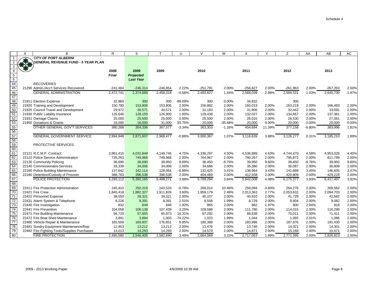|                 | А             | B                                            | R.               | S                | т                | $\cup$    | $\vee$           | W         | X          | Y        | Z          | AA       | AB         | AC    |
|-----------------|---------------|----------------------------------------------|------------------|------------------|------------------|-----------|------------------|-----------|------------|----------|------------|----------|------------|-------|
| $\mathbf{1}$    |               | <b>CITY OF PORT ALBERNI</b>                  |                  |                  |                  |           |                  |           |            |          |            |          |            |       |
| $\overline{2}$  | $\frac{1}{2}$ | <b>GENERAL REVENUE FUND - 5 YEAR PLAN</b>    |                  |                  |                  |           |                  |           |            |          |            |          |            |       |
| 3               |               |                                              |                  |                  |                  |           |                  |           |            |          |            |          |            |       |
| $\overline{4}$  |               |                                              | 2008             | 2009             | 2009             |           | 2010             |           | 2011       |          | 2012       |          | 2013       |       |
| $\overline{5}$  |               |                                              | Final            | <b>Projected</b> |                  |           |                  |           |            |          |            |          |            |       |
| 6               |               |                                              |                  | <b>Last Year</b> |                  |           |                  |           |            |          |            |          |            |       |
| 44              |               | <b>RECOVERIES</b>                            |                  |                  |                  |           |                  |           |            |          |            |          |            |       |
| 45              |               | 21290 Admin./Acc't Services Recovered        | $-241,484$       | $-246,314$       | $-246,854$       | 2.22%     | $-251,791$       | 2.00%     | $-256,827$ | 2.00%    | $-261,963$ | 2.00%    | $-267,203$ | 2.00% |
| 46              |               | <b>GENERAL ADMINISTRATION</b>                | 2,472,741        | 2,374,689        | 2,458,318        | $-0.58%$  | 2,493,827        | 1.44%     | 2,568,039  | 2.98%    | 2,594,531  | 1.03%    | 2,645,730  | 1.97% |
| 47              |               |                                              |                  |                  |                  |           |                  |           |            |          |            |          |            |       |
| 48              |               | 21911 Election Expense                       | 32,860           | 300              | 300              | -99.09%   | 300              | 0.00%     | 34,832     |          | 300        |          |            |       |
| 49              |               | 21920 Training and Development               | 150,790          | 153,806          | 153,806          | 2.00%     | 156,882          | 2.00%     | 160,019    | 2.00%    | 163,219    | 2.00%    | 166,483    | 2.00% |
| 50              |               | 21925 Council Travel and Development         | 29,972           | 30,571           | 30,571           | 2.00%     | 31,183           | 2.00%     | 31,806     | 2.00%    | 32,442     | 2.00%    | 33,091     | 2.00% |
| 51              |               | 21930 Public Liability Insurance             | 125,646          | 128,159          | 126,900          | 1.00%     | 129,438          | 2.00%     | 132,027    | 2.00%    | 134,667    | 2.00%    | 137,361    | 2.00% |
| 52              |               | 21931 Damage Claims                          | 25,000           | 25,500           | 25,000           | 0.00%     | 25,500           | 2.00%     | 26,010     | 2.00%    | 26,530     | 2.00%    | 27,061     | 2.00% |
| 53              |               | 21950 Donations & Grants                     | 16,000           | 16,000           | 31,000           | 93.75%    | 20,000           | $-35.48%$ | 20,000     | 0.00%    | 20,000     | 0.00%    | 20,000     | 0.00% |
| 55              |               | OTHER GENERAL GOV'T SERVICES                 | 380,268          | 354,336          | 367,577          | $-3.34%$  | 363,303          | $-1.16%$  | 404,694    | 11.39%   | 377,158    | $-6.80%$ | 383,996    | 1.81% |
| 56              |               |                                              |                  |                  |                  |           |                  |           |            |          |            |          |            |       |
| 57              |               | <b>GENERAL GOVERNMENT SERVICE</b>            | 2,994,948        | 2,871,607        | 2,968,477        | $-0.88%$  | 3,000,367        | 1.07%     | 3,116,639  | 3.88%    | 3,126,277  | 0.31%    | 3,185,210  | 1.89% |
| 58              |               |                                              |                  |                  |                  |           |                  |           |            |          |            |          |            |       |
| 59              |               | PROTECTIVE SERVICES                          |                  |                  |                  |           |                  |           |            |          |            |          |            |       |
| 60              |               |                                              |                  |                  |                  |           |                  |           |            |          |            |          |            |       |
| 61              |               | 22121 R.C.M.P. Contract                      | 3,961,415        | 4,032,849        | 4,149,745        | 4.75%     | 4,336,297        | 4.50%     | 4,536,889  | 4.63%    | 4,744,470  | 4.58%    | 4,953,028  | 4.40% |
| 62              |               | 22122 Police Service Administration          | 735,263          | 749,968          | 749,968          | 2.00%     | 764,967          | 2.00%     | 780,267    | 2.00%    | 795,872    | 2.00%    | 811,789    | 2.00% |
| 63              |               | 22130 Community Policing                     | 36,690           | 36,690           | 39,950           | 8.89%     | 36,450           | $-8.76%$  | 39,950     | 9.60%    | 36,450     | $-8.76%$ | 39,950     | 9.60% |
| 64              |               | 22140 Commissionaire Services                | 33,339           | 34,006           | 34,006           | 2.00%     | 34,686           | 2.00%     | 35,380     | 2.00%    | 36,087     | 2.00%    | 36,809     | 2.00% |
| 65              |               | 22160 Police Building Maintenance            | 137,642          | 142,114          | 128,064          | $-6.96%$  | 132,425          | 3.41%     | 136,964    | 3.43%    | 141,688    | 3.45%    | 146,605    | 3.47% |
| 66              |               | 22180 Detention/Custody of Prisoner          | 388,763          | 396,538          | 396,538          | 2.00%     | 404,469          | 2.00%     | 412,558    | 2.00%    | 420,809    | 2.00%    | 429,226    | 2.00% |
| 67              |               | POLICE PROTECTION                            | 5,293,112        | 5,392,165        | 5,498,271        | 3.88%     | 5,709,294        | 3.84%     | 5,942,008  | 4.08%    | 6,175,377  | 3.93%    | 6,417,407  | 3.92% |
| 68              |               |                                              |                  |                  |                  |           |                  |           |            |          |            |          |            |       |
| 69              |               | 22411 Fire Protection Administration         | 245,410          | 250,318          | 243,533          | $-0.76%$  | 269,014          | 10.46%    | 259,094    | $-3.69%$ | 264,276    | 2.00%    | 269,562    | 2.00% |
| 70              |               | 22421 Fire Crew                              | 1,845,418        | 1,882,327        | 1,911,826        | 3.60%     | 1,959,179        | 2.48%     | 2,013,363  | 2.77%    | 2,053,631  | 2.00%    | 2,094,703  | 2.00% |
| 71              |               | 22422 Personnel Expense                      | 38,550           | 39,321           | 39,321           | 2.00%     | 40,107           | 2.00%     | 40,910     | 2.00%    | 41,728     | 2.00%    | 42,562     | 2.00% |
| 72              |               | 22431 Alarm System & Telephone               | 8,226            | 8,391            | 8,391            | 2.01%     | 8,558            | 1.99%     | 8,729      | 2.00%    | 8,904      | 2.00%    | 9,082      | 2.00% |
| 73              |               | 22440 Fire Investigation                     | 832              | 849              | 848              | 1.92%     | 865              | 2.00%     | 882        | 1.97%    | 900        | 2.04%    | 918        | 2.00% |
| 74              |               | 22441 Fire Prevention                        | 104,058          | 106,138          | 107,439          | 3.25%     | 109,588          | 2.00%     | 111,780    | 2.00%    | 114,015    | 2.00%    | 116,296    | 2.00% |
| 75              |               | 22471 Fire Building Maintenance              | 56,720           | 57,855           | 65,973           | 16.31%    | 67,292           | 2.00%     | 68,638     | 2.00%    | 70,011     | 2.00%    | 71,411     | 2.00% |
| 76              |               | 22472 Fire Boat Shed Maintenance             | 3,891            | 3,894            | 1,003            | $-74.22%$ | 1,023            | 1.99%     | 1.044      | 2.05%    | 1.065      | 2.01%    | 1.086      | 2.00% |
| $\overline{77}$ |               | 22480 Vehicle Repair & Maintenance           | 165,509          | 169,807          | 176,851          | 6.85%     | 180,388          | 2.00%     | 183,996    | 2.00%    | 187,676    | 2.00%    | 191,430    | 2.00% |
| 78              |               |                                              |                  |                  |                  | 2.00%     |                  | 2.00%     | 13,746     | 2.00%    | 14,021     | 2.00%    | 14,301     | 2.00% |
| 79              |               | 22481 Sundry Equipment Maintenance/Rep       | 12,953<br>14,013 | 13,212<br>14,293 | 13,212<br>14,293 | 2.00%     | 13,476<br>14,579 | 2.00%     | 14,871     | 2.00%    | 15,168     | 2.00%    | 15,471     | 2.00% |
|                 |               | 22482 Fire Fighting Tools/Supplies Purchases |                  |                  |                  |           |                  |           |            |          |            |          |            |       |
| 80              |               | <b>FIRE PROTECTION</b>                       | 2,495,580        | 2,546,405        | 2,582,690        | 3.49%     | 2,664,069        | 3.15%     | 2,717,053  | 1.99%    | 2,771,395  | 2.00%    | 2,826,823  | 2.00% |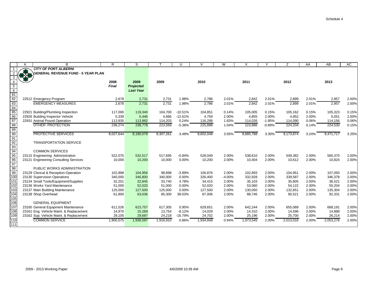|                                    | A | B                                                                         | R                 | S                                    |                   | U                    | $\vee$            | W              | X                 |                | Z                 | AA             | AB                | AC             |
|------------------------------------|---|---------------------------------------------------------------------------|-------------------|--------------------------------------|-------------------|----------------------|-------------------|----------------|-------------------|----------------|-------------------|----------------|-------------------|----------------|
|                                    |   | <b>CITY OF PORT ALBERNI</b>                                               |                   |                                      |                   |                      |                   |                |                   |                |                   |                |                   |                |
|                                    |   | <b>GENERAL REVENUE FUND - 5 YEAR PLAN</b>                                 |                   |                                      |                   |                      |                   |                |                   |                |                   |                |                   |                |
|                                    |   |                                                                           |                   |                                      |                   |                      |                   |                |                   |                |                   |                |                   |                |
|                                    |   |                                                                           | 2008              | 2009                                 | 2009              |                      | 2010              |                | 2011              |                | 2012              |                | 2013              |                |
| 5<br>6                             |   |                                                                           | <b>Final</b>      | <b>Projected</b><br><b>Last Year</b> |                   |                      |                   |                |                   |                |                   |                |                   |                |
|                                    |   |                                                                           |                   |                                      |                   |                      |                   |                |                   |                |                   |                |                   |                |
| $\frac{81}{82}$<br>$\frac{82}{83}$ |   | 22512 Emergency Program                                                   | 2,678             | 2,731                                | 2,731             | 1.98%                | 2,786             | 2.01%          | 2,842             | 2.01%          | 2,899             | 2.01%          | 2,957             | 2.00%          |
|                                    |   | <b>EMERGENCY MEASURES</b>                                                 | 2,678             | 2,731                                | 2,731             | 1.98%                | 2,786             | 2.01%          | 2,842             | 2.01%          | 2,899             | 2.01%          | 2,957             | 2.00%          |
| 84                                 |   |                                                                           |                   |                                      |                   |                      |                   |                |                   |                |                   |                |                   |                |
| $\frac{1}{85}$                     |   | 22921 Building/Plumbing Inspection                                        | 117,000           | 119,340                              | 104,700           | $-10.51%$            | 104,851           | 0.14%          | 105,005           | 0.15%          | 105,162           | 0.15%          | 105,323           | 0.15%          |
| 86                                 |   | 22926 Building Inspector Vehicle                                          | 5,339             | 5,446                                | 4,666             | $-12.61%$            | 4,759             | 2.00%          | 4,855             | 2.00%          | 4,952             | 2.00%          | 5,051             | 2.00%          |
| 87                                 |   | 22931 Animal Pound Operation                                              | 113,935           | 113,992                              | 114,203           | 0.24%                | 116,288           | 1.83%          | 114,026           | $-1.95%$       | 114,090           | 0.06%          | 114,156           | 0.06%          |
| 88                                 |   | OTHER PROTECTION                                                          | 236,274           | 238,778                              | 223,569           | $-5.38%$             | 225,898           | 1.04%          | 223,886           | $-0.89%$       | 224,204           | 0.14%          | 224,530           | 0.15%          |
| 89                                 |   |                                                                           |                   |                                      |                   |                      |                   |                |                   |                |                   |                |                   |                |
| 90                                 |   | PROTECTIVE SERVICES                                                       | 8,027,644         | 8,180,079                            | 8,307,261         | 3.48%                | 8,602,048         | 3.55%          | 8,885,788         | 3.30%          | 9,173,874         | 3.24%          | 9,471,717         | 3.25%          |
| 91                                 |   |                                                                           |                   |                                      |                   |                      |                   |                |                   |                |                   |                |                   |                |
| 92                                 |   | <b>TRANSPORTATION SERVICE</b>                                             |                   |                                      |                   |                      |                   |                |                   |                |                   |                |                   |                |
| 93                                 |   |                                                                           |                   |                                      |                   |                      |                   |                |                   |                |                   |                |                   |                |
| 94<br>95                           |   | <b>COMMON SERVICES</b>                                                    |                   |                                      |                   |                      |                   |                |                   |                |                   |                |                   |                |
| 96                                 |   | 23110 Engineering Administration<br>23121 Engineering Consulting Services | 522,075<br>10,000 | 532,517<br>10,200                    | 517,695<br>10,000 | $-0.84%$<br>$0.00\%$ | 528,049<br>10,200 | 2.00%<br>2.00% | 538,610<br>10.404 | 2.00%<br>2.00% | 549,382<br>10,612 | 2.00%<br>2.00% | 560,370<br>10,824 | 2.00%<br>2.00% |
| 97                                 |   |                                                                           |                   |                                      |                   |                      |                   |                |                   |                |                   |                |                   |                |
| 98                                 |   | PUBLIC WORKS ADMINISTRATION                                               |                   |                                      |                   |                      |                   |                |                   |                |                   |                |                   |                |
| 99                                 |   | 23129 Clerical & Reception-Operation                                      | 102,898           | 104,956                              | 98,898            | $-3.89%$             | 100,876           | 2.00%          | 102,893           | 2.00%          | 104,951           | 2.00%          | 107,050           | 2.00%          |
| 100                                |   | 23130 Supervision Operations                                              | 340,000           | 346,800                              | 340,000           | 0.00%                | 326,400           | $-4.00%$       | 332,928           | 2.00%          | 339,587           | 2.00%          | 346,378           | 2.00%          |
| 101                                |   | 23134 Small Tools/Equipment/Supplies                                      | 32,201            | 32,845                               | 33,740            | 4.78%                | 34,415            | 2.00%          | 35,103            | 2.00%          | 35,805            | 2.00%          | 36,521            | 2.00%          |
| 102                                |   | 23136 Works Yard Maintenance                                              | 51,000            | 52,020                               | 51,000            | 0.00%                | 52,020            | 2.00%          | 53,060            | 2.00%          | 54,122            | 2.00%          | 55,204            | 2.00%          |
| 103                                |   | 23137 Main Building Maintenance                                           | 125,000           | 127,500                              | 125,000           | $0.00\%$             | 127,500           | 2.00%          | 130,050           | 2.00%          | 132,651           | 2.00%          | 135,304           | 2.00%          |
| 104                                |   | 23138 Shop Overhead                                                       | 61,800            | 63,036                               | 85,300            | 38.03%               | 87,006            | 2.00%          | 88,746            | 2.00%          | 90,521            | 2.00%          | 92,331            | 2.00%          |
| 105                                |   |                                                                           |                   |                                      |                   |                      |                   |                |                   |                |                   |                |                   |                |
| 106                                |   | <b>GENERAL EQUIPMENT</b>                                                  |                   |                                      |                   |                      |                   |                |                   |                |                   |                |                   |                |
| 107                                |   | 23160 General Equipment Maintenance                                       | 611,526           | 623,757                              | 617,305           | 0.95%                | 629,651           | 2.00%          | 642,244           | 2.00%          | 655,089           | 2.00%          | 668,191           | 2.00%          |
| 108                                |   | 23161 Eng. Vehicle Maint. & Replacement                                   | 14,970            | 15,269                               | 13,754            | $-8.12%$             | 14,029            | 2.00%          | 14,310            | 2.00%          | 14,596            | 2.00%          | 14,888            | 2.00%          |
| 109                                |   | 23162 Sup. Vehicle Maint. & Replacement                                   | 29,105            | 29,687                               | 24,218            | -16.79%              | 24,702            | 2.00%          | 25,196            | 2.00%          | 25,700            | 2.00%          | 26,214            | 2.00%          |
| 110<br>111                         |   | <b>COMMON SERVICE</b>                                                     | 1,900,575         | 1,938,587                            | 1,916,910         | 0.86%                | 1.934.848         | 0.94%          | 1,973,545         | 2.00%          | 2,013,016         | 2.00%          | 2,053,276         | 2.00%          |
|                                    |   |                                                                           |                   |                                      |                   |                      |                   |                |                   |                |                   |                |                   |                |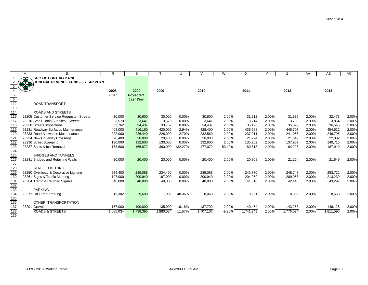|                                                            |                       | B                                         | R.           | S                |           | $\mathsf{I}$ | $\mathcal{U}$ | W         |           |       | Ζ         | AA    | AB        | AC    |
|------------------------------------------------------------|-----------------------|-------------------------------------------|--------------|------------------|-----------|--------------|---------------|-----------|-----------|-------|-----------|-------|-----------|-------|
|                                                            |                       | <b>CITY OF PORT ALBERNI</b>               |              |                  |           |              |               |           |           |       |           |       |           |       |
|                                                            | $\mathbf{B}_{\alpha}$ | <b>GENERAL REVENUE FUND - 5 YEAR PLAN</b> |              |                  |           |              |               |           |           |       |           |       |           |       |
|                                                            |                       |                                           |              |                  |           |              |               |           |           |       |           |       |           |       |
|                                                            |                       |                                           | 2008         | 2009             | 2009      |              | 2010          |           | 2011      |       | 2012      |       | 2013      |       |
|                                                            |                       |                                           | <b>Final</b> | Projected        |           |              |               |           |           |       |           |       |           |       |
| $\begin{array}{r} 5 \\ \hline 6 \\ \hline 112 \end{array}$ |                       |                                           |              | <b>Last Year</b> |           |              |               |           |           |       |           |       |           |       |
|                                                            |                       | <b>ROAD TRANSPORT</b>                     |              |                  |           |              |               |           |           |       |           |       |           |       |
| 113                                                        |                       |                                           |              |                  |           |              |               |           |           |       |           |       |           |       |
| 114                                                        |                       | ROADS AND STREETS                         |              |                  |           |              |               |           |           |       |           |       |           |       |
| 116                                                        |                       | 23205 Customer Service Requests - Streets | 30,000       | 30,600           | 30,000    | 0.00%        | 30,600        | 2.00%     | 31,212    | 2.00% | 31,836    | 2.00% | 32,473    | 2.00% |
| 117                                                        |                       | 23210 Small Tools/Supplies - Streets      | 3,570        | 3,641            | 3,570     | 0.00%        | 3,641         | 2.00%     | 3,714     | 2.00% | 3,789     | 2.00% | 3,864     | 2.00% |
| $\overline{118}$                                           |                       | 23220 Streets Inspections                 | 33,762       | 34,437           | 33,762    | 0.00%        | 34,437        | 2.00%     | 35,126    | 2.00% | 35,829    | 2.00% | 36,545    | 2.00% |
| 119                                                        |                       | 23231 Roadway Surfaces Maintenance        | 408,000      | 416,160          | 420,000   | 2.94%        | 428,400       | 2.00%     | 436,968   | 2.00% | 445,707   | 2.00% | 454,622   | 2.00% |
| 120                                                        |                       | 23233 Road Allowance Maintenance          | 222,000      | 226,440          | 228,000   | 2.70%        | 232,560       | 2.00%     | 237,211   | 2.00% | 241,955   | 2.00% | 246,795   | 2.00% |
| 121                                                        |                       | 23234 New Driveway Crossings              | 20,400       | 20,808           | 20,400    | 0.00%        | 20,808        | 2.00%     | 21,224    | 2.00% | 21,649    | 2.00% | 22,082    | 2.00% |
| 122                                                        |                       | 23236 Street Sweeping                     | 130,000      | 132,600          | 130,000   | 0.00%        | 132,600       | 2.00%     | 135,252   | 2.00% | 137,957   | 2.00% | 140,716   | 2.00% |
| 123                                                        |                       | 23237 Snow & Ice Removal                  | 163,600      | 166,872          | 380,000   | 132.27%      | 177,072       | $-53.40%$ | 180,613   | 2.00% | 184,226   | 2.00% | 187,910   | 2.00% |
| $\frac{124}{125}$                                          |                       |                                           |              |                  |           |              |               |           |           |       |           |       |           |       |
|                                                            |                       | <b>BRIDGES AND TUNNELS</b>                |              |                  |           |              |               |           |           |       |           |       |           |       |
| 126<br>127                                                 | 23241                 | <b>Bridges and Retaining Walls</b>        | 20,000       | 20,400           | 20,000    | $0.00\%$     | 20,400        | 2.00%     | 20,808    | 2.00% | 21,224    | 2.00% | 21,649    | 2.00% |
|                                                            |                       |                                           |              |                  |           |              |               |           |           |       |           |       |           |       |
| 128                                                        |                       | <b>STREET LIGHTING</b>                    |              |                  |           |              |               |           |           |       |           |       |           |       |
| 129                                                        |                       | 23250 Overhead & Decorative Lighting      | 234,400      | 239,088          | 234,400   | 0.00%        | 239,088       | 2.00%     | 243,870   | 2.00% | 248,747   | 2.00% | 253,722   | 2.00% |
| 130                                                        |                       | 23261 Signs & Traffic Marking             | 197,000      | 200,940          | 197,000   | 0.00%        | 200,940       | 2.00%     | 204,959   | 2.00% | 209,058   | 2.00% | 213,239   | 2.00% |
| 131                                                        |                       | 23264 Traffic & Railroad Signals          | 40,000       | 40,800           | 40,000    | 0.00%        | 40,800        | 2.00%     | 41,616    | 2.00% | 42,448    | 2.00% | 43,297    | 2.00% |
| 132                                                        |                       |                                           |              |                  |           |              |               |           |           |       |           |       |           |       |
| 133                                                        |                       | <b>PARKING</b>                            |              |                  |           |              |               |           |           |       |           |       |           |       |
| 134                                                        |                       | 23272 Off-Street Parking                  | 15,302       | 15,608           | 7,902     | -48.36%      | 8,060         | 2.00%     | 8,221     | 2.00% | 8,386     | 2.00% | 8,553     | 2.00% |
| 135                                                        |                       |                                           |              |                  |           |              |               |           |           |       |           |       |           |       |
| 136                                                        |                       | OTHER TRANSPORTATION                      |              |                  |           |              |               |           |           |       |           |       |           |       |
| 137                                                        |                       | 23291 Gravel                              | 167,000      | 190,000          | 135,000   | $-19.16%$    | 137,700       | 2.00%     | 140,454   | 2.00% | 143,263   | 2.00% | 146,128   | 2.00% |
| 138                                                        |                       | <b>ROADS &amp; STREETS</b>                | 1,685,034    | 1,738,395        | 1,880,034 | 11.57%       | 1,707,107     | $-9.20%$  | 1,741,249 | 2.00% | 1,776,074 | 2.00% | 1,811,595 | 2.00% |
| 139                                                        |                       |                                           |              |                  |           |              |               |           |           |       |           |       |           |       |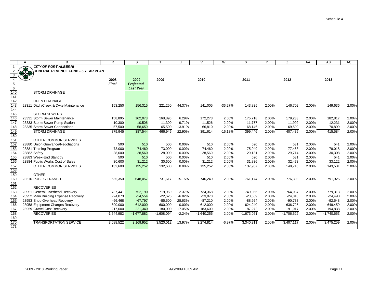|                   | Α     | B                                         | R            | S                |              | U         | $\vee$       | W         | X            |       | Ζ            | AA    | AB           | AC    |
|-------------------|-------|-------------------------------------------|--------------|------------------|--------------|-----------|--------------|-----------|--------------|-------|--------------|-------|--------------|-------|
| $\overline{1}$    |       | <b>CITY OF PORT ALBERNI</b>               |              |                  |              |           |              |           |              |       |              |       |              |       |
|                   | 好好    | <b>GENERAL REVENUE FUND - 5 YEAR PLAN</b> |              |                  |              |           |              |           |              |       |              |       |              |       |
| 3                 |       |                                           |              |                  |              |           |              |           |              |       |              |       |              |       |
|                   |       |                                           | 2008         | 2009             | 2009         |           | 2010         |           | 2011         |       | 2012         |       | 2013         |       |
| $\overline{5}$    |       |                                           | <b>Final</b> | <b>Projected</b> |              |           |              |           |              |       |              |       |              |       |
| $\frac{6}{140}$   |       |                                           |              | <b>Last Year</b> |              |           |              |           |              |       |              |       |              |       |
| 141               |       | <b>STORM DRAINAGE</b>                     |              |                  |              |           |              |           |              |       |              |       |              |       |
| 142               |       | <b>OPEN DRAINAGE</b>                      |              |                  |              |           |              |           |              |       |              |       |              |       |
| 143               | 23311 | Ditch/Creek & Dyke Maintenance            |              |                  | 221,250      | 44.37%    | 141,005      | $-36.27%$ | 143,825      | 2.00% | 146,702      | 2.00% | 149,636      | 2.00% |
|                   |       |                                           | 153,250      | 156,315          |              |           |              |           |              |       |              |       |              |       |
| $\frac{144}{145}$ |       | <b>STORM SEWERS</b>                       |              |                  |              |           |              |           |              |       |              |       |              |       |
| 146               |       | 23331 Storm Sewer Maintenance             | 158,895      | 162,073          | 168,895      | 6.29%     | 172,273      | 2.00%     | 175,718      | 2.00% | 179,233      | 2.00% | 182,817      | 2.00% |
| 147               |       | 23333 Storm Sewer Pump Station            | 10,300       | 10,506           | 11,300       | 9.71%     | 11,526       | 2.00%     | 11,757       | 2.00% | 11,992       | 2.00% | 12,231       | 2.00% |
| $\overline{148}$  |       | 23335 Storm Sewer Connections             | 57,500       | 58,650           | 65,500       | 13.91%    | 66,810       | 2.00%     | 68,146       | 2.00% | 69,509       | 2.00% | 70,899       | 2.00% |
| 149               |       | <b>STORM DRAINAGE</b>                     | 379,945      | 387,544          | 466,945      | 22.90%    | 391,614      | $-16.13%$ | 399,446      | 2.00% | 407,435      | 2.00% | 415,584      | 2.00% |
| $\overline{150}$  |       |                                           |              |                  |              |           |              |           |              |       |              |       |              |       |
| 151               |       | OTHER COMMON SERVICES                     |              |                  |              |           |              |           |              |       |              |       |              |       |
| $\overline{152}$  |       | 23880 Union Grievance/Negotiations        | 500          | 510              | 500          | $0.00\%$  | 510          | 2.00%     | 520          | 2.00% | 531          | 2.00% | 541          | 2.00% |
| 153               |       | 23881 Training Program                    | 73,000       | 74,460           | 73,000       | 0.00%     | 74,460       | 2.00%     | 75,949       | 2.00% | 77,468       | 2.00% | 79,018       | 2.00% |
| 154               |       | 23882 Safety                              | 28,000       | 28,560           | 28,000       | 0.00%     | 28,560       | 2.00%     | 29,131       | 2.00% | 29,714       | 2.00% | 30,308       | 2.00% |
| 155               |       | 23883 Week-End Standby                    | 500          | 510              | 500          | 0.00%     | 510          | 2.00%     | 520          | 2.00% | 531          | 2.00% | 541          | 2.00% |
| 156               |       | 23884 Public Works Cost of Sales          | 30,600       | 31,212           | 30,600       | $0.00\%$  | 31,212       | 2.00%     | 31,836       | 2.00% | 32,473       | 2.00% | 33,122       | 2.00% |
| $\frac{1}{157}$   |       | OTHER COMMON SERVICES                     | 132,600      | 135,252          | 132,600      | 0.00%     | 135,252      | 2.00%     | 137,957      | 2.00% | 140,716      | 2.00% | 143,531      | 2.00% |
| 158               |       |                                           |              |                  |              |           |              |           |              |       |              |       |              |       |
| 159               |       | <b>OTHER</b>                              |              |                  |              |           |              |           |              |       |              |       |              |       |
| 160               |       | 23510 PUBLIC TRANSIT                      | 635,350      | 648,057          | 731,617      | 15.15%    | 746,249      | 2.00%     | 761,174      | 2.00% | 776,398      | 2.00% | 791,926      | 2.00% |
| $\overline{161}$  |       |                                           |              |                  |              |           |              |           |              |       |              |       |              |       |
| $\overline{162}$  |       | <b>RECOVERIES</b>                         |              |                  |              |           |              |           |              |       |              |       |              |       |
| 163               |       | 23951 General Overhead Recovery           | $-737,441$   | $-752,190$       | $-719,969$   | $-2.37%$  | $-734,368$   | 2.00%     | $-749,056$   | 2.00% | $-764,037$   | 2.00% | $-779,318$   | 2.00% |
| 164               |       | 23952 Main Building Expense Recovery      | $-24,073$    | $-24,554$        | $-22,625$    | $-6.02%$  | $-23,078$    | 2.00%     | $-23,539$    | 2.00% | $-24,010$    | 2.00% | $-24,490$    | 2.00% |
| 165               |       | 23953 Shop Overhead Recovery              | $-66,468$    | $-67,797$        | $-85,500$    | 28.63%    | $-87,210$    | 2.00%     | $-88,954$    | 2.00% | $-90,733$    | 2.00% | $-92,548$    | 2.00% |
| 166               |       | 23958 Equipment Charges Recovery          | $-600,000$   | $-612,000$       | $-600,000$   | $0.00\%$  | $-612,000$   | 2.00%     | $-624,240$   | 2.00% | $-636,725$   | 2.00% | $-649,459$   | 2.00% |
| 167               |       | 23959 Gravel Cost Recovery                | $-217,000$   | $-221,340$       | $-180,000$   | $-17.05%$ | $-183,600$   | 2.00%     | $-187,272$   | 2.00% | $-191,017$   | 2.00% | $-194,838$   | 2.00% |
| 168               |       | <b>RECOVERIES</b>                         | $-1,644,982$ | $-1,677,882$     | $-1,608,094$ | $-2.24%$  | $-1,640,256$ | 2.00%     | $-1,673,061$ | 2.00% | $-1,706,522$ | 2.00% | $-1,740,653$ | 2.00% |
| 169               |       |                                           |              |                  |              |           |              |           |              |       |              |       |              |       |
| 170<br>171        |       | <b>TRANSPORTATION SERVICE</b>             | 3,088,522    | 3,169,952        | 3,520,012    | 13.97%    | 3,274,814    | $-6.97%$  | 3,340,311    | 2.00% | 3,407,117    | 2.00% | 3,475,259    | 2.00% |
|                   |       |                                           |              |                  |              |           |              |           |              |       |              |       |              |       |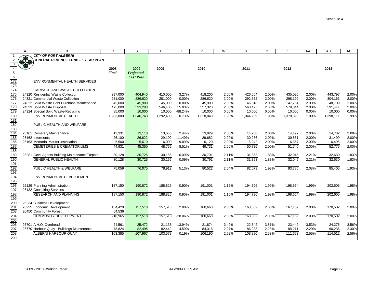|                                  | A             | B                                              | R            | S                |           | $\cup$    | $\vee$    | W     | X         |       | Z         | AA    | $\overline{AB}$ | AC    |
|----------------------------------|---------------|------------------------------------------------|--------------|------------------|-----------|-----------|-----------|-------|-----------|-------|-----------|-------|-----------------|-------|
| $\overline{1}$                   |               | <b>CITY OF PORT ALBERNI</b>                    |              |                  |           |           |           |       |           |       |           |       |                 |       |
| 2                                | $\frac{1}{2}$ | <b>GENERAL REVENUE FUND - 5 YEAR PLAN</b>      |              |                  |           |           |           |       |           |       |           |       |                 |       |
| $\mathbf{3}$                     |               |                                                |              |                  |           |           |           |       |           |       |           |       |                 |       |
| $\overline{4}$                   |               |                                                | 2008         | 2009             | 2009      |           | 2010      |       | 2011      |       | 2012      |       | 2013            |       |
| $rac{5}{172}$<br>$rac{172}{173}$ |               |                                                | <b>Final</b> | <b>Projected</b> |           |           |           |       |           |       |           |       |                 |       |
|                                  |               |                                                |              | <b>Last Year</b> |           |           |           |       |           |       |           |       |                 |       |
|                                  |               | ENVIRONMENTAL HEALTH SERVICES                  |              |                  |           |           |           |       |           |       |           |       |                 |       |
|                                  |               |                                                |              |                  |           |           |           |       |           |       |           |       |                 |       |
| 174                              |               | <b>GARBAGE AND WASTE COLLECTION</b>            |              |                  |           |           |           |       |           |       |           |       |                 |       |
| 175                              |               | 24320 Residential Waste Collection             | 397,000      | 404,940          | 410,000   | 3.27%     | 418,200   | 2.00% | 426,564   | 2.00% | 435,095   | 2.00% | 443,797         | 2.00% |
| 176                              |               | 24321 Commercial Waste Collection              | 281,000      | 286,620          | 281,000   | 0.00%     | 286,620   | 2.00% | 292,352   | 2.00% | 298,199   | 2.00% | 304,163         | 2.00% |
| 177                              |               | 24322 Solid Waste Cont Purchase/Maintenance    | 45,000       | 45,900           | 45,000    | 0.00%     | 45,900    | 2.00% | 46,818    | 2.00% | 47,754    | 2.00% | 48,709          | 2.00% |
| 178                              |               | 24323 Solid Waste Disposal                     | 475,000      | 593,283          | 546,400   | 15.03%    | 557,328   | 2.00% | 568,475   | 2.00% | 579,844   | 2.00% | 591,441         | 2.00% |
| 179                              |               | 24324 Special Solid Waste-Recycling            | 85,000       | 10,000           | 10,000    | $-88.24%$ | 10,000    | 0.00% | 10,000    | 0.00% | 10,000    | 0.00% | 10,000          | 0.00% |
| 180                              |               | ENVIRONMENTAL HEALTH                           | 1,283,000    | 1,340,743        | 1,292,400 | 0.73%     | 1,318,048 | 1.98% | 1,344,209 | 1.98% | 1,370,893 | 1.99% | 1,398,111       | 1.99% |
| 181                              |               |                                                |              |                  |           |           |           |       |           |       |           |       |                 |       |
| 182                              |               | PUBLIC HEALTH AND WELFARE                      |              |                  |           |           |           |       |           |       |           |       |                 |       |
| 183                              |               |                                                |              |                  |           |           |           |       |           |       |           |       |                 |       |
| 184                              |               | 25161 Cemetery Maintenance                     | 13,331       | 13,118           | 13,656    | 2.44%     | 13,929    | 2.00% | 14,208    | 2.00% | 14,492    | 2.00% | 14,782          | 2.00% |
| 185                              |               | 25162 Interments                               | 26,100       | 26,622           | 29,100    | 11.49%    | 29,682    | 2.00% | 30,276    | 2.00% | 30,881    | 2.00% | 31,499          | 2.00% |
| 186                              |               | 25163 Memorial Marker Installation             | 5,500        | 5,610            | 6,000     | 9.09%     | 6,120     | 2.00% | 6,242     | 2.00% | 6,367     | 2.00% | 6,495           | 2.00% |
| 187                              |               | <b>CEMETERIES &amp; CREMATORIUMS</b>           | 44,931       | 45,350           | 48,756    | 8.51%     | 49,731    | 2.00% | 50,726    | 2.00% | 51,740    | 2.00% | 52,775          | 2.00% |
| 188                              |               |                                                |              |                  |           |           |           |       |           |       |           |       |                 |       |
| 189                              |               | 25281 Gov't Agents Building Maintenance/Repair | 30,128       | 30,725           | 30,156    | 0.09%     | 30,791    | 2.11% | 31,353    | 1.83% | 32,045    | 2.21% | 32,630          | 1.83% |
| 190                              |               | <b>GENERAL PUBLIC HEALTH</b>                   | 30,128       | 30,725           | 30,156    | 0.09%     | 30,791    | 2.11% | 31,353    | 1.83% | 32,045    | 2.21% | 32,630          | 1.83% |
| 191                              |               |                                                |              |                  |           |           |           |       |           |       |           |       |                 |       |
| 192                              |               | PUBLIC HEALTH & WELFARE                        | 75,059       | 76,075           | 78,912    | 5.13%     | 80,522    | 2.04% | 82,079    | 1.93% | 83,785    | 2.08% | 85,405          | 1.93% |
| 193                              |               |                                                |              |                  |           |           |           |       |           |       |           |       |                 |       |
| 194                              |               | ENVIRONMENTAL DEVELOPMENT                      |              |                  |           |           |           |       |           |       |           |       |                 |       |
| 195                              |               |                                                |              |                  |           |           |           |       |           |       |           |       |                 |       |
| 196                              |               | 26129 Planning Administration                  | 187,150      | 190,872          | 188,826   | 0.90%     | 191,001   | 1.15% | 194,796   | 1.99% | 198,664   | 1.99% | 202,605         | 1.98% |
| 197                              |               | 26132 Consulting Services                      |              |                  |           |           |           |       |           |       |           |       |                 |       |
| 198                              |               | <b>RESEARCH AND PLANNING</b>                   | 187,150      | 190,872          | 188,826   | 0.90%     | 191,001   | 1.15% | 194,796   | 1.99% | 198,664   | 1.99% | 202,605         | 1.98% |
| 199                              |               |                                                |              |                  |           |           |           |       |           |       |           |       |                 |       |
| 200<br>201                       |               | 26234 Business Development                     |              |                  |           |           |           |       |           |       |           |       |                 |       |
|                                  |               | 26235 Economic Development                     | 154,429      | 157,518          | 157,518   | 2.00%     | 160,668   | 2.00% | 163,882   | 2.00% | 167,159   | 2.00% | 170,502         | 2.00% |
| 203                              |               | 26450 Community Forest                         | 64,536       |                  |           |           |           |       |           |       |           |       |                 |       |
| $\frac{1}{204}$                  |               | <b>COMMUNITY DEVELOPMENT</b>                   | 218,965      | 157,518          | 157,518   | $-28.06%$ | 160,668   | 2.00% | 163,882   | 2.00% | 167,159   | 2.00% | 170,502         | 2.00% |
| 205<br>205<br>206                |               |                                                |              |                  |           |           |           |       |           |       |           |       |                 |       |
|                                  |               | 26701 A.H.Q. Overhead                          | 24,561       | 25,472           | 21,136    | $-13.94%$ | 21,874    | 3.49% | 22,642    | 3.51% | 23,442    | 3.53% | 24,276          | 3.56% |
|                                  |               | 26770 Harbour Quay - Buildings Maintenance     | 78,824       | 82,495           | 82,442    | 4.59%     | 84,316    | 2.27% | 86,238    | 2.28% | 88,211    | 2.29% | 90,236          | 2.30% |
| 208                              |               | ALBERNI HARBOUR QUAY                           | 103,385      | 107,967          | 103,578   | 0.19%     | 106.190   | 2.52% | 108,880   | 2.53% | 111,653   | 2.55% | 114,512         | 2.56% |
| 209                              |               |                                                |              |                  |           |           |           |       |           |       |           |       |                 |       |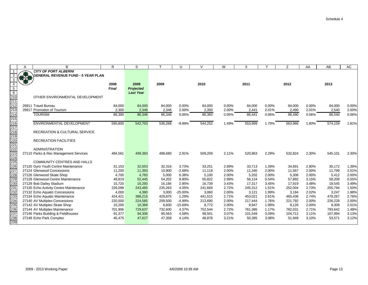|                   | Α | B                                                                 | R                | S                |                  | U                 | $\vee$           | W              | X                |                | Z                | AA             | AB               | AC             |
|-------------------|---|-------------------------------------------------------------------|------------------|------------------|------------------|-------------------|------------------|----------------|------------------|----------------|------------------|----------------|------------------|----------------|
|                   |   | <b>CITY OF PORT ALBERNI</b>                                       |                  |                  |                  |                   |                  |                |                  |                |                  |                |                  |                |
|                   |   | <b>GENERAL REVENUE FUND - 5 YEAR PLAN</b>                         |                  |                  |                  |                   |                  |                |                  |                |                  |                |                  |                |
| 3                 |   |                                                                   |                  |                  |                  |                   |                  |                |                  |                |                  |                |                  |                |
|                   |   |                                                                   | 2008             | 2009             | 2009             |                   | 2010             |                | 2011             |                | 2012             |                | 2013             |                |
| 5                 |   |                                                                   | <b>Final</b>     | <b>Projected</b> |                  |                   |                  |                |                  |                |                  |                |                  |                |
| $6\overline{6}$   |   |                                                                   |                  | <b>Last Year</b> |                  |                   |                  |                |                  |                |                  |                |                  |                |
| 210               |   | OTHER ENVIRONMENTAL DEVELOPMENT                                   |                  |                  |                  |                   |                  |                |                  |                |                  |                |                  |                |
| 211               |   |                                                                   |                  |                  |                  |                   |                  |                |                  |                |                  |                |                  |                |
| 212               |   | 26911 Travel Bureau                                               | 84,000           | 84,000           | 84,000           | 0.00%             | 84,000           | $0.00\%$       | 84,000           | $0.00\%$       | 84,000           | 0.00%          | 84,000           | 0.00%          |
| 213               |   | 26917 Promotion of Tourism                                        | 2,300            | 2,346            | 2,346            | 2.00%             | 2,393            | 2.00%          | 2,441            | 2.01%          | 2,490            | 2.01%          | 2,540            | 2.00%          |
| 214               |   | <b>TOURISM</b>                                                    | 86,300           | 86,346           | 86,346           | 0.05%             | 86,393           | 0.05%          | 86,441           | 0.06%          | 86,490           | 0.06%          | 86,540           | 0.06%          |
| 215               |   |                                                                   |                  |                  |                  |                   |                  |                |                  |                |                  |                |                  |                |
| 216               |   | <b>ENVIRONMENTAL DEVELOPMENT</b>                                  | 595,800          | 542,703          | 536,268          | $-9.99%$          | 544,252          | 1.49%          | 553,999          | 1.79%          | 563,966          | 1.80%          | 574,159          | 1.81%          |
| 217               |   |                                                                   |                  |                  |                  |                   |                  |                |                  |                |                  |                |                  |                |
| 218               |   | RECREATION & CULTURAL SERVICE                                     |                  |                  |                  |                   |                  |                |                  |                |                  |                |                  |                |
| 219               |   |                                                                   |                  |                  |                  |                   |                  |                |                  |                |                  |                |                  |                |
| 220<br>221        |   | <b>RECREATION FACILITIES</b>                                      |                  |                  |                  |                   |                  |                |                  |                |                  |                |                  |                |
|                   |   |                                                                   |                  |                  |                  |                   |                  |                |                  |                |                  |                |                  |                |
| 222               |   | <b>ADMINISTRATION</b>                                             |                  |                  |                  |                   |                  |                |                  |                |                  |                |                  |                |
| 223               |   | 27110 Parks & Rec Management Services                             | 484,561          | 499,383          | 498,680          | 2.91%             | 509,209          | 2.11%          | 520,863          | 2.29%          | 532,824          | 2.30%          | 545,101          | 2.30%          |
| 224               |   |                                                                   |                  |                  |                  |                   |                  |                |                  |                |                  |                |                  |                |
| 225               |   | <b>COMMUNITY CENTRES AND HALLS</b>                                |                  |                  |                  |                   |                  |                |                  |                |                  |                |                  |                |
| 226<br>227        |   | 27120 Gyro Youth Centre Maintenance<br>27124 Glenwood Concessions | 31,153<br>11,200 | 32,553<br>11,393 | 32,316<br>10,900 | 3.73%<br>$-2.68%$ | 33,251<br>11,118 | 2.89%<br>2.00% | 33,713<br>11,340 | 1.39%<br>2.00% | 34,691<br>11,567 | 2.90%<br>2.00% | 35,172<br>11,799 | 1.39%<br>2.01% |
| 228               |   | 27126 Glenwood Skate Shop                                         | 4,700            | 4,783            | 5,000            | 6.38%             | 5,100            | 2.00%          | 5,202            | 2.00%          | 5,306            | 2.00%          | 5,412            | 2.00%          |
|                   |   | 27128 Glenwood Centre Maintenance                                 | 49,819           | 52,445           | 54,202           | 8.80%             | 55,822           | 2.99%          | 56,124           | 0.54%          | 57,892           | 3.15%          | 58,209           | 0.55%          |
| 229<br>230        |   | 27129 Bob Dailey Stadium                                          | 15,720           | 16,293           | 16,184           | 2.95%             | 16,739           | 3.43%          | 17,317           | 3.45%          | 17,919           | 3.48%          | 18,545           | 3.49%          |
| 231               |   | 27130 Echo Activity Centre Maintenance                            | 226,098          | 243,465          | 235,263          | 4.05%             | 241,669          | 2.72%          | 245,312          | 1.51%          | 252,004          | 2.73%          | 255,794          | 1.50%          |
|                   |   | 27132 Echo Aquatic Concessions                                    | 4,000            | 4,380            | 3,000            | $-25.00%$         | 3,060            | 2.00%          | 3,121            | 1.99%          | 3,184            | 2.02%          | 3,247            | 1.98%          |
| 232<br>233        |   | 27134 Echo Aquatic Maintenance                                    | 424,421          | 388,215          | 429,875          | 1.29%             | 441,515          | 2.71%          | 453,021          | 2.61%          | 465,436          | 2.74%          | 478,267          | 2.76%          |
|                   |   | 27140 AV Multiplex Concessions                                    | 220,500          | 224,585          | 209,500          | $-4.99%$          | 213,690          | 2.00%          | 217,444          | 1.76%          | 221,792          | 2.00%          | 226,228          | 2.00%          |
|                   |   | 27142 AV Multiplex Skate Shop                                     | 10,200           | 10,368           | 8,600            | $-15.69%$         | 8,772            | 2.00%          | 8,947            | 1.99%          | 9,126            | 2.00%          | 9,309            | 2.01%          |
| 234<br>235<br>236 |   | 27144 AV Multiplex Maintenance                                    | 701,906          | 729,637          | 732,600          | 4.37%             | 752,544          | 2.72%          | 761,386          | 1.17%          | 782,031          | 2.71%          | 793,642          | 1.48%          |
|                   |   | 27146 Parks Building & Fieldhouses                                | 91,377           | 94,306           | 95,563           | 4.58%             | 98,501           | 3.07%          | 101,549          | 3.09%          | 104,712          | 3.11%          | 107,994          | 3.13%          |
| 237<br>238        |   | 27148 Echo Park Complex                                           | 45,475           | 47,627           | 47,358           | 4.14%             | 48,878           | 3.21%          | 50,385           | 3.08%          | 51,949           | 3.10%          | 53,571           | 3.12%          |
| 239               |   |                                                                   |                  |                  |                  |                   |                  |                |                  |                |                  |                |                  |                |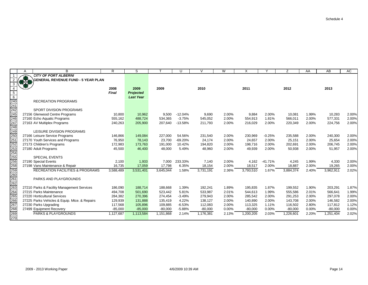|                                                             | Α | B                                             | $\mathsf{R}$ | S                |           | U         | $\vee$    | W     | X         |           | Ζ         | AA    | AB        | AC    |
|-------------------------------------------------------------|---|-----------------------------------------------|--------------|------------------|-----------|-----------|-----------|-------|-----------|-----------|-----------|-------|-----------|-------|
|                                                             |   | <b>CITY OF PORT ALBERNI</b>                   |              |                  |           |           |           |       |           |           |           |       |           |       |
| $\overline{2}$                                              |   | <b>GENERAL REVENUE FUND - 5 YEAR PLAN</b>     |              |                  |           |           |           |       |           |           |           |       |           |       |
| 3                                                           |   |                                               |              |                  |           |           |           |       |           |           |           |       |           |       |
| $\overline{4}$                                              |   |                                               | 2008         | 2009             | 2009      |           | 2010      |       | 2011      |           | 2012      |       | 2013      |       |
| $\frac{5}{6}$                                               |   |                                               | <b>Final</b> | <b>Projected</b> |           |           |           |       |           |           |           |       |           |       |
|                                                             |   |                                               |              | <b>Last Year</b> |           |           |           |       |           |           |           |       |           |       |
|                                                             |   | <b>RECREATION PROGRAMS</b>                    |              |                  |           |           |           |       |           |           |           |       |           |       |
|                                                             |   |                                               |              |                  |           |           |           |       |           |           |           |       |           |       |
|                                                             |   | SPORT DIVISION PROGRAMS                       |              |                  |           |           |           |       |           |           |           |       |           |       |
| 240<br>241<br>245<br>246<br>248<br>249<br>249               |   | 27156 Glenwood Centre Programs                | 10,800       | 10,962           | 9,500     | $-12.04%$ | 9,690     | 2.00% | 9,884     | 2.00%     | 10,081    | 1.99% | 10,283    | 2.00% |
|                                                             |   | 27160 Echo Aquatic Programs                   | 555,162      | 488,724          | 534,365   | $-3.75%$  | 545,052   | 2.00% | 554,913   | 1.81%     | 566,011   | 2.00% | 577,331   | 2.00% |
|                                                             |   | 27163 AV Multiplex Programs                   | 240,263      | 205,900          | 207,640   | $-13.58%$ | 211,793   | 2.00% | 216,029   | 2.00%     | 220,349   | 2.00% | 224,756   | 2.00% |
|                                                             |   |                                               |              |                  |           |           |           |       |           |           |           |       |           |       |
|                                                             |   | LEISURE DIVISION PROGRAMS                     |              |                  |           |           |           |       |           |           |           |       |           |       |
|                                                             |   | 27166 Leisure Service Programs                | 146,866      | 149,084          | 227,000   | 54.56%    | 231,540   | 2.00% | 230,969   | $-0.25%$  | 235,588   | 2.00% | 240,300   | 2.00% |
| 250<br>251                                                  |   | 27170 Youth Services and Programs             | 76,950       | 78,143           | 23,700    | $-69.20%$ | 24,174    | 2.00% | 24,657    | 2.00%     | 25,151    | 2.00% | 25,654    | 2.00% |
|                                                             |   | 27173 Children's Programs                     | 172,983      | 173,763          | 191,000   | 10.42%    | 194.820   | 2.00% | 198,716   | 2.00%     | 202,691   | 2.00% | 206.745   | 2.00% |
| 252<br>253<br>254<br>255                                    |   | 27180 Adult Programs                          | 45,500       | 46,400           | 48,000    | 5.49%     | 48,960    | 2.00% | 49,939    | 2.00%     | 50,938    | 2.00% | 51,957    | 2.00% |
|                                                             |   |                                               |              |                  |           |           |           |       |           |           |           |       |           |       |
|                                                             |   | <b>SPECIAL EVENTS</b>                         |              |                  |           |           |           |       |           |           |           |       |           |       |
| 256                                                         |   | 27190 Special Events                          | 2,100        | 1,933            | 7.000     | 233.33%   | 7,140     | 2.00% | 4,162     | $-41.71%$ | 4,245     | 1.99% | 4,330     | 2.00% |
|                                                             |   | 27198 Vans Maintenance & Repair               | 16,735       | 17,059           | 17,798    | 6.35%     | 18,154    | 2.00% | 18,517    | 2.00%     | 18,887    | 2.00% | 19,265    | 2.00% |
| 258<br>259<br>260<br>261<br>262<br>263<br>265<br>265<br>266 |   | <b>RECREATION FACILITIES &amp; PROGRAMS</b>   | 3,588,489    | 3,531,401        | 3,645,044 | 1.58%     | 3,731,191 | 2.36% | 3,793,510 | 1.67%     | 3,884,374 | 2.40% | 3,962,911 | 2.02% |
|                                                             |   |                                               |              |                  |           |           |           |       |           |           |           |       |           |       |
|                                                             |   | PARKS AND PLAYGROUNDS                         |              |                  |           |           |           |       |           |           |           |       |           |       |
|                                                             |   |                                               |              |                  |           |           |           |       |           |           |           |       |           |       |
|                                                             |   | 27210 Parks & Facility Management Services    | 186,090      | 188,714          | 188.668   | 1.39%     | 192,241   | 1.89% | 195,835   | 1.87%     | 199,552   | 1.90% | 203,291   | 1.87% |
|                                                             |   | 27215 Parks Maintenance                       | 494,708      | 501,690          | 523,442   | 5.81%     | 533,987   | 2.01% | 544,613   | 1.99%     | 555,586   | 2.01% | 566,641   | 1.99% |
|                                                             |   | 27220 Horticultural Services                  | 284,382      | 270,396          | 274,454   | $-3.49%$  | 279,943   | 2.00% | 285,542   | 2.00%     | 291,253   | 2.00% | 297,078   | 2.00% |
|                                                             |   | 27225 Parks Vehicles & Equip. Mtce. & Repairs | 129,939      | 131,888          | 135,419   | 4.22%     | 138,127   | 2.00% | 140,890   | 2.00%     | 143,708   | 2.00% | 146,582   | 2.00% |
| 267                                                         |   | 27230 Parks Upgrading                         | 117,568      | 105,896          | 109,885   | $-6.53%$  | 112,083   | 2.00% | 113,325   | 1.11%     | 116,502   | 2.80% | 117,812   | 1.12% |
|                                                             |   | 27499 Equipment Recovery                      | $-85,000$    | $-85,000$        | $-80,000$ | $-5.88%$  | $-80,000$ | 0.00% | $-80,000$ | 0.00%     | $-80,000$ | 0.00% | $-80,000$ | 0.00% |
| 268<br>269                                                  |   | <b>PARKS &amp; PLAYGROUNDS</b>                | 1,127,687    | 1,113,584        | 1,151,868 | 2.14%     | 1,176,381 | 2.13% | 1,200,205 | 2.03%     | 1,226,601 | 2.20% | 1,251,404 | 2.02% |
| 270                                                         |   |                                               |              |                  |           |           |           |       |           |           |           |       |           |       |

AC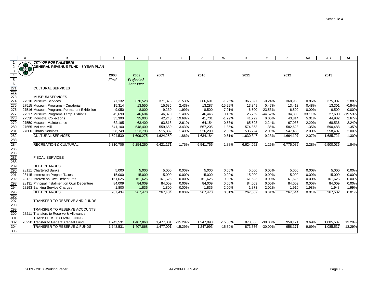|                                 | A             | B                                           | $\mathsf{R}$ | S                | $\mathsf{T}$ | $\cup$    | $\vee$    | W         | X         | Y          | Z         | AA     | AB        | AC       |
|---------------------------------|---------------|---------------------------------------------|--------------|------------------|--------------|-----------|-----------|-----------|-----------|------------|-----------|--------|-----------|----------|
| -1                              |               | <b>CITY OF PORT ALBERNI</b>                 |              |                  |              |           |           |           |           |            |           |        |           |          |
| $\overline{2}$                  | $\frac{1}{2}$ | <b>GENERAL REVENUE FUND - 5 YEAR PLAN</b>   |              |                  |              |           |           |           |           |            |           |        |           |          |
| $\mathbf{3}$                    |               |                                             |              |                  |              |           |           |           |           |            |           |        |           |          |
| $\overline{4}$                  |               |                                             | 2008         | 2009             | 2009         |           | 2010      |           | 2011      |            | 2012      |        | 2013      |          |
| $5\overline{)}$                 |               |                                             | Final        | <b>Projected</b> |              |           |           |           |           |            |           |        |           |          |
| $6\overline{6}$                 |               |                                             |              | <b>Last Year</b> |              |           |           |           |           |            |           |        |           |          |
| 271                             |               | <b>CULTURAL SERVICES</b>                    |              |                  |              |           |           |           |           |            |           |        |           |          |
| 272                             |               |                                             |              |                  |              |           |           |           |           |            |           |        |           |          |
| 273                             |               | <b>MUSEUM SERVICES</b>                      |              |                  |              |           |           |           |           |            |           |        |           |          |
| 274<br>275                      |               | 27510 Museum Services                       | 377,132      | 370,528          | 371,375      | $-1.53%$  | 366,691   | $-1.26%$  | 365,827   | $-0.24%$   | 368,963   | 0.86%  | 375,907   | 1.88%    |
|                                 |               | 27515 Museum Programs - Curatorial          | 15,314       | 13,550           | 15,686       | 2.43%     | 13,287    | $-15.29%$ | 13,349    | 0.47%      | 13,413    | 0.48%  | 13,301    | $-0.84%$ |
| 276                             |               | 27516 Museum Programs Permanent Exhibition  | 9,050        | 8,000            | 9,230        | 1.99%     | 8,500     | $-7.91%$  | 6,500     | $-23.53%$  | 6,500     | 0.00%  | 6,500     | 0.00%    |
| 277                             |               | 27517 Museum Programs Temp. Exhibits        | 45,690       | 46,604           | 46,370       | 1.49%     | 46,446    | 0.16%     | 25,769    | $-44.52%$  | 34,300    | 33.11% | 27,600    | -19.53%  |
| 278                             |               | 27530 Industrial Collections                | 35,300       | 35,000           | 42,248       | 19.68%    | 41,701    | $-1.29%$  | 41,722    | 0.05%      | 43,814    | 5.01%  | 44,982    | 2.67%    |
| 279                             |               | 27550 Museum Maintenance                    | 62,195       | 63,400           | 63,818       | 2.61%     | 64,154    | 0.53%     | 65,593    | 2.24%      | 67,036    | 2.20%  | 68,536    | 2.24%    |
| 280                             |               | 27555 McLean Mill                           | 541,100      | 548,400          | 559,650      | 3.43%     | 567,205   | 1.35%     | 574,863   | 1.35%      | 582,623   | 1.35%  | 590,488   | 1.35%    |
| 281                             |               | 27600 Library Services                      | 508,749      | 523,793          | 515,882      | 1.40%     | 526,200   | 2.00%     | 536,724   | 2.00%      | 547,458   | 2.00%  | 558,407   | 2.00%    |
| 282                             |               | <b>CULTURAL SERVICES</b>                    | 1,594,530    | 1,609,275        | 1,624,259    | 1.86%     | 1,634,184 | 0.61%     | 1,630,347 | $-0.23%$   | 1,664,107 | 2.07%  | 1,685,721 | 1.30%    |
| 283<br>284<br>285<br>286<br>287 |               |                                             |              |                  |              |           |           |           |           |            |           |        |           |          |
|                                 |               | <b>RECREATION &amp; CULTURAL</b>            | 6,310,706    | 6,254,260        | 6,421,171    | 1.75%     | 6,541,756 | 1.88%     | 6,624,062 | 1.26%      | 6,775,082 | 2.28%  | 6,900,036 | 1.84%    |
|                                 |               |                                             |              |                  |              |           |           |           |           |            |           |        |           |          |
|                                 |               |                                             |              |                  |              |           |           |           |           |            |           |        |           |          |
|                                 |               | <b>FISCAL SERVICES</b>                      |              |                  |              |           |           |           |           |            |           |        |           |          |
| 288                             |               |                                             |              |                  |              |           |           |           |           |            |           |        |           |          |
| 289                             |               | <b>DEBT CHARGES</b>                         |              |                  |              |           |           |           |           |            |           |        |           |          |
| 290<br>291                      |               | 28111 Chartered Banks                       | 5,000        | 5,000            | 5,000        | 0.00%     | 5,000     | 0.00%     | 5,000     | 0.00%      | 5,000     | 0.00%  | 5,000     | 0.00%    |
|                                 |               | 28115 Interest on Prepaid Taxes             | 15,000       | 15,000           | 15,000       | 0.00%     | 15,000    | 0.00%     | 15,000    | 0.00%      | 15,000    | 0.00%  | 15,000    | 0.00%    |
| 292                             |               | 28121 Interest on Own Debentures            | 161,625      | 161,625          | 161,625      | 0.00%     | 161,625   | 0.00%     | 161,625   | 0.00%      | 161,625   | 0.00%  | 161,625   | 0.00%    |
| 293                             |               | 28131 Principal Instalment on Own Debenture | 84,009       | 84,009           | 84,009       | $0.00\%$  | 84,009    | 0.00%     | 84,009    | 0.00%      | 84,009    | 0.00%  | 84,009    | 0.00%    |
|                                 |               | 28193 Banking Service Charges               | 1,800        | 1,836            | 1,800        | $0.00\%$  | 1,836     | 2.00%     | 1,873     | 2.02%      | 1,910     | 1.98%  | 1,948     | 1.99%    |
| 294<br>295<br>296               |               | <b>DEBT CHARGES</b>                         | 267,434      | 267,470          | 267,434      | 0.00%     | 267,470   | 0.01%     | 267,507   | 0.01%      | 267,544   | 0.01%  | 267,582   | 0.01%    |
|                                 |               |                                             |              |                  |              |           |           |           |           |            |           |        |           |          |
| 297                             |               | TRANSFER TO RESERVE AND FUNDS               |              |                  |              |           |           |           |           |            |           |        |           |          |
| 298                             |               |                                             |              |                  |              |           |           |           |           |            |           |        |           |          |
| 299                             |               | TRANSFER TO RESERVE ACCOUNTS                |              |                  |              |           |           |           |           |            |           |        |           |          |
| 300                             |               | 28211 Transfers to Reserve & Allowance      |              |                  |              |           |           |           |           |            |           |        |           |          |
| 301                             |               | TRANSFERS TO OWN FUNDS                      |              |                  |              |           |           |           |           |            |           |        |           |          |
| 302                             |               | 28220 Transfer to General Capital Fund      | 1,743,531    | 1,407,868        | 1,477,001    | $-15.29%$ | 1,247,993 | $-15.50%$ | 873,536   | $-30.00%$  | 958,171   | 9.69%  | 1,085,537 | 13.29%   |
| 304                             |               | TRANSFER TO RESERVE & FUNDS                 | 1,743,531    | 1,407,868        | 1,477,001    | $-15.29%$ | 1,247,993 | $-15.50%$ | 873,536   | $-30.00\%$ | 958,171   | 9.69%  | 1,085,537 | 13.29%   |
| 305                             |               |                                             |              |                  |              |           |           |           |           |            |           |        |           |          |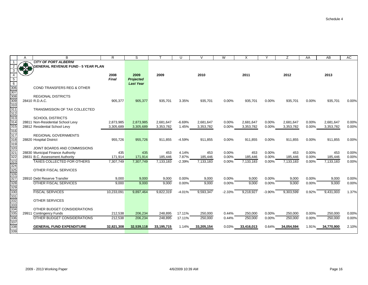|                  | A             | B                                           | R.           | S                | $\mathbf \tau$ | $\cup$   | $\vee$     | W        | X          | $\checkmark$ | Z          | AA    | AB         | <b>AC</b> |
|------------------|---------------|---------------------------------------------|--------------|------------------|----------------|----------|------------|----------|------------|--------------|------------|-------|------------|-----------|
|                  |               | <b>CITY OF PORT ALBERNI</b>                 |              |                  |                |          |            |          |            |              |            |       |            |           |
| 2                | $\frac{1}{2}$ | <b>GENERAL REVENUE FUND - 5 YEAR PLAN</b>   |              |                  |                |          |            |          |            |              |            |       |            |           |
| 3                |               |                                             |              |                  |                |          |            |          |            |              |            |       |            |           |
|                  |               |                                             | 2008         | 2009             | 2009           |          | 2010       |          | 2011       |              | 2012       |       | 2013       |           |
| 5                |               |                                             | <b>Final</b> | <b>Projected</b> |                |          |            |          |            |              |            |       |            |           |
| $6\overline{6}$  |               |                                             |              | <b>Last Year</b> |                |          |            |          |            |              |            |       |            |           |
| 306              |               | <b>COND TRANSFERS REG &amp; OTHER</b>       |              |                  |                |          |            |          |            |              |            |       |            |           |
| 307              |               |                                             |              |                  |                |          |            |          |            |              |            |       |            |           |
| 308<br>309       |               | <b>REGIONAL DISTRICTS</b><br>28410 R.D.A.C. |              |                  |                |          |            |          |            |              |            |       |            |           |
| 310              |               |                                             | 905,377      | 905,377          | 935,701        | 3.35%    | 935,701    | 0.00%    | 935,701    | 0.00%        | 935,701    | 0.00% | 935,701    | 0.00%     |
| $\overline{311}$ |               | TRANSMISSION OF TAX COLLECTED               |              |                  |                |          |            |          |            |              |            |       |            |           |
| $\overline{312}$ |               |                                             |              |                  |                |          |            |          |            |              |            |       |            |           |
| 313              |               | <b>SCHOOL DISTRICTS</b>                     |              |                  |                |          |            |          |            |              |            |       |            |           |
| 314              |               | 28811 Non-Residential School Levy           | 2,873,985    | 2,873,985        | 2,681,647      | $-6.69%$ | 2,681,647  | 0.00%    | 2,681,647  | 0.00%        | 2,681,647  | 0.00% | 2,681,647  | 0.00%     |
| 315              |               | 28812 Residential School Levy               | 3,305,689    | 3,305,689        | 3,353,782      | 1.45%    | 3,353,782  | 0.00%    | 3,353,782  | 0.00%        | 3,353,782  | 0.00% | 3,353,782  | 0.00%     |
| 316              |               |                                             |              |                  |                |          |            |          |            |              |            |       |            |           |
| 317              |               | <b>REGIONAL GOVERNMENTS</b>                 |              |                  |                |          |            |          |            |              |            |       |            |           |
| $\overline{318}$ |               | 28820 Hospital District                     | 955,726      | 955,726          | 911,855        | $-4.59%$ | 911,855    | 0.00%    | 911,855    | 0.00%        | 911,855    | 0.00% | 911,855    | 0.00%     |
| 319              |               |                                             |              |                  |                |          |            |          |            |              |            |       |            |           |
| 320              |               | JOINT BOARDS AND COMMISSIONS                |              |                  |                |          |            |          |            |              |            |       |            |           |
| 321              |               | 28830 Municipal Finance Authority           | 435          | 435              | 453            | 4.14%    | 453        | 0.00%    | 453        | 0.00%        | 453        | 0.00% | 453        | 0.00%     |
| 322              |               | 28831 B.C. Assessment Authority             | 171,914      | 171,914          | 185,446        | 7.87%    | 185,446    | 0.00%    | 185,446    | 0.00%        | 185,446    | 0.00% | 185,446    | 0.00%     |
| 323              |               | <b>TAXES COLLECTED FOR OTHERS</b>           | 7,307,749    | 7,307,749        | 7,133,183      | $-2.39%$ | 7,133,183  | 0.00%    | 7,133,183  | 0.00%        | 7,133,183  | 0.00% | 7,133,183  | 0.00%     |
| 324              |               |                                             |              |                  |                |          |            |          |            |              |            |       |            |           |
| 325              |               | OTHER FISCAL SERVICES                       |              |                  |                |          |            |          |            |              |            |       |            |           |
| 326<br>327       |               |                                             |              |                  |                |          |            |          |            |              |            |       |            |           |
|                  |               | 28910 Debt Reserve Transfer                 | 9,000        | 9,000            | 9,000          | 0.00%    | 9,000      | 0.00%    | 9,000      | 0.00%        | 9,000      | 0.00% | 9,000      | 0.00%     |
| 328              |               | <b>OTHER FISCAL SERVICES</b>                | 9,000        | 9,000            | 9,000          | 0.00%    | 9,000      | 0.00%    | 9,000      | 0.00%        | 9,000      | 0.00% | 9,000      | 0.00%     |
| 329<br>330       |               |                                             |              |                  |                |          |            |          |            |              |            |       |            |           |
|                  |               | <b>FISCAL SERVICES</b>                      | 10,233,091   | 9,897,464        | 9,822,319      | $-4.01%$ | 9,593,347  | $-2.33%$ | 9,218,927  | $-3.90%$     | 9,303,599  | 0.92% | 9,431,003  | 1.37%     |
| 331              |               |                                             |              |                  |                |          |            |          |            |              |            |       |            |           |
| 332              |               | <b>OTHER SERVICES</b>                       |              |                  |                |          |            |          |            |              |            |       |            |           |
| 333<br>334       |               |                                             |              |                  |                |          |            |          |            |              |            |       |            |           |
|                  |               | OTHER BUDGET CONSIDERATIONS                 |              |                  |                |          |            |          |            |              |            |       |            |           |
| 335              |               | 29911 Contingency Funds                     | 212,538      | 206,234          | 248,895        | 17.11%   | 250,000    | 0.44%    | 250,000    | 0.00%        | 250,000    | 0.00% | 250,000    | 0.00%     |
| 336              |               | OTHER BUDGET CONSIDERATIONS                 | 212,538      | 206,234          | 248.895        | 17.11%   | 250.000    | 0.44%    | 250,000    | 0.00%        | 250,000    | 0.00% | 250,000    | 0.00%     |
| 337<br>338       |               | <b>GENERAL FUND EXPENDITURE</b>             | 32,821,308   | 32,539,118       | 33,195,715     | 1.14%    | 33,205,154 | 0.03%    | 33,416,013 | 0.64%        | 34,054,594 | 1.91% | 34,770,900 | 2.10%     |
| 339              |               |                                             |              |                  |                |          |            |          |            |              |            |       |            |           |
|                  |               |                                             |              |                  |                |          |            |          |            |              |            |       |            |           |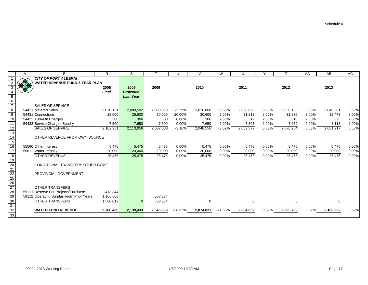|                                                                 | Α         | B                                        | R            | S                |           | U         | $\vee$    | W         | X         | $\checkmark$ | Ζ         | AA    | AB        | AC    |
|-----------------------------------------------------------------|-----------|------------------------------------------|--------------|------------------|-----------|-----------|-----------|-----------|-----------|--------------|-----------|-------|-----------|-------|
|                                                                 |           | <b>CITY OF PORT ALBERNI</b>              |              |                  |           |           |           |           |           |              |           |       |           |       |
|                                                                 | $\bullet$ | <b>WATER REVENUE FUND-5 YEAR PLAN</b>    |              |                  |           |           |           |           |           |              |           |       |           |       |
|                                                                 | 33.58     |                                          | 2008         | 2009             | 2009      |           | 2010      |           | 2011      |              | 2012      |       | 2013      |       |
|                                                                 |           |                                          | <b>Final</b> | <b>Projected</b> |           |           |           |           |           |              |           |       |           |       |
|                                                                 |           |                                          |              | <b>Last Year</b> |           |           |           |           |           |              |           |       |           |       |
| $\begin{array}{c} 5 \\ 6 \\ 7 \end{array}$                      |           |                                          |              |                  |           |           |           |           |           |              |           |       |           |       |
|                                                                 |           | <b>SALES OF SERVICE</b>                  |              |                  |           |           |           |           |           |              |           |       |           |       |
| $\frac{8}{9}$                                                   |           | 54421 Metered Sales                      | 2,070,151    | 2,080,502        | 2,000,000 | $-3.39%$  | 2,010,000 | 0.50%     | 2,020,050 | 0.50%        | 2,030,150 | 0.50% | 2,040,301 | 0.50% |
|                                                                 |           | 54431 Connections                        | 25,000       | 25,500           | 30,000    | 20.00%    | 30,600    | 2.00%     | 31,212    | 2.00%        | 31,836    | 2.00% | 32,473    | 2.00% |
| 10                                                              |           | 54432 Turn-On Charges                    | 300          | 306              | 300       | 0.00%     | 306       | 2.00%     | 312       | 2.00%        | 318       | 2.00% | 325       | 2.00% |
| $\overline{11}$                                                 |           | 54433 Service Charges Sundry             | 7,500        | 7,650            | 7,500     | 0.00%     | 7,650     | 2.00%     | 7,803     | 2.00%        | 7,959     | 2.00% | 8,118     | 2.00% |
| $\overline{12}$                                                 |           | <b>SALES OF SERVICE</b>                  | 2,102,951    | 2,113,958        | 2,037,800 | $-3.10%$  | 2,048,556 | $-3.09%$  | 2,059,377 | 0.53%        | 2,070,264 | 0.53% | 2,081,217 | 0.53% |
| 13                                                              |           |                                          |              |                  |           |           |           |           |           |              |           |       |           |       |
| $\frac{14}{15}$                                                 |           | OTHER REVENUE FROM OWN SOURCE            |              |                  |           |           |           |           |           |              |           |       |           |       |
|                                                                 |           |                                          |              |                  |           |           |           |           |           |              |           |       |           |       |
| 16                                                              |           | 55590 Other Interest                     | 5,475        | 5,475            | 5,475     | 0.00%     | 5,475     | 0.00%     | 5,475     | 0.00%        | 5,475     | 0.00% | 5,475     | 0.00% |
| 17                                                              |           | 55611 Water Penalty                      | 20,000       | 20,000           | 20,000    | 0.00%     | 20,000    | 0.00%     | 20,000    | 0.00%        | 20,000    | 0.00% | 20,000    | 0.00% |
| $\overline{18}$                                                 |           | <b>OTHER REVENUE</b>                     | 25,475       | 25,475           | 25,475    | 0.00%     | 25,475    | 0.00%     | 25,475    | 0.00%        | 25,475    | 0.00% | 25,475    | 0.00% |
| 19                                                              |           |                                          |              |                  |           |           |           |           |           |              |           |       |           |       |
| $\frac{20}{21}$ $\frac{22}{25}$ $\frac{25}{26}$ $\frac{27}{29}$ |           | CONDITIONAL TRANSFERS OTHER GOV'T        |              |                  |           |           |           |           |           |              |           |       |           |       |
|                                                                 |           |                                          |              |                  |           |           |           |           |           |              |           |       |           |       |
|                                                                 |           | PROVINCIAL GOVERNMENT                    |              |                  |           |           |           |           |           |              |           |       |           |       |
|                                                                 |           |                                          |              |                  |           |           |           |           |           |              |           |       |           |       |
|                                                                 |           |                                          |              |                  |           |           |           |           |           |              |           |       |           |       |
|                                                                 |           | <b>OTHER TRANSFERS</b>                   |              |                  |           |           |           |           |           |              |           |       |           |       |
|                                                                 |           | 59111 Reserve For Projects/Purchase      | 413,344      |                  |           |           |           |           |           |              |           |       |           |       |
|                                                                 |           | 59112 Operating Surplus From Prior Years | 1,166,668    |                  | 583,334   |           |           |           |           |              |           |       |           |       |
| $\overline{30}$                                                 |           | <b>OTHER TRANSFERS</b>                   | 1,580,012    | $\Omega$         | 583,334   |           | $\Omega$  |           |           |              |           |       |           |       |
|                                                                 |           |                                          |              |                  |           |           |           |           |           |              |           |       |           |       |
| 31<br>32<br>33                                                  |           | <b>WATER FUND REVENUE</b>                | 3,708,438    | 2,139,433        | 2,646,609 | $-28.63%$ | 2,074,031 | $-21.63%$ | 2,084,852 | 0.52%        | 2,095,739 | 0.52% | 2,106,692 | 0.52% |
|                                                                 |           |                                          |              |                  |           |           |           |           |           |              |           |       |           |       |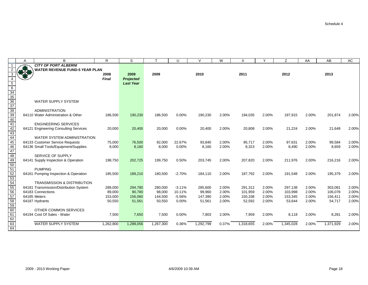$\mathbb{R}^2$ 

|                 | A   | B                                      | R            | S                |           | U        | V         | W     | X         | Y     | Z         | AA    | AB        | <b>AC</b> |
|-----------------|-----|----------------------------------------|--------------|------------------|-----------|----------|-----------|-------|-----------|-------|-----------|-------|-----------|-----------|
| $\mathbf{1}$    |     | <b>CITY OF PORT ALBERNI</b>            |              |                  |           |          |           |       |           |       |           |       |           |           |
|                 | REA | <b>WATER REVENUE FUND-5 YEAR PLAN</b>  |              |                  |           |          |           |       |           |       |           |       |           |           |
|                 |     |                                        | 2008         | 2009             | 2009      |          | 2010      |       | 2011      |       | 2012      |       | 2013      |           |
|                 |     |                                        | <b>Final</b> | <b>Projected</b> |           |          |           |       |           |       |           |       |           |           |
| $5\phantom{.0}$ |     |                                        |              | <b>Last Year</b> |           |          |           |       |           |       |           |       |           |           |
| $6\overline{6}$ |     |                                        |              |                  |           |          |           |       |           |       |           |       |           |           |
| $\frac{34}{35}$ |     |                                        |              |                  |           |          |           |       |           |       |           |       |           |           |
|                 |     |                                        |              |                  |           |          |           |       |           |       |           |       |           |           |
|                 |     | <b>WATER SUPPLY SYSTEM</b>             |              |                  |           |          |           |       |           |       |           |       |           |           |
| $\overline{37}$ |     |                                        |              |                  |           |          |           |       |           |       |           |       |           |           |
| 38              |     | <b>ADMINISTRATION</b>                  |              |                  |           |          |           |       |           |       |           |       |           |           |
| 39              |     | 64110 Water Administration & Other     | 186,500      | 190,230          | 186,500   | 0.00%    | 190,230   | 2.00% | 194,035   | 2.00% | 197,915   | 2.00% | 201,874   | 2.00%     |
| 40              |     |                                        |              |                  |           |          |           |       |           |       |           |       |           |           |
| 41              |     | <b>ENGINEERING SERVICES</b>            |              |                  |           |          |           |       |           |       |           |       |           |           |
| 42              |     | 64121 Engineering Consulting Services  | 20,000       | 20,400           | 20,000    | 0.00%    | 20,400    | 2.00% | 20,808    | 2.00% | 21,224    | 2.00% | 21,649    | 2.00%     |
| 43              |     |                                        |              |                  |           |          |           |       |           |       |           |       |           |           |
| 44              |     | WATER SYSTEM ADMINISTRATION            |              |                  |           |          |           |       |           |       |           |       |           |           |
| 45              |     | 64133 Customer Service Requests        | 75,000       | 76,500           | 92,000    | 22.67%   | 93,840    | 2.00% | 95,717    | 2.00% | 97,631    | 2.00% | 99,584    | 2.00%     |
| 46              |     | 64136 Small Tools/Equipment/Supplies   | 8,000        | 8,160            | 8,000     | 0.00%    | 8,160     | 2.00% | 8,323     | 2.00% | 8,490     | 2.00% | 8,659     | 2.00%     |
| 47              |     |                                        |              |                  |           |          |           |       |           |       |           |       |           |           |
| 48              |     | SERVICE OF SUPPLY                      |              |                  |           |          |           |       |           |       |           |       |           |           |
| 49              |     | 64141 Supply Inspection & Operation    | 198,750      | 202,725          | 199,750   | 0.50%    | 203,745   | 2.00% | 207,820   | 2.00% | 211,976   | 2.00% | 216,216   | 2.00%     |
| 50              |     |                                        |              |                  |           |          |           |       |           |       |           |       |           |           |
| 51              |     | <b>PUMPING</b>                         |              |                  |           |          |           |       |           |       |           |       |           |           |
| 52              |     | 64161 Pumping Inspection & Operation   | 185,500      | 189,210          | 180,500   | $-2.70%$ | 184,110   | 2.00% | 187,792   | 2.00% | 191,548   | 2.00% | 195,379   | 2.00%     |
| 53              |     |                                        |              |                  |           |          |           |       |           |       |           |       |           |           |
| 54              |     | <b>TRANSMISSION &amp; DISTRIBUTION</b> |              |                  |           |          |           |       |           |       |           |       |           |           |
| 55              |     | 64181 Transmission/Distribution System | 289,000      | 294,780          | 280,000   | $-3.11%$ | 285,600   | 2.00% | 291,312   | 2.00% | 297,138   | 2.00% | 303,081   | 2.00%     |
| 56              |     | 64183 Connections                      | 89,000       | 90,780           | 98,000    | 10.11%   | 99,960    | 2.00% | 101,959   | 2.00% | 103,998   | 2.00% | 106,078   | 2.00%     |
| 57              |     | 64185 Meters                           | 153,000      | 156,060          | 144,500   | $-5.56%$ | 147,390   | 2.00% | 150,338   | 2.00% | 153,345   | 2.00% | 156,411   | 2.00%     |
|                 |     | 64187 Hydrants                         | 50,550       | 51,561           | 50,550    | 0.00%    | 51,561    | 2.00% | 52,592    | 2.00% | 53,644    | 2.00% | 54,717    | 2.00%     |
| 58<br>59        |     |                                        |              |                  |           |          |           |       |           |       |           |       |           |           |
| 60              |     | OTHER COMMON SERVICES                  |              |                  |           |          |           |       |           |       |           |       |           |           |
| 61              |     | 64194 Cost Of Sales - Water            | 7,500        | 7,650            | 7,500     | 0.00%    | 7,803     | 2.00% | 7,959     | 2.00% | 8,118     | 2.00% | 8,281     | 2.00%     |
| 62              |     |                                        |              |                  |           |          |           |       |           |       |           |       |           |           |
| 63              |     | <b>WATER SUPPLY SYSTEM</b>             | 1,262,800    | 1,288,056        | 1,267,300 | 0.36%    | 1,292,799 | 0.37% | 1,318,655 | 2.00% | 1,345,028 | 2.00% | 1,371,929 | 2.00%     |
| 64              |     |                                        |              |                  |           |          |           |       |           |       |           |       |           |           |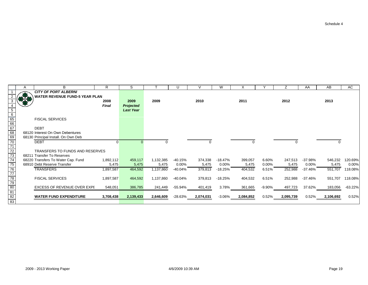|                                                       | A   | B                                     | R            | S                |           | U         | $\vee$    | W         | X         |           | Z.        | AA        | AB        | AC        |
|-------------------------------------------------------|-----|---------------------------------------|--------------|------------------|-----------|-----------|-----------|-----------|-----------|-----------|-----------|-----------|-----------|-----------|
|                                                       |     | <b>CITY OF PORT ALBERNI</b>           |              |                  |           |           |           |           |           |           |           |           |           |           |
|                                                       | *** | <b>WATER REVENUE FUND-5 YEAR PLAN</b> |              |                  |           |           |           |           |           |           |           |           |           |           |
|                                                       |     |                                       | 2008         | 2009             | 2009      |           | 2010      |           | 2011      |           | 2012      |           | 2013      |           |
|                                                       |     |                                       | <b>Final</b> | <b>Projected</b> |           |           |           |           |           |           |           |           |           |           |
| 5                                                     |     |                                       |              | <b>Last Year</b> |           |           |           |           |           |           |           |           |           |           |
|                                                       |     |                                       |              |                  |           |           |           |           |           |           |           |           |           |           |
| $\frac{6}{65}$<br>$\frac{65}{66}$<br>$\frac{67}{68}$  |     | <b>FISCAL SERVICES</b>                |              |                  |           |           |           |           |           |           |           |           |           |           |
|                                                       |     |                                       |              |                  |           |           |           |           |           |           |           |           |           |           |
|                                                       |     | <b>DEBT</b>                           |              |                  |           |           |           |           |           |           |           |           |           |           |
|                                                       |     | 68120 Interest On Own Debentures      |              |                  |           |           |           |           |           |           |           |           |           |           |
|                                                       |     | 68130 Principal Install. On Own Deb   |              |                  |           |           |           |           |           |           |           |           |           |           |
| $\overline{70}$                                       |     | <b>DEBT</b>                           |              |                  |           |           |           |           |           |           |           |           |           |           |
| $\frac{71}{72}$<br>$\frac{72}{73}$<br>$\frac{74}{75}$ |     |                                       |              |                  |           |           |           |           |           |           |           |           |           |           |
|                                                       |     | TRANSFERS TO FUNDS AND RESERVES       |              |                  |           |           |           |           |           |           |           |           |           |           |
|                                                       |     | 68211 Transfer To Reserves            |              |                  |           |           |           |           |           |           |           |           |           |           |
|                                                       |     | 68220 Transfers To Water Cap. Fund    | 1,892,112    | 459,117          | 1,132,385 | -40.15%   | 374,338   | $-18.47%$ | 399,057   | 6.60%     | 247,513   | $-37.98%$ | 546,232   | 120.69%   |
|                                                       |     | 68910 Debt Reserve Transfer           | 5,475        | 5,475            | 5,475     | $0.00\%$  | 5,475     | $0.00\%$  | 5,475     | $0.00\%$  | 5,475     | $0.00\%$  | 5,475     | 0.00%     |
|                                                       |     | <b>TRANSFERS</b>                      | 1,897,587    | 464,592          | 1,137,860 | -40.04%   | 379,813   | $-18.25%$ | 404,532   | 6.51%     | 252,988   | $-37.46%$ | 551,707   | 118.08%   |
|                                                       |     |                                       |              |                  |           |           |           |           |           |           |           |           |           |           |
|                                                       |     | <b>FISCAL SERVICES</b>                | 1,897,587    | 464,592          | 1,137,860 | -40.04%   | 379,813   | -18.25%   | 404,532   | 6.51%     | 252,988   | -37.46%   | 551,707   | 118.08%   |
|                                                       |     |                                       |              |                  |           |           |           |           |           |           |           |           |           |           |
|                                                       |     | EXCESS OF REVENUE OVER EXPI           | 548,051      | 386,785          | 241,449   | -55.94%   | 401,419   | 3.78%     | 361,665   | $-9.90\%$ | 497,723   | 37.62%    | 183,056   | $-63.22%$ |
| 76<br>77<br>78<br>79<br>80<br>81<br>82<br>82          |     |                                       |              |                  |           |           |           |           |           |           |           |           |           |           |
|                                                       |     | <b>WATER FUND EXPENDITURE</b>         | 3,708,438    | 2,139,433        | 2,646,609 | $-28.63%$ | 2,074,031 | $-3.06\%$ | 2,084,852 | 0.52%     | 2,095,739 | 0.52%     | 2,106,692 | 0.52%     |
|                                                       |     |                                       |              |                  |           |           |           |           |           |           |           |           |           |           |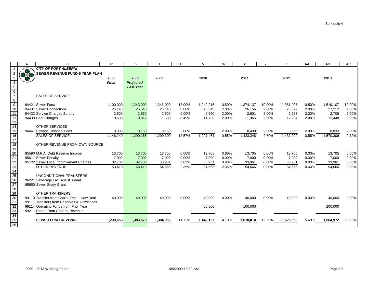|                                                                                       | A             | B                                           | $\mathsf{R}$ | S                |           | U        | $\vee$    | W        | X         |          | Z         | AA       | AB        | AC     |
|---------------------------------------------------------------------------------------|---------------|---------------------------------------------|--------------|------------------|-----------|----------|-----------|----------|-----------|----------|-----------|----------|-----------|--------|
|                                                                                       |               | <b>CITY OF PORT ALBERNI</b>                 |              |                  |           |          |           |          |           |          |           |          |           |        |
|                                                                                       | $\frac{1}{2}$ | <b>SEWER REVENUE FUND-5 YEAR PLAN</b>       |              |                  |           |          |           |          |           |          |           |          |           |        |
|                                                                                       |               |                                             | 2008         | 2009             | 2009      |          | 2010      |          | 2011      |          | 2012      |          | 2013      |        |
|                                                                                       |               |                                             | <b>Final</b> | Projected        |           |          |           |          |           |          |           |          |           |        |
|                                                                                       |               |                                             |              | <b>Last Year</b> |           |          |           |          |           |          |           |          |           |        |
| $\begin{array}{c}\n5 \\ 6 \\ 7\n\end{array}$                                          |               |                                             |              |                  |           |          |           |          |           |          |           |          |           |        |
|                                                                                       |               | <b>SALES OF SERVICE</b>                     |              |                  |           |          |           |          |           |          |           |          |           |        |
| $\frac{8}{9}$                                                                         |               |                                             |              |                  |           |          |           |          |           |          |           |          |           |        |
|                                                                                       |               | 94421 Sewer Fees                            | 1,100,000    | 1,243,000        | 1,243,000 | 13.00%   | 1,249,215 | 0.50%    | 1,374,137 | 10.00%   | 1,381,007 | 0.50%    | 1,519,107 | 10.00% |
| $\overline{10}$                                                                       |               | 94431 Sewer Connections                     | 25,140       | 25,643           | 25,140    | 0.00%    | 25,643    | 2.00%    | 26,156    | 2.00%    | 26,679    | 2.00%    | 27,212    | 2.00%  |
| 11                                                                                    |               | 94432 Service Charges Sundry                | 2,500        | 2,550            | 2,500     | 0.00%    | 2,550     | 2.00%    | 2,601     | 2.00%    | 2,653     | 2.00%    | 2,706     | 2.00%  |
|                                                                                       |               | 94433 User Charges                          | 10,600       | 10,812           | 11,500    | 8.49%    | 11,730    | 2.00%    | 11,965    | 2.00%    | 12,204    | 2.00%    | 12,448    | 2.00%  |
| 12<br>13<br>14                                                                        |               |                                             |              |                  |           |          |           |          |           |          |           |          |           |        |
|                                                                                       |               | <b>OTHER SERVICES</b>                       |              |                  |           |          |           |          |           |          |           |          |           |        |
| $\overline{15}$                                                                       |               | 94441 Sewage Disposal Fees                  | 8,000        | 8,160            | 8,160     | 2.00%    | 8,323     | 2.00%    | 8,490     | 2.00%    | 8,660     | 2.00%    | 8,833     | 2.00%  |
| 16                                                                                    |               | <b>SALES OF SERVICE</b>                     | 1,146,240    | 1,290,165        | 1,290,300 | 12.57%   | 1,297,461 | 0.55%    | 1,423,348 | 9.70%    | 1,431,202 | 0.55%    | 1,570,306 | 9.72%  |
| $\overline{17}$                                                                       |               |                                             |              |                  |           |          |           |          |           |          |           |          |           |        |
| $\overline{18}$                                                                       |               | OTHER REVENUE FROM OWN SOURCE               |              |                  |           |          |           |          |           |          |           |          |           |        |
| $\frac{18}{19}$<br>$\frac{20}{21}$                                                    |               |                                             |              |                  |           |          |           |          |           |          |           |          |           |        |
|                                                                                       |               | 95590 M.F.A. Debt Reserve Income            | 13,705       | 13,705           | 13,705    | 0.00%    | 13,705    | $0.00\%$ | 13,705    | 0.00%    | 13,705    | 0.00%    | 13,705    | 0.00%  |
|                                                                                       |               | 95611 Sewer Penalty                         | 7,000        | 7,000            | 7,000     | 0.00%    | 7,000     | 0.00%    | 7,000     | 0.00%    | 7,000     | 0.00%    | 7,000     | 0.00%  |
|                                                                                       |               | 95722 Sewer Local Improvement Charges       | 32,708       | 32,708           | 33,961    | 3.83%    | 33,961    | 0.00%    | 33,961    | 0.00%    | 33,961    | 0.00%    | 33,961    | 0.00%  |
|                                                                                       |               | <b>OTHER REVENUE</b>                        | 53,413       | 53,413           | 54,666    | 2.35%    | 54,666    | 2.35%    | 54,666    | 0.00%    | 54,666    | 0.00%    | 54,666    | 0.00%  |
| $\frac{22}{23} \frac{24}{25} \frac{24}{25} \frac{26}{27} \frac{28}{29} \frac{29}{30}$ |               |                                             |              |                  |           |          |           |          |           |          |           |          |           |        |
|                                                                                       |               | UNCONDITIONAL TRANSFERS                     |              |                  |           |          |           |          |           |          |           |          |           |        |
|                                                                                       |               | 96221 Sewerage Fac. Assist. Grant           |              |                  |           |          |           |          |           |          |           |          |           |        |
|                                                                                       |               | 95650 Sewer Study Grant                     |              |                  |           |          |           |          |           |          |           |          |           |        |
|                                                                                       |               | <b>OTHER TRANSFERS</b>                      |              |                  |           |          |           |          |           |          |           |          |           |        |
|                                                                                       |               | 99110 Transfer from Capital Res. - New Deal | 40,000       | 40,000           | 40,000    | $0.00\%$ | 40,000    | 0.00%    | 40,000    | $0.00\%$ | 40,000    | 0.00%    | 40,000    | 0.00%  |
|                                                                                       |               | 99111 Transfers from Reserves & Allowances  |              |                  |           |          |           |          |           |          |           |          |           |        |
|                                                                                       |               | 99114 Operating Funds from Prior Year       |              |                  |           |          | 50,000    |          | 100,000   |          |           |          | 200,000   |        |
| 32<br>33                                                                              |               | 99211 Contr. From General Revenue           |              |                  |           |          |           |          |           |          |           |          |           |        |
| $\overline{34}$                                                                       |               |                                             |              |                  |           |          |           |          |           |          |           |          |           |        |
|                                                                                       |               | <b>SEWER FUND REVENUE</b>                   | 1,239,653    | 1,383,578        | 1,384,966 | 11.72%   | 1,442,127 | 4.13%    | 1,618,014 | 12.20%   | 1,525,868 | $-5.69%$ | 1,864,972 | 22.22% |
| $\frac{35}{35}$<br>36                                                                 |               |                                             |              |                  |           |          |           |          |           |          |           |          |           |        |
|                                                                                       |               |                                             |              |                  |           |          |           |          |           |          |           |          |           |        |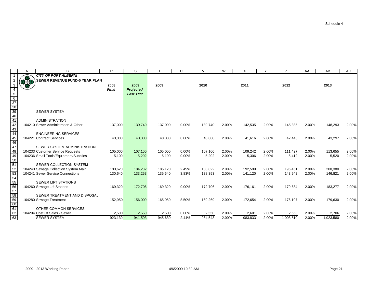|                                                                           | A | B                                     | R            | S                |         | $\cup$ | $\mathcal{U}$ | W     | X       |       | Z         | AA    | AB        | AC    |
|---------------------------------------------------------------------------|---|---------------------------------------|--------------|------------------|---------|--------|---------------|-------|---------|-------|-----------|-------|-----------|-------|
|                                                                           |   | <b>CITY OF PORT ALBERNI</b>           |              |                  |         |        |               |       |         |       |           |       |           |       |
| $\overline{2}$                                                            |   | SEWER REVENUE FUND-5 YEAR PLAN        |              |                  |         |        |               |       |         |       |           |       |           |       |
| $\overline{3}$                                                            |   |                                       | 2008         | 2009             | 2009    |        | 2010          |       | 2011    |       | 2012      |       | 2013      |       |
| $\overline{4}$                                                            |   |                                       | <b>Final</b> | <b>Projected</b> |         |        |               |       |         |       |           |       |           |       |
|                                                                           |   |                                       |              | <b>Last Year</b> |         |        |               |       |         |       |           |       |           |       |
|                                                                           |   |                                       |              |                  |         |        |               |       |         |       |           |       |           |       |
|                                                                           |   |                                       |              |                  |         |        |               |       |         |       |           |       |           |       |
|                                                                           |   |                                       |              |                  |         |        |               |       |         |       |           |       |           |       |
|                                                                           |   | <b>SEWER SYSTEM</b>                   |              |                  |         |        |               |       |         |       |           |       |           |       |
| $\frac{5}{\frac{6}{37}}$<br>$\frac{38}{\frac{39}{40}}$<br>$\frac{40}{41}$ |   |                                       |              |                  |         |        |               |       |         |       |           |       |           |       |
|                                                                           |   | <b>ADMINISTRATION</b>                 |              |                  |         |        |               |       |         |       |           |       |           |       |
| $\frac{11}{42}$<br>$\frac{43}{44}$                                        |   | 104210 Sewer Administration & Other   | 137,000      | 139,740          | 137,000 | 0.00%  | 139,740       | 2.00% | 142,535 | 2.00% | 145,385   | 2.00% | 148,293   | 2.00% |
|                                                                           |   |                                       |              |                  |         |        |               |       |         |       |           |       |           |       |
|                                                                           |   | <b>ENGINEERING SERVICES</b>           |              |                  |         |        |               |       |         |       |           |       |           |       |
| $\frac{11}{45}$<br>$\frac{46}{47}$                                        |   | 104221 Contract Services              | 40,000       | 40,800           | 40,000  | 0.00%  | 40,800        | 2.00% | 41,616  | 2.00% | 42,448    | 2.00% | 43,297    | 2.00% |
|                                                                           |   |                                       |              |                  |         |        |               |       |         |       |           |       |           |       |
|                                                                           |   | SEWER SYSTEM ADMINISTRATION           |              |                  |         |        |               |       |         |       |           |       |           |       |
| 48                                                                        |   | 104233 Customer Service Requests      | 105,000      | 107,100          | 105,000 | 0.00%  | 107,100       | 2.00% | 109,242 | 2.00% | 111,427   | 2.00% | 113,655   | 2.00% |
|                                                                           |   | 104236 Small Tools/Equipment/Supplies | 5,100        | 5,202            | 5,100   | 0.00%  | 5,202         | 2.00% | 5,306   | 2.00% | 5,412     | 2.00% | 5,520     | 2.00% |
|                                                                           |   |                                       |              |                  |         |        |               |       |         |       |           |       |           |       |
| $\frac{49}{50}$ $\frac{51}{52}$ $\frac{52}{53}$ $\frac{53}{54}$           |   | SEWER COLLECTION SYSTEM               |              |                  |         |        |               |       |         |       |           |       |           |       |
|                                                                           |   | 104240 Sewage Collection System Main  | 180,620      | 184,232          | 185.120 | 2.49%  | 188.822       | 2.00% | 192,599 | 2.00% | 196,451   | 2.00% | 200,380   | 2.00% |
|                                                                           |   | 104241 Sewer Service Connections      | 130,640      | 133,253          | 135,640 | 3.83%  | 138,353       | 2.00% | 141,120 | 2.00% | 143,942   | 2.00% | 146,821   | 2.00% |
|                                                                           |   |                                       |              |                  |         |        |               |       |         |       |           |       |           |       |
| 55                                                                        |   | <b>SEWER LIFT STATIONS</b>            |              |                  |         |        |               |       |         |       |           |       |           |       |
| $\frac{56}{57}$                                                           |   | 104260 Sewage Lift Stations           | 169,320      | 172,706          | 169,320 | 0.00%  | 172,706       | 2.00% | 176,161 | 2.00% | 179,684   | 2.00% | 183,277   | 2.00% |
|                                                                           |   |                                       |              |                  |         |        |               |       |         |       |           |       |           |       |
| $\frac{1}{58}$<br>$\frac{58}{60}$                                         |   | SEWER TREATMENT AND DISPOSAL          |              |                  |         |        |               |       |         |       |           |       |           |       |
|                                                                           |   | 104280 Sewage Treatment               | 152,950      | 156,009          | 165,950 | 8.50%  | 169,269       | 2.00% | 172,654 | 2.00% | 176,107   | 2.00% | 179,630   | 2.00% |
|                                                                           |   |                                       |              |                  |         |        |               |       |         |       |           |       |           |       |
| 61                                                                        |   | OTHER COMMON SERVICES                 |              |                  |         |        |               |       |         |       |           |       |           |       |
| $\frac{62}{63}$                                                           |   | 104294 Cost Of Sales - Sewer          | 2,500        | 2,550            | 2,500   | 0.00%  | 2,550         | 2.00% | 2,601   | 2.00% | 2,653     | 2.00% | 2,706     | 2.00% |
|                                                                           |   | <b>SEWER SYSTEM</b>                   | 923,130      | 941,593          | 945,630 | 2.44%  | 964,543       | 2.00% | 983,833 | 2.00% | 1,003,510 | 2.00% | 1,023,580 | 2.00% |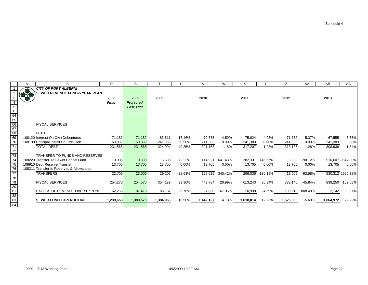|                                                      | B                                        | R         | S                |           |          | $\mathcal{U}$ | W         | X         |           | Ζ         | AA        | AB        | AC               |
|------------------------------------------------------|------------------------------------------|-----------|------------------|-----------|----------|---------------|-----------|-----------|-----------|-----------|-----------|-----------|------------------|
|                                                      | <b>CITY OF PORT ALBERNI</b>              |           |                  |           |          |               |           |           |           |           |           |           |                  |
| $\overline{2}$                                       | SEWER REVENUE FUND-5 YEAR PLAN           |           |                  |           |          |               |           |           |           |           |           |           |                  |
| 3                                                    |                                          | 2008      | 2009             | 2009      |          | 2010          |           | 2011      |           | 2012      |           | 2013      |                  |
| $\overline{4}$                                       |                                          | Final     | <b>Projected</b> |           |          |               |           |           |           |           |           |           |                  |
|                                                      |                                          |           | <b>Last Year</b> |           |          |               |           |           |           |           |           |           |                  |
| $\frac{5}{64}$<br>$\frac{64}{65}$<br>$\frac{66}{67}$ |                                          |           |                  |           |          |               |           |           |           |           |           |           |                  |
|                                                      |                                          |           |                  |           |          |               |           |           |           |           |           |           |                  |
|                                                      |                                          |           |                  |           |          |               |           |           |           |           |           |           |                  |
|                                                      | <b>FISCAL SERVICES</b>                   |           |                  |           |          |               |           |           |           |           |           |           |                  |
|                                                      |                                          |           |                  |           |          |               |           |           |           |           |           |           |                  |
| 68                                                   | <b>DEBT</b>                              |           |                  |           |          |               |           |           |           |           |           |           |                  |
| 69                                                   | 108120 Interest On Own Debentures        | 71,182    | 71,182           | 83,611    | 17.46%   | 79,775        | $-4.59%$  | 75,824    | $-4.95%$  | 71,752    | $-5.37%$  | 67,555    | $-5.85%$         |
| 70                                                   | 108130 Principal Install On Own Deb.     | 160,383   | 160.383          | 241,383   | 50.50%   | 241,383       | 0.00%     | 241,383   | $0.00\%$  | 241,383   | 0.00%     | 241,383   | 0.00%            |
| 71                                                   | <b>TOTAL DEBT</b>                        | 231,565   | 231,565          | 324,994   | 40.35%   | 321,158       | $-1.18%$  | 317,207   | $-1.23%$  | 313,135   | $-1.28%$  | 308,938   | $-1.34%$         |
| $\frac{72}{73}$                                      |                                          |           |                  |           |          |               |           |           |           |           |           |           |                  |
|                                                      | TRANSFER TO FUNDS AND RESERVES           |           |                  |           |          |               |           |           |           |           |           |           |                  |
| 74                                                   | 108220 Transfer To Sewer Capital Fund    | 9,000     | 9,300            | 15,500    | 72.22%   | 114,921       | 641.43%   | 282,331   | 145.67%   | 5,300     | $-98.12%$ |           | 516,607 9647.30% |
| 75                                                   | 108910 Debt Reserve Transfer             | 13,705    | 13,705           | 13,705    | $0.00\%$ | 13,705        | 0.00%     | 13,705    | $0.00\%$  | 13,705    | 0.00%     | 13,705    | 0.00%            |
| 76                                                   | 108211 Transfer to Reserves & Allowances |           |                  |           |          |               |           |           |           |           |           |           |                  |
| $\overline{77}$                                      | <b>TRANSFERS</b>                         | 22,705    | 23,005           | 29,205    | 28.63%   | 128,626       | 340.42%   | 296,036   | 130.15%   | 19,005    | -93.58%   |           | 530,312 2690.38% |
|                                                      |                                          |           |                  |           |          |               |           |           |           |           |           |           |                  |
|                                                      | <b>FISCAL SERVICES</b>                   | 254,270   | 254,570          | 354,199   | 39.30%   | 449,784       | 26.99%    | 613,243   | 36.34%    | 332,140   | $-45.84%$ | 839,250   | 152.68%          |
| $rac{78}{79}$<br>$rac{79}{80}$<br>$rac{80}{81}$      |                                          |           |                  |           |          |               |           |           |           |           |           |           |                  |
|                                                      | EXCESS OF REVENUE OVER EXPEND            | 62,253    | 187,415          | 85,137    | 36.76%   | 27,800        | $-67.35%$ | 20,938    | $-24.69%$ | 190,218   | 808.49%   | 2,142     | $-98.87%$        |
| 82                                                   |                                          |           |                  |           |          |               |           |           |           |           |           |           |                  |
| 83                                                   | <b>SEWER FUND EXPENDITURE</b>            | 1,239,653 | 1,383,578        | 1,384,966 | 10.50%   | 1,442,127     | 4.13%     | 1,618,014 | 12.20%    | 1,525,868 | $-5.69%$  | 1,864,972 | 22.22%           |
| 84                                                   |                                          |           |                  |           |          |               |           |           |           |           |           |           |                  |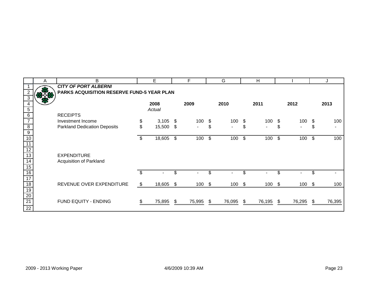|                 | A | B                                                 |      | E      |     | F              |     | G      |     | H              |                      |      | J      |
|-----------------|---|---------------------------------------------------|------|--------|-----|----------------|-----|--------|-----|----------------|----------------------|------|--------|
|                 |   | <b>CITY OF PORT ALBERNI</b>                       |      |        |     |                |     |        |     |                |                      |      |        |
|                 |   | <b>PARKS ACQUISITION RESERVE FUND-5 YEAR PLAN</b> |      |        |     |                |     |        |     |                |                      |      |        |
|                 |   |                                                   |      |        |     |                |     |        |     |                |                      |      |        |
|                 |   |                                                   |      | 2008   |     | 2009           |     | 2010   |     | 2011           | 2012                 |      | 2013   |
| 5               |   |                                                   |      | Actual |     |                |     |        |     |                |                      |      |        |
| $6\phantom{1}6$ |   | <b>RECEIPTS</b>                                   |      |        |     |                |     |        |     |                |                      |      |        |
| $\overline{7}$  |   | Investment Income                                 | \$   | 3,105  | \$  | 100            | \$  | 100    | S.  | 100            | \$<br>100            | \$   | 100    |
| $\overline{8}$  |   | <b>Parkland Dedication Deposits</b>               | \$   | 15,500 | \$  | $\blacksquare$ | \$  | $\sim$ | \$  | $\blacksquare$ | \$<br>$\blacksquare$ | \$   |        |
| 9               |   |                                                   |      |        |     |                |     |        |     |                |                      |      |        |
| 10              |   |                                                   |      | 18,605 | \$  | 100            | \$  | 100    | \$  | 100            | \$<br>100            | \$   | 100    |
| 11              |   |                                                   |      |        |     |                |     |        |     |                |                      |      |        |
| 12              |   |                                                   |      |        |     |                |     |        |     |                |                      |      |        |
| 13              |   | <b>EXPENDITURE</b>                                |      |        |     |                |     |        |     |                |                      |      |        |
| 14              |   | Acquisition of Parkland                           |      |        |     |                |     |        |     |                |                      |      |        |
| 15              |   |                                                   |      |        |     |                |     |        |     |                |                      |      |        |
| 16              |   |                                                   |      |        |     |                |     |        | \$. |                | \$                   | \$   |        |
| $\overline{17}$ |   |                                                   |      |        |     |                |     |        |     |                |                      |      |        |
| 18              |   | REVENUE OVER EXPENDITURE                          | - \$ | 18,605 | S.  | 100            | \$  | 100    | -\$ | $100 - $$      | 100 \$               |      | 100    |
| $\overline{19}$ |   |                                                   |      |        |     |                |     |        |     |                |                      |      |        |
| 20              |   |                                                   |      |        |     |                |     |        |     |                |                      |      |        |
| $\overline{21}$ |   | FUND EQUITY - ENDING                              |      | 75,895 | -SS | 75,995         | -86 | 76,095 | -95 | 76,195 \$      | 76,295               | - \$ | 76,395 |
| $\overline{22}$ |   |                                                   |      |        |     |                |     |        |     |                |                      |      |        |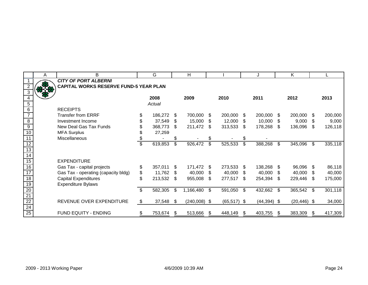|                                                 | A   | B                                      | G             |     | H              |     |                |     | J             |     | Κ              |      |         |
|-------------------------------------------------|-----|----------------------------------------|---------------|-----|----------------|-----|----------------|-----|---------------|-----|----------------|------|---------|
|                                                 |     | <b>CITY OF PORT ALBERNI</b>            |               |     |                |     |                |     |               |     |                |      |         |
|                                                 | 878 | CAPITAL WORKS RESERVE FUND-5 YEAR PLAN |               |     |                |     |                |     |               |     |                |      |         |
|                                                 |     |                                        |               |     |                |     |                |     |               |     |                |      |         |
|                                                 |     |                                        | 2008          |     | 2009           |     | 2010           |     | 2011          |     | 2012           |      | 2013    |
| 5                                               |     |                                        | Actual        |     |                |     |                |     |               |     |                |      |         |
| 6                                               |     | <b>RECEIPTS</b>                        |               |     |                |     |                |     |               |     |                |      |         |
|                                                 |     | <b>Transfer from ERRF</b>              | 186,272       | S   | 700,000        | S   | 200,000        | S.  | 200,000       | \$. | 200,000        | \$   | 200,000 |
| $\overline{8}$                                  |     | Investment Income                      | 37,549        | \$  | 15,000         | S   | 12,000         | S   | 10,000        | \$  | 9,000          | \$   | 9,000   |
| $\overline{9}$                                  |     | New Deal Gas Tax Funds                 | 368,773       | \$  | 211,472        | \$  | 313,533        | \$  | 178,268       | \$. | 136,096        | \$.  | 126,118 |
| 10                                              |     | <b>MFA Surplus</b>                     | 27,259        |     |                |     |                |     |               |     |                |      |         |
| 11                                              |     | Miscellaneous                          |               | \$  |                |     |                | \$  |               |     |                |      |         |
| 12                                              |     |                                        | \$<br>619,853 | \$  | 926,472        | \$  | 525,533        | \$  | 388,268       | \$  | 345,096        | \$   | 335,118 |
| 13                                              |     |                                        |               |     |                |     |                |     |               |     |                |      |         |
| 14                                              |     |                                        |               |     |                |     |                |     |               |     |                |      |         |
| 15                                              |     | <b>EXPENDITURE</b>                     |               |     |                |     |                |     |               |     |                |      |         |
| 16                                              |     | Gas Tax - capital projects             | \$<br>357,011 | \$  | 171,472        | S   | 273,533        | \$. | 138,268       | \$. | 96,096         | - \$ | 86,118  |
| 17                                              |     | Gas Tax - operating (capacity bldg)    | \$<br>11,762  | \$  | 40,000         | \$  | 40,000         | \$. | 40,000        | \$. | 40,000         | \$.  | 40,000  |
| $\overline{18}$                                 |     | <b>Capital Expenditures</b>            | \$<br>213,532 | \$. | 955,008        | \$. | 277,517        | \$. | 254,394       | \$. | 229,446        | S    | 175,000 |
| 19                                              |     | <b>Expenditure Bylaws</b>              |               |     |                |     |                |     |               |     |                |      |         |
|                                                 |     |                                        | \$<br>582,305 | \$  | 1,166,480      | \$  | 591,050        | \$  | 432,662       | \$  | 365,542 \$     |      | 301,118 |
|                                                 |     |                                        |               |     |                |     |                |     |               |     |                |      |         |
| $\frac{20}{21}$ $\frac{22}{24}$ $\frac{24}{25}$ |     | REVENUE OVER EXPENDITURE               | \$<br>37,548  | \$  | $(240,008)$ \$ |     | $(65, 517)$ \$ |     | $(44,394)$ \$ |     | $(20, 446)$ \$ |      | 34,000  |
|                                                 |     |                                        |               |     |                |     |                |     |               |     |                |      |         |
|                                                 |     | FUND EQUITY - ENDING                   | 753,674       | \$  | 513,666        | \$. | 448,149        | S   | 403,755       | \$. | 383,309        | \$.  | 417,309 |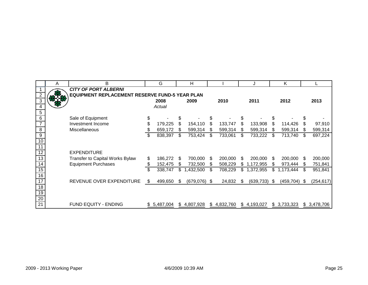|                 | A          | B                                              | G             |     | Н            |    |             |    | J           |      | K         |     |             |
|-----------------|------------|------------------------------------------------|---------------|-----|--------------|----|-------------|----|-------------|------|-----------|-----|-------------|
|                 |            | <b>CITY OF PORT ALBERNI</b>                    |               |     |              |    |             |    |             |      |           |     |             |
| $\overline{2}$  |            | EQUIPMENT REPLACEMENT RESERVE FUND-5 YEAR PLAN |               |     |              |    |             |    |             |      |           |     |             |
| $\overline{3}$  | <b>DYC</b> |                                                | 2008          |     | 2009         |    | 2010        |    | 2011        |      | 2012      |     | 2013        |
| $\overline{4}$  |            |                                                | Actual        |     |              |    |             |    |             |      |           |     |             |
| $\overline{5}$  |            |                                                |               |     |              |    |             |    |             |      |           |     |             |
| $6\overline{6}$ |            | Sale of Equipment                              | \$            |     |              |    |             | \$ |             |      |           |     |             |
| $\overline{7}$  |            | Investment Income                              | \$<br>179,225 | S   | 154,110      | S  | 133,747     | \$ | 133,908     | \$.  | 114,426   | S   | 97,910      |
| $\overline{8}$  |            | <b>Miscellaneous</b>                           | \$<br>659,172 | \$. | 599,314      | S  | 599,314     | \$ | 599,314     | S    | 599,314   | S   | 599,314     |
| $\overline{9}$  |            |                                                | \$<br>838,397 | \$  | 753,424      | \$ | 733,061     | \$ | 733,222     | \$.  | 713,740   | \$. | 697,224     |
| 10              |            |                                                |               |     |              |    |             |    |             |      |           |     |             |
| 11              |            |                                                |               |     |              |    |             |    |             |      |           |     |             |
| $\overline{12}$ |            | <b>EXPENDITURE</b>                             |               |     |              |    |             |    |             |      |           |     |             |
| 13              |            | <b>Transfer to Capital Works Bylaw</b>         | \$<br>186,272 | \$  | 700,000      | \$ | 200,000     | \$ | 200,000     | \$.  | 200,000   | S   | 200,000     |
| $\overline{14}$ |            | <b>Equipment Purchases</b>                     | \$<br>152,475 | S   | 732,500      | S. | 508,229     | S. | 1,172,955   | \$.  | 973,444   | S   | 751,841     |
| 15              |            |                                                | \$<br>338,747 | \$  | 1,432,500    | \$ | 708,229     | \$ | 1,372,955   | \$   | 1,173,444 | \$  | 951,841     |
| 16              |            |                                                |               |     |              |    |             |    |             |      |           |     |             |
| 17              |            | REVENUE OVER EXPENDITURE                       | \$<br>499,650 | \$  | (679,076) \$ |    | 24,832      | S  | (639, 733)  | - \$ | (459,704) | \$. | (254, 617)  |
| $\overline{18}$ |            |                                                |               |     |              |    |             |    |             |      |           |     |             |
| 19              |            |                                                |               |     |              |    |             |    |             |      |           |     |             |
| 20              |            |                                                |               |     |              |    |             |    |             |      |           |     |             |
| $\overline{21}$ |            | <b>FUND EQUITY - ENDING</b>                    | \$5,487,004   |     | \$4,807,928  |    | \$4,832,760 |    | \$4,193,027 | \$   | 3,733,323 |     | \$3,478,706 |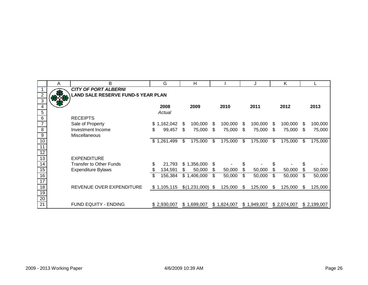|                 | A    | B                                         | G             |     | н             |     |             |     | J           |     | K           |     |             |
|-----------------|------|-------------------------------------------|---------------|-----|---------------|-----|-------------|-----|-------------|-----|-------------|-----|-------------|
|                 |      | <b>CITY OF PORT ALBERNI</b>               |               |     |               |     |             |     |             |     |             |     |             |
| $\overline{2}$  | 83.8 | <b>LAND SALE RESERVE FUND-5 YEAR PLAN</b> |               |     |               |     |             |     |             |     |             |     |             |
| $\overline{3}$  |      |                                           |               |     |               |     |             |     |             |     |             |     |             |
| $\overline{4}$  |      |                                           | 2008          |     | 2009          |     | 2010        |     | 2011        |     | 2012        |     | 2013        |
| $\overline{5}$  |      |                                           | Actual        |     |               |     |             |     |             |     |             |     |             |
| 6               |      | <b>RECEIPTS</b>                           |               |     |               |     |             |     |             |     |             |     |             |
| $\overline{7}$  |      | Sale of Property                          | \$1,162,042   | \$. | 100,000       | \$. | 100,000     | S   | 100,000     | \$  | 100,000     | S   | 100,000     |
| $\overline{8}$  |      | Investment Income                         | \$<br>99,457  | \$  | 75,000        | \$  | 75,000      | \$. | 75,000      | \$  | 75,000      | \$  | 75,000      |
| $\overline{9}$  |      | Miscellaneous                             |               |     |               |     |             |     |             |     |             |     |             |
| 10              |      |                                           | \$1,261,499   | \$  | 175,000       | \$  | 175,000     | \$  | 175,000     | \$  | 175,000     | \$. | 175,000     |
| 11              |      |                                           |               |     |               |     |             |     |             |     |             |     |             |
| 12              |      |                                           |               |     |               |     |             |     |             |     |             |     |             |
| 13              |      | <b>EXPENDITURE</b>                        |               |     |               |     |             |     |             |     |             |     |             |
| 14              |      | <b>Transfer to Other Funds</b>            | \$<br>21,793  |     | \$1,356,000   | \$  |             | \$  |             | \$  |             | \$  |             |
| 15              |      | <b>Expenditure Bylaws</b>                 | 134,591       | \$  | 50,000        | \$  | 50,000      | \$  | 50,000      | \$  | 50,000      | \$  | 50,000      |
| 16              |      |                                           | \$<br>156,384 |     | \$1,406,000   | \$  | 50,000      | \$  | 50,000      | \$  | 50,000      | \$  | 50,000      |
| $\overline{17}$ |      |                                           |               |     |               |     |             |     |             |     |             |     |             |
| 18              |      | REVENUE OVER EXPENDITURE                  | \$1,105,115   |     | \$(1,231,000) | \$  | 125,000     | \$  | 125,000     | \$. | 125,000     | \$. | 125,000     |
| 19              |      |                                           |               |     |               |     |             |     |             |     |             |     |             |
| 20              |      |                                           |               |     |               |     |             |     |             |     |             |     |             |
| $\overline{21}$ |      | <b>FUND EQUITY - ENDING</b>               | \$2,930,007   |     | \$1,699,007   |     | \$1,824,007 |     | \$1,949,007 |     | \$2,074,007 |     | \$2,199,007 |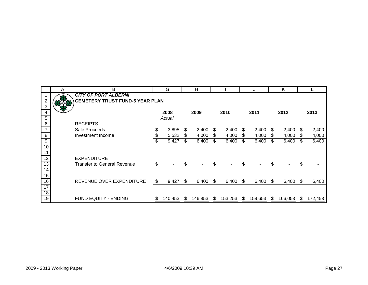|                  | A   | B                                      |    | G       |     | н       |    |         |     | J       |      | Κ       |     |         |
|------------------|-----|----------------------------------------|----|---------|-----|---------|----|---------|-----|---------|------|---------|-----|---------|
|                  |     | <b>CITY OF PORT ALBERNI</b>            |    |         |     |         |    |         |     |         |      |         |     |         |
| $\overline{c}$   | 818 | <b>CEMETERY TRUST FUND-5 YEAR PLAN</b> |    |         |     |         |    |         |     |         |      |         |     |         |
| $\overline{3}$   |     |                                        |    |         |     |         |    |         |     |         |      |         |     |         |
| $\overline{4}$   |     |                                        |    | 2008    |     | 2009    |    | 2010    |     | 2011    |      | 2012    |     | 2013    |
| $\overline{5}$   |     |                                        |    | Actual  |     |         |    |         |     |         |      |         |     |         |
| $\overline{6}$   |     | <b>RECEIPTS</b>                        |    |         |     |         |    |         |     |         |      |         |     |         |
| $\overline{7}$   |     | Sale Proceeds                          | \$ | 3,895   | S.  | 2,400   | S. | 2,400   | S.  | 2,400   | - \$ | 2,400   | S.  | 2,400   |
| 8                |     | Investment Income                      | \$ | 5,532   | \$. | 4,000   | S  | 4,000   | S   | 4,000   | S    | 4,000   | S.  | 4,000   |
| $\boldsymbol{9}$ |     |                                        | \$ | 9,427   | \$  | 6,400   | \$ | 6,400   | \$  | 6,400   | \$   | 6,400   | \$  | 6,400   |
| 10               |     |                                        |    |         |     |         |    |         |     |         |      |         |     |         |
| 11               |     |                                        |    |         |     |         |    |         |     |         |      |         |     |         |
| $\overline{12}$  |     | <b>EXPENDITURE</b>                     |    |         |     |         |    |         |     |         |      |         |     |         |
| 13               |     | <b>Transfer to General Revenue</b>     | \$ |         | \$  |         | \$ |         | \$  |         | \$   |         | \$  |         |
| 14               |     |                                        |    |         |     |         |    |         |     |         |      |         |     |         |
| 15               |     |                                        |    |         |     |         |    |         |     |         |      |         |     |         |
| 16               |     | REVENUE OVER EXPENDITURE               | \$ | 9,427   | \$. | 6,400   | S  | 6,400   | \$. | 6,400   | -SS  | 6,400   | \$. | 6,400   |
| 17               |     |                                        |    |         |     |         |    |         |     |         |      |         |     |         |
| $\overline{18}$  |     |                                        |    |         |     |         |    |         |     |         |      |         |     |         |
| 19               |     | <b>FUND EQUITY - ENDING</b>            | S. | 140,453 | SБ. | 146,853 | S  | 153,253 | S.  | 159,653 | S.   | 166,053 | S.  | 172,453 |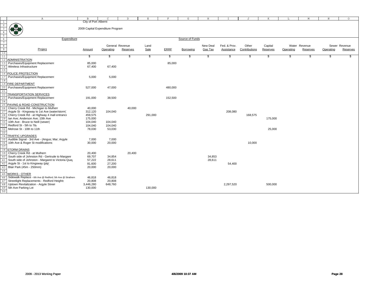|                 | $\mathbb{A}$                                                                           | $\mathbf{B}$                     | $\mathcal{C}$    | $\mathbb D$ | E       | F           | G               | H        |              | J             | K        | L         | M             | N         | $\Omega$      |  |
|-----------------|----------------------------------------------------------------------------------------|----------------------------------|------------------|-------------|---------|-------------|-----------------|----------|--------------|---------------|----------|-----------|---------------|-----------|---------------|--|
| $\mathbf{1}$    |                                                                                        | City of Port Alberni             |                  |             |         |             |                 |          |              |               |          |           |               |           |               |  |
|                 |                                                                                        |                                  |                  |             |         |             |                 |          |              |               |          |           |               |           |               |  |
|                 |                                                                                        | 2009 Capital Expenditure Program |                  |             |         |             |                 |          |              |               |          |           |               |           |               |  |
|                 |                                                                                        |                                  |                  |             |         |             |                 |          |              |               |          |           |               |           |               |  |
|                 |                                                                                        |                                  |                  |             |         |             |                 |          |              |               |          |           |               |           |               |  |
| -6              | Expenditure                                                                            |                                  |                  |             |         |             | Source of Funds |          |              |               |          |           |               |           |               |  |
| $\overline{7}$  |                                                                                        |                                  |                  |             |         |             |                 |          |              |               |          |           |               |           |               |  |
| $\overline{8}$  |                                                                                        |                                  | General Revenue  |             | Land    |             |                 | New Deal | Fed. & Prov. | Other         | Capital  |           | Water Revenue |           | Sewer Revenue |  |
| $\frac{9}{10}$  | Project                                                                                | Amount                           | Operating        | Reserves    | Sale    | <b>ERRF</b> | Borrowing       | Gas Tax  | Assistance   | Contributions | Reserves | Operating | Reserves      | Operating | Reserves      |  |
| 11              |                                                                                        | S                                | \$               |             | \$      | \$          | \$.             | \$       |              | \$            | \$       | \$        | £.            |           |               |  |
| 12 <sup>°</sup> | <b>ADMINISTRATION</b>                                                                  |                                  |                  |             |         |             |                 |          |              |               |          |           |               |           |               |  |
| 13              | Purchases/Equipment Replacement                                                        | 85,000                           |                  |             |         | 85,000      |                 |          |              |               |          |           |               |           |               |  |
|                 | Wireless Infrastructure                                                                | 67,400                           | 67,400           |             |         |             |                 |          |              |               |          |           |               |           |               |  |
|                 |                                                                                        |                                  |                  |             |         |             |                 |          |              |               |          |           |               |           |               |  |
|                 | POLICE PROTECTION                                                                      |                                  |                  |             |         |             |                 |          |              |               |          |           |               |           |               |  |
|                 | Purchases/Equipment Replacement                                                        | 5,000                            | 5,000            |             |         |             |                 |          |              |               |          |           |               |           |               |  |
|                 |                                                                                        |                                  |                  |             |         |             |                 |          |              |               |          |           |               |           |               |  |
| 19              | <b>FIRE DEPARTMENT</b>                                                                 |                                  |                  |             |         |             |                 |          |              |               |          |           |               |           |               |  |
| 20              | Purchases/Equipment Replacement                                                        | 527,000                          | 47,000           |             |         | 480,000     |                 |          |              |               |          |           |               |           |               |  |
| 21              |                                                                                        |                                  |                  |             |         |             |                 |          |              |               |          |           |               |           |               |  |
| 22              | <b>TRANSPORTATION SERVICES</b>                                                         |                                  |                  |             |         |             |                 |          |              |               |          |           |               |           |               |  |
| 23              | Purchases/Equipment Replacement                                                        | 191,000                          | 38,500           |             |         | 152,500     |                 |          |              |               |          |           |               |           |               |  |
| 24              |                                                                                        |                                  |                  |             |         |             |                 |          |              |               |          |           |               |           |               |  |
|                 | PAVING & ROAD CONSTRUCTION                                                             |                                  |                  |             |         |             |                 |          |              |               |          |           |               |           |               |  |
| 26              | Cherry Creek Rd - Michigan to Mulherr<br>Argyle St - Kingsway to 1st Ave (water/storm) | 40,000                           |                  | 40,000      |         |             |                 |          | 208,080      |               |          |           |               |           |               |  |
|                 | Cherry Creek Rd - at Highway 4 mall entrance                                           | 312,120<br>459,575               | 104,040          |             | 291,000 |             |                 |          |              | 168,575       |          |           |               |           |               |  |
| 28              | Ian Ave; Anderson Ave; 10th Ave                                                        | 175,000                          |                  |             |         |             |                 |          |              |               | 175,000  |           |               |           |               |  |
| 30              | 10th Ave - Bruce to Neill (sewer)                                                      | 104,040                          | 104,040          |             |         |             |                 |          |              |               |          |           |               |           |               |  |
|                 | Redford St - 5th to 7th                                                                | 104,040                          | 104.040          |             |         |             |                 |          |              |               |          |           |               |           |               |  |
| 32              | Melrose St - 10th to 11th                                                              | 78,030                           | 53,030           |             |         |             |                 |          |              |               | 25,000   |           |               |           |               |  |
| 33              |                                                                                        |                                  |                  |             |         |             |                 |          |              |               |          |           |               |           |               |  |
| 34              | <b>TRAFFIC UPGRADES</b>                                                                |                                  |                  |             |         |             |                 |          |              |               |          |           |               |           |               |  |
|                 | Audible Signal - 3rd Ave - (Angus; Mar; Argyle                                         | 7,000                            | 7,000            |             |         |             |                 |          |              |               |          |           |               |           |               |  |
| 36              | 10th Ave & Roger St modifications                                                      | 30,000                           | 20,000           |             |         |             |                 |          |              | 10,000        |          |           |               |           |               |  |
| 37              |                                                                                        |                                  |                  |             |         |             |                 |          |              |               |          |           |               |           |               |  |
|                 | STORM DRAINS                                                                           |                                  |                  |             |         |             |                 |          |              |               |          |           |               |           |               |  |
| 39              | Cherry Creek Rd - at Mulhern                                                           | 20,400                           |                  | 20,400      |         |             |                 |          |              |               |          |           |               |           |               |  |
| 40              | South side of Johnston Rd - Gertrude to Margare                                        | 69,707                           | 34,854           |             |         |             |                 | 34,853   |              |               |          |           |               |           |               |  |
| 41              | South side of Johnston - Margaret to Victoria Quay                                     | 57,222<br>81,600                 | 28,611<br>27,200 |             |         |             |                 | 28,611   |              |               |          |           |               |           |               |  |
|                 | Argyle St - 1st to Kingsway (ptp)                                                      |                                  |                  |             |         |             |                 |          | 54,400       |               |          |           |               |           |               |  |
| 43<br>44        | Blair Park (45m - 250mm)                                                               | 20,000                           | 20,000           |             |         |             |                 |          |              |               |          |           |               |           |               |  |
| 45              | <b>WORKS - OTHER</b>                                                                   |                                  |                  |             |         |             |                 |          |              |               |          |           |               |           |               |  |
| 46              | Sidewalk Replace - 6th Ave @ Redford; 5th Ave @ Strathern                              | 46,818                           | 46,818           |             |         |             |                 |          |              |               |          |           |               |           |               |  |
| 47              | Streetlight Replacements - Redford Heights                                             | 20,808                           | 20,808           |             |         |             |                 |          |              |               |          |           |               |           |               |  |
| 48              | Uptown Revitalization - Argyle Street                                                  | 3,446,280                        | 648,760          |             |         |             |                 |          | 2,297,520    |               | 500,000  |           |               |           |               |  |
| 49              | 5th Ave Parking Lot                                                                    | 130,000                          |                  |             | 130,000 |             |                 |          |              |               |          |           |               |           |               |  |
| 50              |                                                                                        |                                  |                  |             |         |             |                 |          |              |               |          |           |               |           |               |  |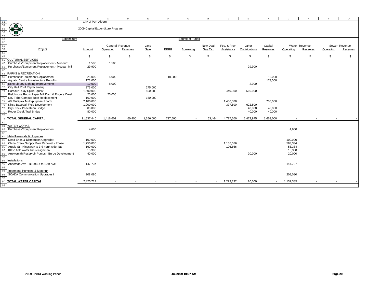|                                                          | $\mathbb{A}$                                   | B                                | $\Gamma$                 | D                        | $\mathbf E$              | F              | G               | H                        | $\mathbb{I}$ | J             | K         | L                        | M                        | N                        | $\circ$       |
|----------------------------------------------------------|------------------------------------------------|----------------------------------|--------------------------|--------------------------|--------------------------|----------------|-----------------|--------------------------|--------------|---------------|-----------|--------------------------|--------------------------|--------------------------|---------------|
| 51                                                       |                                                | City of Port Alberni             |                          |                          |                          |                |                 |                          |              |               |           |                          |                          |                          |               |
| 52<br>53<br>54<br>55<br>56<br>56<br>57<br>58<br>59<br>60 | <b>OB</b>                                      |                                  |                          |                          |                          |                |                 |                          |              |               |           |                          |                          |                          |               |
|                                                          |                                                | 2009 Capital Expenditure Program |                          |                          |                          |                |                 |                          |              |               |           |                          |                          |                          |               |
|                                                          |                                                |                                  |                          |                          |                          |                |                 |                          |              |               |           |                          |                          |                          |               |
|                                                          |                                                |                                  |                          |                          |                          |                |                 |                          |              |               |           |                          |                          |                          |               |
|                                                          | Expenditure                                    |                                  |                          |                          |                          |                | Source of Funds |                          |              |               |           |                          |                          |                          |               |
|                                                          |                                                |                                  |                          |                          |                          |                |                 |                          |              |               |           |                          |                          |                          |               |
|                                                          |                                                |                                  |                          | General Revenue          | Land                     |                |                 | New Deal                 | Fed. & Prov. | Other         | Capital   |                          | Water Revenue            |                          | Sewer Revenue |
|                                                          | Project                                        | Amount                           | Operating                | Reserves                 | Sale                     | <b>ERRF</b>    | Borrowing       | Gas Tax                  | Assistance   | Contributions | Reserves  | Operating                | Reserves                 | Operating                | Reserves      |
|                                                          |                                                |                                  |                          |                          |                          |                |                 |                          |              |               |           |                          |                          |                          |               |
| 61                                                       |                                                | -\$                              | S.                       |                          | S.                       | S.             | S.              | - 55                     | £.           | S.            | £.        | S.                       | SS.                      | -86                      |               |
| 62                                                       | <b>CULTURAL SERVICES</b>                       |                                  |                          |                          |                          |                |                 |                          |              |               |           |                          |                          |                          |               |
| 63                                                       | Purchases/Equipment Replacement - Museum       | 1,500                            | 1,500                    |                          |                          |                |                 |                          |              |               |           |                          |                          |                          |               |
| 64                                                       | Purchases/Equipment Replacement - McLean Mil   | 29,900                           |                          |                          |                          |                |                 |                          |              | 29,900        |           |                          |                          |                          |               |
| 65                                                       |                                                |                                  |                          |                          |                          |                |                 |                          |              |               |           |                          |                          |                          |               |
| 66                                                       | PARKS & RECREATION                             |                                  |                          |                          |                          |                |                 |                          |              |               |           |                          |                          |                          |               |
| 67                                                       | Purchases/Equipment Replacement                | 25,000                           | 5,000                    |                          |                          | 10,000         |                 |                          |              |               | 10,000    |                          |                          |                          |               |
| 68                                                       | Aquatic Centre Infrastructure Retrofits        | 173,000                          |                          |                          |                          |                |                 |                          |              |               | 173,000   |                          |                          |                          |               |
| 69                                                       | Echo Library Lighting Improvements             | 10,000                           | 8,000                    |                          |                          |                |                 |                          |              | 2,000         |           |                          |                          |                          |               |
|                                                          | City Hall Roof Replacement                     | 275,000                          |                          |                          | 275,000                  |                |                 |                          |              |               |           |                          |                          |                          |               |
| 70<br>71                                                 | Harbour Quay Spirit Square                     | 1,500,000                        |                          |                          | 500,000                  |                |                 |                          | 440,000      | 560,000       |           |                          |                          |                          |               |
|                                                          | Fieldhouse Roofs Paper Mill Dam & Rogers Creek |                                  |                          |                          |                          |                |                 |                          |              |               |           |                          |                          |                          |               |
| 72                                                       | NIC Tebo Campus Roof Replacement               | 25,000<br>160,000                | 25,000                   |                          |                          |                |                 |                          |              |               |           |                          |                          |                          |               |
| 73                                                       |                                                | 2,100,000                        |                          |                          | 160,000                  |                |                 |                          |              |               |           |                          |                          |                          |               |
| 74                                                       | AV Multiplex Multi-purpose Rooms               |                                  |                          |                          |                          |                |                 |                          | 1,400,000    |               | 700,000   |                          |                          |                          |               |
| 75                                                       | Klitsa Baseball Field Development              | 1,000,000                        |                          |                          |                          |                |                 |                          | 377,500      | 622,500       |           |                          |                          |                          |               |
| 76                                                       | Dry Creek Pedestrian Bridge                    | 80,000                           |                          |                          |                          |                |                 |                          |              | 40,000        | 40,000    |                          |                          |                          |               |
| 77                                                       | Roger Creek Trail Bridge                       | 80,000                           |                          |                          |                          |                |                 |                          |              | 40,000        | 40,000    |                          |                          |                          |               |
| 78                                                       |                                                |                                  |                          |                          |                          |                |                 |                          |              |               |           |                          |                          |                          |               |
| 79                                                       | TOTAL GENERAL CAPITAL                          | 11,537,440                       | 1,416,601                | 60,400                   | 1,356,000                | 727,500        | $\sim$          | 63,464                   | 4,777,500    | 1,472,975     | 1,663,000 | $\overline{\phantom{a}}$ | $\overline{\phantom{a}}$ | $\sim$                   |               |
| 80                                                       |                                                |                                  |                          |                          |                          |                |                 |                          |              |               |           |                          |                          |                          |               |
| 81                                                       | <b>WATER WORKS</b>                             |                                  |                          |                          |                          |                |                 |                          |              |               |           |                          |                          |                          |               |
| 82                                                       | Purchases/Equipment Replacement                | 4,600                            |                          |                          |                          |                |                 |                          |              |               |           | 4,600                    |                          |                          |               |
| 83                                                       |                                                |                                  |                          |                          |                          |                |                 |                          |              |               |           |                          |                          |                          |               |
|                                                          | 84 Main Renewals & Upgrades                    |                                  |                          |                          |                          |                |                 |                          |              |               |           |                          |                          |                          |               |
| 85                                                       | Dead Ends & Distribution Upgrades              | 100,000                          |                          |                          |                          |                |                 |                          |              |               |           | 100,000                  |                          |                          |               |
| 86                                                       | China Creek Supply Main Renewal - Phase I      | 1,750,000                        |                          |                          |                          |                |                 |                          | 1,166,666    |               |           | 583,334                  |                          |                          |               |
| 87                                                       | Argyle St - Kingsway to 3rd north side (ptp    | 160,000                          |                          |                          |                          |                |                 |                          | 106,666      |               |           | 53,334                   |                          |                          |               |
| 88                                                       | Klitsa field water line realignment            | 15,300                           |                          |                          |                          |                |                 |                          |              |               |           | 15,300                   |                          |                          |               |
| 89                                                       | Arrowsmith Reservoir Pumps - Burde Development | 40,000                           |                          |                          |                          |                |                 |                          |              | 20,000        |           | 20,000                   |                          |                          |               |
| 90                                                       |                                                |                                  |                          |                          |                          |                |                 |                          |              |               |           |                          |                          |                          |               |
| 91                                                       | nstallations                                   |                                  |                          |                          |                          |                |                 |                          |              |               |           |                          |                          |                          |               |
| 92                                                       | Anderson Ave - Burde St to 12th Ave            | 147,737                          |                          |                          |                          |                |                 |                          |              |               |           | 147,737                  |                          |                          |               |
| 93                                                       |                                                |                                  |                          |                          |                          |                |                 |                          |              |               |           |                          |                          |                          |               |
| 94                                                       | Treatment, Pumping & Meterinc                  |                                  |                          |                          |                          |                |                 |                          |              |               |           |                          |                          |                          |               |
| 95                                                       | <b>SCADA Communication Upgrades</b>            | 208,080                          |                          |                          |                          |                |                 |                          |              |               |           | 208,080                  |                          |                          |               |
| 96                                                       |                                                |                                  |                          |                          |                          |                |                 |                          |              |               |           |                          |                          |                          |               |
| 97                                                       | <b>TOTAL WATER CAPITAL</b>                     | 2,425,717                        | $\overline{\phantom{a}}$ | $\overline{\phantom{a}}$ | $\overline{\phantom{a}}$ | $\overline{a}$ | $\overline{a}$  | $\overline{\phantom{a}}$ | 1,273,332    | 20,000        |           | 1,132,385                | $\overline{\phantom{a}}$ | $\overline{\phantom{a}}$ |               |
|                                                          |                                                |                                  |                          |                          |                          |                |                 |                          |              |               |           |                          |                          |                          |               |
| 98                                                       |                                                |                                  |                          |                          |                          |                |                 |                          |              |               |           |                          |                          |                          |               |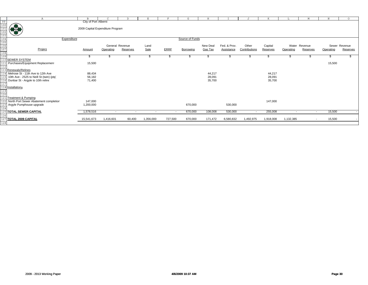|                                                                                                                              | Α                                                                                                                                                                                                                                                                                                                                                   | <sub>B</sub>                     | $\subset$ | D.                       | E.                       |             | G               | H                |              |                          |                  |                          | M             | N         | $\circ$       |
|------------------------------------------------------------------------------------------------------------------------------|-----------------------------------------------------------------------------------------------------------------------------------------------------------------------------------------------------------------------------------------------------------------------------------------------------------------------------------------------------|----------------------------------|-----------|--------------------------|--------------------------|-------------|-----------------|------------------|--------------|--------------------------|------------------|--------------------------|---------------|-----------|---------------|
|                                                                                                                              |                                                                                                                                                                                                                                                                                                                                                     | City of Port Alberni             |           |                          |                          |             |                 |                  |              |                          |                  |                          |               |           |               |
|                                                                                                                              |                                                                                                                                                                                                                                                                                                                                                     |                                  |           |                          |                          |             |                 |                  |              |                          |                  |                          |               |           |               |
|                                                                                                                              | $\begin{picture}(120,10) \put(0,0){\line(1,0){15}} \put(15,0){\line(1,0){15}} \put(15,0){\line(1,0){15}} \put(15,0){\line(1,0){15}} \put(15,0){\line(1,0){15}} \put(15,0){\line(1,0){15}} \put(15,0){\line(1,0){15}} \put(15,0){\line(1,0){15}} \put(15,0){\line(1,0){15}} \put(15,0){\line(1,0){15}} \put(15,0){\line(1,0){15}} \put(15,0){\line($ | 2009 Capital Expenditure Program |           |                          |                          |             |                 |                  |              |                          |                  |                          |               |           |               |
|                                                                                                                              |                                                                                                                                                                                                                                                                                                                                                     |                                  |           |                          |                          |             |                 |                  |              |                          |                  |                          |               |           |               |
|                                                                                                                              | Expenditure                                                                                                                                                                                                                                                                                                                                         |                                  |           |                          |                          |             | Source of Funds |                  |              |                          |                  |                          |               |           |               |
|                                                                                                                              |                                                                                                                                                                                                                                                                                                                                                     |                                  |           |                          |                          |             |                 |                  |              |                          |                  |                          |               |           |               |
|                                                                                                                              |                                                                                                                                                                                                                                                                                                                                                     |                                  |           | General Revenue          | Land                     |             |                 | New Deal         | Fed. & Prov. | Other                    | Capital          |                          | Water Revenue |           | Sewer Revenue |
| $\begin{array}{r} 99 \\ 100 \\ \hline 101 \\ 102 \\ 103 \\ \hline 104 \\ 105 \\ \hline 106 \\ 107 \\ 108 \\ 109 \end{array}$ | Project                                                                                                                                                                                                                                                                                                                                             | Amount                           | Operating | Reserves                 | Sale                     | <b>ERRF</b> | Borrowing       | Gas Tax          | Assistance   | Contributions            | Reserves         | Operating                | Reserves      | Operating | Reserves      |
|                                                                                                                              |                                                                                                                                                                                                                                                                                                                                                     | J.                               |           |                          |                          |             |                 |                  |              |                          |                  |                          |               |           |               |
|                                                                                                                              | 110 SEWER SYSTEM                                                                                                                                                                                                                                                                                                                                    |                                  |           |                          |                          |             |                 |                  |              |                          |                  |                          |               |           |               |
|                                                                                                                              | Purchases/Equipment Replacement                                                                                                                                                                                                                                                                                                                     | 15,500                           |           |                          |                          |             |                 |                  |              |                          |                  |                          |               | 15,500    |               |
|                                                                                                                              |                                                                                                                                                                                                                                                                                                                                                     |                                  |           |                          |                          |             |                 |                  |              |                          |                  |                          |               |           |               |
|                                                                                                                              | 3 Renewals/Relines                                                                                                                                                                                                                                                                                                                                  |                                  |           |                          |                          |             |                 |                  |              |                          |                  |                          |               |           |               |
|                                                                                                                              | 14 Melrose St - 11th Ave to 12th Ave                                                                                                                                                                                                                                                                                                                | 88,434                           |           |                          |                          |             |                 | 44,217           |              |                          | 44,217           |                          |               |           |               |
|                                                                                                                              | 10th Ave - 2525 to Neill St (twin) (ptp)<br>Dunbar St - Argyle to 10th reline                                                                                                                                                                                                                                                                       | 56,182<br>71,400                 |           |                          |                          |             |                 | 28,091<br>35,700 |              |                          | 28,091<br>35,700 |                          |               |           |               |
| 117                                                                                                                          |                                                                                                                                                                                                                                                                                                                                                     |                                  |           |                          |                          |             |                 |                  |              |                          |                  |                          |               |           |               |
|                                                                                                                              | 118 Installations                                                                                                                                                                                                                                                                                                                                   |                                  |           |                          |                          |             |                 |                  |              |                          |                  |                          |               |           |               |
| 119<br>120                                                                                                                   |                                                                                                                                                                                                                                                                                                                                                     |                                  |           |                          |                          |             |                 |                  |              |                          |                  |                          |               |           |               |
|                                                                                                                              |                                                                                                                                                                                                                                                                                                                                                     |                                  |           |                          |                          |             |                 |                  |              |                          |                  |                          |               |           |               |
|                                                                                                                              | Treatment & Pumping                                                                                                                                                                                                                                                                                                                                 |                                  |           |                          |                          |             |                 |                  |              |                          |                  |                          |               |           |               |
|                                                                                                                              | North Port Sewer Abatement completion                                                                                                                                                                                                                                                                                                               | 147.000                          |           |                          |                          |             |                 |                  |              |                          | 147,000          |                          |               |           |               |
| 124                                                                                                                          | 123 Argyle Pumphouse upgrade                                                                                                                                                                                                                                                                                                                        | 1,200,000                        |           |                          |                          |             | 670,000         |                  | 530,000      |                          |                  |                          |               |           |               |
|                                                                                                                              | <b>125 TOTAL SEWER CAPITAL</b>                                                                                                                                                                                                                                                                                                                      | 1,578,516                        | $\sim$    | $\overline{\phantom{a}}$ | $\overline{\phantom{0}}$ | $\sim$      | 670,000         | 108,008          | 530,000      | $\overline{\phantom{a}}$ | 255,008          | $\overline{\phantom{a}}$ | $\sim$        | 15,500    |               |
| 126                                                                                                                          |                                                                                                                                                                                                                                                                                                                                                     |                                  |           |                          |                          |             |                 |                  |              |                          |                  |                          |               |           |               |
|                                                                                                                              | 127 TOTAL 2009 CAPITAL                                                                                                                                                                                                                                                                                                                              | 15,541,673                       | 1,416,601 | 60,400                   | 1,356,000                | 727,500     | 670,000         | 171,472          | 6,580,832    | 1,492,975                | 1,918,008        | 1,132,385                |               | 15,500    |               |
| 128                                                                                                                          |                                                                                                                                                                                                                                                                                                                                                     |                                  |           |                          |                          |             |                 |                  |              |                          |                  |                          |               |           |               |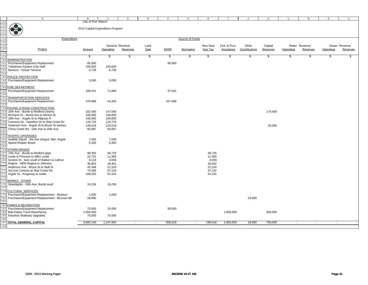|                                        | Α                                            | B.                               | C         | $\mathbb{D}$    | E.                    |             | G                | H        |              |               |          |                          | М                        | N         | $\circ$       |
|----------------------------------------|----------------------------------------------|----------------------------------|-----------|-----------------|-----------------------|-------------|------------------|----------|--------------|---------------|----------|--------------------------|--------------------------|-----------|---------------|
| 129<br>130<br>131                      |                                              | City of Port Alberni             |           |                 |                       |             |                  |          |              |               |          |                          |                          |           |               |
|                                        |                                              |                                  |           |                 |                       |             |                  |          |              |               |          |                          |                          |           |               |
|                                        |                                              | 2010 Capital Expenditure Program |           |                 |                       |             |                  |          |              |               |          |                          |                          |           |               |
| 132<br>133                             |                                              |                                  |           |                 |                       |             |                  |          |              |               |          |                          |                          |           |               |
|                                        |                                              |                                  |           |                 |                       |             |                  |          |              |               |          |                          |                          |           |               |
|                                        | Expenditure                                  |                                  |           |                 |                       |             | Source of Funds  |          |              |               |          |                          |                          |           |               |
|                                        |                                              |                                  |           |                 |                       |             |                  |          |              |               |          |                          |                          |           |               |
|                                        |                                              |                                  |           | General Revenue | Land                  |             |                  | New Deal | Fed. & Prov. | Other         | Capital  |                          | Water Revenue            |           | Sewer Revenue |
|                                        | Project                                      | Amount                           | Operating | Reserves        | Sale                  | <b>ERRE</b> | <b>Borrowing</b> | Gas Tax  | Assistance   | Contributions | Reserves | Operating                | Reserves                 | Operating | Reserves      |
|                                        |                                              |                                  |           |                 |                       |             |                  |          |              |               |          |                          |                          |           |               |
| 134<br>135<br>136<br>137<br>138<br>139 |                                              | \$                               | \$        | \$              | $\boldsymbol{\theta}$ | \$          | \$               | S        | \$           | \$            | \$       | \$                       | -\$                      | \$.       | \$            |
| 140                                    | <b>ADMINISTRATION</b>                        |                                  |           |                 |                       |             |                  |          |              |               |          |                          |                          |           |               |
| 141                                    | Purchases/Equipment Replacement              | 85,000                           |           |                 |                       | 85,000      |                  |          |              |               |          |                          |                          |           |               |
| 142                                    | Telephone System (City Hall)                 | 150,000                          | 150,000   |                 |                       |             |                  |          |              |               |          |                          |                          |           |               |
| 143                                    | Moneris - Virtual Termina                    | 6,739                            | 6,739     |                 |                       |             |                  |          |              |               |          |                          |                          |           |               |
|                                        |                                              |                                  |           |                 |                       |             |                  |          |              |               |          |                          |                          |           |               |
| 144                                    | POLICE PROTECTION                            |                                  |           |                 |                       |             |                  |          |              |               |          |                          |                          |           |               |
| 145                                    |                                              |                                  |           |                 |                       |             |                  |          |              |               |          |                          |                          |           |               |
| 146                                    | Purchases/Equipment Replacement              | 5,000                            | 5,000     |                 |                       |             |                  |          |              |               |          |                          |                          |           |               |
| 147                                    |                                              |                                  |           |                 |                       |             |                  |          |              |               |          |                          |                          |           |               |
| 148                                    | FIRE DEPARTMENT                              |                                  |           |                 |                       |             |                  |          |              |               |          |                          |                          |           |               |
| 149                                    | Purchases/Equipment Replacement              | 109,521                          | 71,960    |                 |                       | 37,561      |                  |          |              |               |          |                          |                          |           |               |
| 15(                                    |                                              |                                  |           |                 |                       |             |                  |          |              |               |          |                          |                          |           |               |
| 151                                    | TRANSPORTATION SERVICES                      |                                  |           |                 |                       |             |                  |          |              |               |          |                          |                          |           |               |
| 152                                    | Purchases/Equipment Replacement              | 370,968                          | 43,300    |                 |                       | 327,668     |                  |          |              |               |          |                          |                          |           |               |
| 153                                    |                                              |                                  |           |                 |                       |             |                  |          |              |               |          |                          |                          |           |               |
| 154                                    | PAVING & ROAD CONSTRUCTION                   |                                  |           |                 |                       |             |                  |          |              |               |          |                          |                          |           |               |
| 155                                    | 15th Ave - Burde to Redford (storm)          | 322,000                          | 147,000   |                 |                       |             |                  |          |              |               | 175,000  |                          |                          |           |               |
|                                        | McIntyre Dr - Wood Ave to Morton St          | 100,000                          | 100,000   |                 |                       |             |                  |          |              |               |          |                          |                          |           |               |
| 15'                                    | 18th Ave - Argyle St to Hilgrass P           | 100,000                          | 100,000   |                 |                       |             |                  |          |              |               |          |                          |                          |           |               |
|                                        | Cameron Dr - Hamilton Dr to Ship Creek Rd    | 116,733                          | 116,733   |                 |                       |             |                  |          |              |               |          |                          |                          |           |               |
| 159                                    | Anderson Ave - Argyle St to Bruce St (sewer) | 149,519                          | 124,519   |                 |                       |             |                  |          |              |               | 25,000   |                          |                          |           |               |
|                                        |                                              |                                  |           |                 |                       |             |                  |          |              |               |          |                          |                          |           |               |
| 160                                    | China Creek Rd - 14th Ave to 16th Ave        | 65,687                           | 65,687    |                 |                       |             |                  |          |              |               |          |                          |                          |           |               |
| 161                                    |                                              |                                  |           |                 |                       |             |                  |          |              |               |          |                          |                          |           |               |
| 162                                    | TRAFFIC UPGRADES                             |                                  |           |                 |                       |             |                  |          |              |               |          |                          |                          |           |               |
| 163                                    | Audible Signal - 3rd Ave (Angus; Mar; Argyle | 7,000                            | 7,000     |                 |                       |             |                  |          |              |               |          |                          |                          |           |               |
| 164                                    | Speed Reader Board                           | 6,300                            | 6,300     |                 |                       |             |                  |          |              |               |          |                          |                          |           |               |
| 165                                    |                                              |                                  |           |                 |                       |             |                  |          |              |               |          |                          |                          |           |               |
| 166                                    | <b>STORM DRAINS</b>                          |                                  |           |                 |                       |             |                  |          |              |               |          |                          |                          |           |               |
| 167                                    | 15th Ave - Burde to Redford (ptp)            | 99,450                           | 49,725    |                 |                       |             |                  | 49,725   |              |               |          |                          |                          |           |               |
| 168                                    | Leslie & Princess to 4861 Leslie             | 22,731                           | 11,366    |                 |                       |             |                  | 11,365   |              |               |          |                          |                          |           |               |
| 169                                    | Gordon St - lane south of Ballson to Lathon  | 8,118                            | 4,059     |                 |                       |             |                  | 4,059    |              |               |          |                          |                          |           |               |
|                                        | Regina - 4850 Regina to Johnston             | 36,803                           | 18,401    |                 |                       |             |                  | 18,402   |              |               |          |                          |                          |           |               |
| 171                                    | Anderson Ave - Bruce St to Neill St          | 42,448                           | 21,224    |                 |                       |             |                  | 21,224   |              |               |          |                          |                          |           |               |
| 172                                    | 3rd Ave Culverts at Ship Creek Rd            | 74,285                           | 37,143    |                 |                       |             |                  | 37,142   |              |               |          |                          |                          |           |               |
| 173                                    | Argyle St - Kingsway to outfal               | 108,202                          | 54,101    |                 |                       |             |                  | 54,101   |              |               |          |                          |                          |           |               |
|                                        |                                              |                                  |           |                 |                       |             |                  |          |              |               |          |                          |                          |           |               |
| 175                                    | <b>NORKS - OTHER</b>                         |                                  |           |                 |                       |             |                  |          |              |               |          |                          |                          |           |               |
|                                        | Streetlights - 16th Ave, Burde south         | 16,236                           | 16,236    |                 |                       |             |                  |          |              |               |          |                          |                          |           |               |
| 176                                    |                                              |                                  |           |                 |                       |             |                  |          |              |               |          |                          |                          |           |               |
| 17'                                    |                                              |                                  |           |                 |                       |             |                  |          |              |               |          |                          |                          |           |               |
| 178                                    | <b>CULTURAL SERVICES</b>                     |                                  |           |                 |                       |             |                  |          |              |               |          |                          |                          |           |               |
| 179                                    | Purchases/Equipment Replacement - Museum     | 1,500                            | 1,500     |                 |                       |             |                  |          |              |               |          |                          |                          |           |               |
| 180                                    | Purchases/Equipment Replacement - McLean Mil | 29,900                           |           |                 |                       |             |                  |          |              | 29,900        |          |                          |                          |           |               |
| 181                                    |                                              |                                  |           |                 |                       |             |                  |          |              |               |          |                          |                          |           |               |
| 182                                    | PARKS & RECREATION                           |                                  |           |                 |                       |             |                  |          |              |               |          |                          |                          |           |               |
| 183                                    | Purchases/Equipment Replacement              | 73,000                           | 15,000    |                 |                       | 58,000      |                  |          |              |               |          |                          |                          |           |               |
| 184                                    | <b>Bob Dailey Track Resurfacing</b>          | 1,500,000                        |           |                 |                       |             |                  |          | 1,000,000    |               | 500,000  |                          |                          |           |               |
| 185                                    | Kitsuksis Walkway Upgrades                   | 75,000                           | 75,000    |                 |                       |             |                  |          |              |               |          |                          |                          |           |               |
| 186                                    |                                              |                                  |           |                 |                       |             |                  |          |              |               |          |                          |                          |           |               |
| 187                                    | <b>TOTAL GENERAL CAPITAL</b>                 | 3,682,140                        | 1,247,993 |                 | $\sim$                | 508,229     | $\sim$           | 196,018  | 1,000,000    | 29,900        | 700,000  | $\overline{\phantom{a}}$ | $\overline{\phantom{a}}$ | $\sim$    |               |
| 188                                    |                                              |                                  |           |                 |                       |             |                  |          |              |               |          |                          |                          |           |               |
|                                        |                                              |                                  |           |                 |                       |             |                  |          |              |               |          |                          |                          |           |               |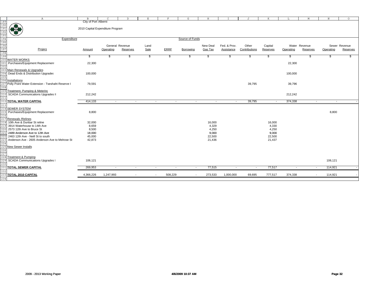|                                                                    |                                                      | $\mathbf{B}$                     | $\mathcal{C}$            | D                        | E      | F           | G                                                    | H                        |                          |               | K              |                          |                          | N         | $\circ$       |
|--------------------------------------------------------------------|------------------------------------------------------|----------------------------------|--------------------------|--------------------------|--------|-------------|------------------------------------------------------|--------------------------|--------------------------|---------------|----------------|--------------------------|--------------------------|-----------|---------------|
|                                                                    | $\mathbb A$                                          |                                  |                          |                          |        |             |                                                      |                          |                          | J             |                | L                        | M                        |           |               |
| 189<br>190<br>191<br>192<br>193<br>194<br>195<br>196<br>197<br>198 |                                                      | City of Port Alberni             |                          |                          |        |             |                                                      |                          |                          |               |                |                          |                          |           |               |
|                                                                    | <b>OF BO</b>                                         |                                  |                          |                          |        |             |                                                      |                          |                          |               |                |                          |                          |           |               |
|                                                                    |                                                      | 2010 Capital Expenditure Program |                          |                          |        |             |                                                      |                          |                          |               |                |                          |                          |           |               |
|                                                                    |                                                      |                                  |                          |                          |        |             |                                                      |                          |                          |               |                |                          |                          |           |               |
|                                                                    | ₩                                                    |                                  |                          |                          |        |             |                                                      |                          |                          |               |                |                          |                          |           |               |
|                                                                    |                                                      |                                  |                          |                          |        |             |                                                      |                          |                          |               |                |                          |                          |           |               |
|                                                                    | Expenditure                                          |                                  |                          |                          |        |             | Source of Funds                                      |                          |                          |               |                |                          |                          |           |               |
|                                                                    |                                                      |                                  |                          |                          |        |             |                                                      |                          |                          |               |                |                          |                          |           |               |
|                                                                    |                                                      |                                  |                          | General Revenue          | Land   |             |                                                      | New Deal                 | Fed. & Prov.             | Other         | Capital        |                          | Water Revenue            |           | Sewer Revenue |
|                                                                    |                                                      |                                  |                          |                          |        |             |                                                      |                          |                          |               |                |                          |                          |           |               |
|                                                                    | Project                                              | Amount                           | Operating                | Reserves                 | Sale   | <b>ERRF</b> | Borrowing                                            | Gas Tax                  | Assistance               | Contributions | Reserves       | Operating                | <b>Reserves</b>          | Operating | Reserves      |
|                                                                    |                                                      |                                  |                          |                          |        |             |                                                      |                          |                          |               |                |                          |                          |           |               |
| 199                                                                |                                                      | \$                               | \$                       | S.                       | \$     | \$          | \$                                                   | \$                       | S.                       | S.            | \$             | \$                       | -\$                      | \$        |               |
|                                                                    | 200 WATER WORKS                                      |                                  |                          |                          |        |             |                                                      |                          |                          |               |                |                          |                          |           |               |
|                                                                    |                                                      |                                  |                          |                          |        |             |                                                      |                          |                          |               |                |                          |                          |           |               |
| 201                                                                | Purchases/Equipment Replacement                      | 22,300                           |                          |                          |        |             |                                                      |                          |                          |               |                | 22,300                   |                          |           |               |
| 202                                                                |                                                      |                                  |                          |                          |        |             |                                                      |                          |                          |               |                |                          |                          |           |               |
|                                                                    | 203 Main Renewals & Upgrades                         |                                  |                          |                          |        |             |                                                      |                          |                          |               |                |                          |                          |           |               |
| 204                                                                | Dead Ends & Distribution Upgrades                    | 100,000                          |                          |                          |        |             |                                                      |                          |                          |               |                | 100,000                  |                          |           |               |
|                                                                    |                                                      |                                  |                          |                          |        |             |                                                      |                          |                          |               |                |                          |                          |           |               |
| 205                                                                |                                                      |                                  |                          |                          |        |             |                                                      |                          |                          |               |                |                          |                          |           |               |
|                                                                    | 206 Installations                                    |                                  |                          |                          |        |             |                                                      |                          |                          |               |                |                          |                          |           |               |
|                                                                    | 207 Polly Point Water Extension - Tseshaht Reserve I | 79,591                           |                          |                          |        |             |                                                      |                          |                          | 39,795        |                | 39,796                   |                          |           |               |
| 208                                                                |                                                      |                                  |                          |                          |        |             |                                                      |                          |                          |               |                |                          |                          |           |               |
|                                                                    |                                                      |                                  |                          |                          |        |             |                                                      |                          |                          |               |                |                          |                          |           |               |
| 209                                                                | Treatment, Pumping & Metering                        |                                  |                          |                          |        |             |                                                      |                          |                          |               |                |                          |                          |           |               |
| 210                                                                | <b>SCADA Communications Upgrades II</b>              | 212,242                          |                          |                          |        |             |                                                      |                          |                          |               |                | 212,242                  |                          |           |               |
| 211                                                                |                                                      |                                  |                          |                          |        |             |                                                      |                          |                          |               |                |                          |                          |           |               |
|                                                                    | 212 TOTAL WATER CAPITAL                              | 414,133                          | $\overline{\phantom{a}}$ | $\sim$                   | $\sim$ |             | $\sim$<br>$\sim$                                     | $\overline{\phantom{a}}$ | $\sim$                   | 39,795        | $\overline{a}$ | 374,338                  | $\overline{\phantom{a}}$ | $\sim$    |               |
|                                                                    |                                                      |                                  |                          |                          |        |             |                                                      |                          |                          |               |                |                          |                          |           |               |
| 213                                                                |                                                      |                                  |                          |                          |        |             |                                                      |                          |                          |               |                |                          |                          |           |               |
| 214                                                                | <b>SEWER SYSTEM</b>                                  |                                  |                          |                          |        |             |                                                      |                          |                          |               |                |                          |                          |           |               |
| 215                                                                | Purchases/Equipment Replacement                      | 8,800                            |                          |                          |        |             |                                                      |                          |                          |               |                |                          |                          | 8,800     |               |
| 216                                                                |                                                      |                                  |                          |                          |        |             |                                                      |                          |                          |               |                |                          |                          |           |               |
|                                                                    |                                                      |                                  |                          |                          |        |             |                                                      |                          |                          |               |                |                          |                          |           |               |
|                                                                    | 217 Renewals / Relines                               |                                  |                          |                          |        |             |                                                      |                          |                          |               |                |                          |                          |           |               |
| 218                                                                | 10th Ave & Dunbar St reline                          | 32,000                           |                          |                          |        |             |                                                      | 16,000                   |                          |               | 16,000         |                          |                          |           |               |
| 219                                                                | 3914 Waterhouse to 14th Ave                          | 8,659                            |                          |                          |        |             |                                                      | 4,329                    |                          |               | 4,330          |                          |                          |           |               |
|                                                                    | 220 2573 12th Ave to Bruce St                        | 8,500                            |                          |                          |        |             |                                                      | 4,250                    |                          |               | 4,250          |                          |                          |           |               |
|                                                                    |                                                      |                                  |                          |                          |        |             |                                                      |                          |                          |               |                |                          |                          |           |               |
| 221                                                                | 2489 Anderson Ave to 12th Ave                        | 18,000                           |                          |                          |        |             |                                                      | 9,000                    |                          |               | 9,000          |                          |                          |           |               |
| 222                                                                | 2463 12th Ave - Neill St to south                    | 45,000                           |                          |                          |        |             |                                                      | 22,500                   |                          |               | 22,500         |                          |                          |           |               |
|                                                                    |                                                      |                                  |                          |                          |        |             |                                                      |                          |                          |               | 21,437         |                          |                          |           |               |
|                                                                    |                                                      |                                  |                          |                          |        |             |                                                      |                          |                          |               |                |                          |                          |           |               |
| 223                                                                | Anderson Ave - 2605 Anderson Ave to Melrose St       | 42,873                           |                          |                          |        |             |                                                      | 21,436                   |                          |               |                |                          |                          |           |               |
| 224                                                                |                                                      |                                  |                          |                          |        |             |                                                      |                          |                          |               |                |                          |                          |           |               |
| 225                                                                | <b>New Sewer Installs</b>                            |                                  |                          |                          |        |             |                                                      |                          |                          |               |                |                          |                          |           |               |
| 226                                                                |                                                      |                                  |                          |                          |        |             |                                                      |                          |                          |               |                |                          |                          |           |               |
|                                                                    |                                                      |                                  |                          |                          |        |             |                                                      |                          |                          |               |                |                          |                          |           |               |
| 227                                                                |                                                      |                                  |                          |                          |        |             |                                                      |                          |                          |               |                |                          |                          |           |               |
| 228                                                                | <b>Treatment &amp; Pumping</b>                       |                                  |                          |                          |        |             |                                                      |                          |                          |               |                |                          |                          |           |               |
| 229                                                                | <b>SCADA Communications Upgrades I</b>               | 106,121                          |                          |                          |        |             |                                                      |                          |                          |               |                |                          |                          | 106,121   |               |
| 23C                                                                |                                                      |                                  |                          |                          |        |             |                                                      |                          |                          |               |                |                          |                          |           |               |
| 231                                                                | <b>TOTAL SEWER CAPITAL</b>                           | 269,953                          | $\overline{\phantom{a}}$ | $\overline{\phantom{a}}$ | $\sim$ |             | $\overline{\phantom{a}}$<br>$\overline{\phantom{a}}$ | 77,515                   | $\overline{\phantom{a}}$ | $\sim$        | 77,517         | $\overline{\phantom{a}}$ | $\sim$                   | 114,921   |               |
|                                                                    |                                                      |                                  |                          |                          |        |             |                                                      |                          |                          |               |                |                          |                          |           |               |
| 232                                                                |                                                      |                                  |                          |                          |        |             |                                                      |                          |                          |               |                |                          |                          |           |               |
| 234                                                                | 233 TOTAL 2010 CAPITAL                               | 4,366,226                        | 1,247,993                | $\overline{\phantom{a}}$ | $\sim$ | 508,229     | $\overline{\phantom{a}}$                             | 273,533                  | 1,000,000                | 69,695        | 777,517        | 374,338                  | $\sim$                   | 114,921   |               |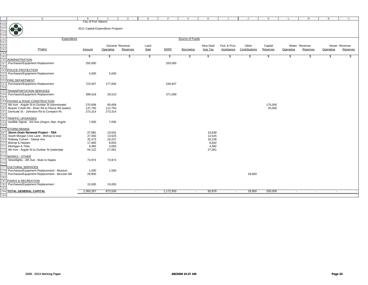|                                 | Α                                                | B                                | $\subset$ | D               | Е    | F                                     | G               | H        |                          | J             | K        | L                        | M             | $\,$ N           | $\circ$       |
|---------------------------------|--------------------------------------------------|----------------------------------|-----------|-----------------|------|---------------------------------------|-----------------|----------|--------------------------|---------------|----------|--------------------------|---------------|------------------|---------------|
| 235                             |                                                  | City of Port Alberni             |           |                 |      |                                       |                 |          |                          |               |          |                          |               |                  |               |
|                                 | <b>OF 33</b>                                     | 2011 Capital Expenditure Program |           |                 |      |                                       |                 |          |                          |               |          |                          |               |                  |               |
|                                 |                                                  |                                  |           |                 |      |                                       |                 |          |                          |               |          |                          |               |                  |               |
| 236<br>237<br>238<br>239<br>240 |                                                  |                                  |           |                 |      |                                       |                 |          |                          |               |          |                          |               |                  |               |
|                                 |                                                  |                                  |           |                 |      |                                       | Source of Funds |          |                          |               |          |                          |               |                  |               |
|                                 | Expenditure                                      |                                  |           |                 |      |                                       |                 |          |                          |               |          |                          |               |                  |               |
| 241                             |                                                  |                                  |           |                 |      |                                       |                 |          |                          |               |          |                          |               |                  |               |
| 242                             |                                                  |                                  |           | General Revenue | Land |                                       |                 | New Deal | Fed. & Prov.             | Other         | Capital  |                          | Water Revenue |                  | Sewer Revenue |
| $\frac{243}{244}$               | Project                                          | Amount                           | Operating | Reserves        | Sale | <b>ERRF</b>                           | Borrowing       | Gas Tax  | Assistance               | Contributions | Reserves | Operating                | Reserves      | Operating        | Reserves      |
|                                 |                                                  |                                  | \$        | \$.             |      | \$.                                   |                 |          |                          | Ŝ,            |          | -S                       | \$            | \$               | \$            |
| 245                             | 246 ADMINISTRATION                               | \$                               |           |                 | \$   |                                       | \$              | \$       | \$                       |               | \$       |                          |               |                  |               |
|                                 |                                                  | 255,000                          |           |                 |      | 255,000                               |                 |          |                          |               |          |                          |               |                  |               |
| 247                             | Purchases/Equipment Replacement                  |                                  |           |                 |      |                                       |                 |          |                          |               |          |                          |               |                  |               |
| 248                             |                                                  |                                  |           |                 |      |                                       |                 |          |                          |               |          |                          |               |                  |               |
| 249                             | POLICE PROTECTION                                |                                  |           |                 |      |                                       |                 |          |                          |               |          |                          |               |                  |               |
| 250                             | Purchases/Equipment Replacement                  | 5,000                            | 5,000     |                 |      |                                       |                 |          |                          |               |          |                          |               |                  |               |
| 251                             | FIRE DEPARTMENT                                  |                                  |           |                 |      |                                       |                 |          |                          |               |          |                          |               |                  |               |
| 252                             | Purchases/Equipment Replacement                  | 723,947                          | 177,000   |                 |      | 546,947                               |                 |          |                          |               |          |                          |               |                  |               |
| 253                             |                                                  |                                  |           |                 |      |                                       |                 |          |                          |               |          |                          |               |                  |               |
| 254<br>255                      | <b>TRANSPORTATION SERVICES</b>                   |                                  |           |                 |      |                                       |                 |          |                          |               |          |                          |               |                  |               |
|                                 | Purchases/Equipment Replacement                  |                                  | 28,510    |                 |      | 371,008                               |                 |          |                          |               |          |                          |               |                  |               |
| 256                             |                                                  | 399,518                          |           |                 |      |                                       |                 |          |                          |               |          |                          |               |                  |               |
| 257                             | 258 PAVING & ROAD CONSTRUCTION                   |                                  |           |                 |      |                                       |                 |          |                          |               |          |                          |               |                  |               |
| 259                             | 6th Ave - Argyle St to Dunbar St (storm/water)   | 270,608                          | 95,608    |                 |      |                                       |                 |          |                          |               | 175,000  |                          |               |                  |               |
| 260                             | Beaver Creek Rd - River Rd to Pierce Rd (water)  | 137,750                          | 112,750   |                 |      |                                       |                 |          |                          |               | 25,000   |                          |               |                  |               |
| 261                             | Gertrude St - Johnston Rd to Compton Rc          | 273,314                          | 273,314   |                 |      |                                       |                 |          |                          |               |          |                          |               |                  |               |
| 262                             |                                                  |                                  |           |                 |      |                                       |                 |          |                          |               |          |                          |               |                  |               |
| 263                             | <b>TRAFFIC UPGRADES</b>                          |                                  |           |                 |      |                                       |                 |          |                          |               |          |                          |               |                  |               |
|                                 | 264 Audible Signal - 3rd Ave (Angus; Mar; Argyle | 7,000                            | 7,000     |                 |      |                                       |                 |          |                          |               |          |                          |               |                  |               |
| 265                             |                                                  |                                  |           |                 |      |                                       |                 |          |                          |               |          |                          |               |                  |               |
|                                 | 266 STORM DRAINS                                 |                                  |           |                 |      |                                       |                 |          |                          |               |          |                          |               |                  |               |
| 267                             | Storm Drain Renewal Project - TBA                | 27,061                           | 13,531    |                 |      |                                       |                 | 13,530   |                          |               |          |                          |               |                  |               |
|                                 | 268 South Morgan Cres Lane - Bishop to east      | 27,050                           | 13,525    |                 |      |                                       |                 | 13,525   |                          |               |          |                          |               |                  |               |
|                                 | 269 Railway Culvert - Stamp Ave                  | 32,473                           | 16,237    |                 |      |                                       |                 | 16,236   |                          |               |          |                          |               |                  |               |
|                                 | 270 Bishop & Haslam                              | 17,665                           | 8,833     |                 |      |                                       |                 | 8,832    |                          |               |          |                          |               |                  |               |
|                                 | 271 Michigan & Tebo                              | 9,385                            | 4,693     |                 |      |                                       |                 | 4,692    |                          |               |          |                          |               |                  |               |
|                                 | 272 6th Ave - Argyle St to Dunbar St (water/ptp  | 54,122                           | 27,061    |                 |      |                                       |                 | 27,061   |                          |               |          |                          |               |                  |               |
| 273                             |                                                  |                                  |           |                 |      |                                       |                 |          |                          |               |          |                          |               |                  |               |
| 274                             | <b>WORKS - OTHER</b>                             |                                  |           |                 |      |                                       |                 |          |                          |               |          |                          |               |                  |               |
| 275                             | Streetlights - 4th Ave - Bute to Napier          | 73,974                           | 73,974    |                 |      |                                       |                 |          |                          |               |          |                          |               |                  |               |
| 276                             |                                                  |                                  |           |                 |      |                                       |                 |          |                          |               |          |                          |               |                  |               |
|                                 | 277 CULTURAL SERVICES                            |                                  |           |                 |      |                                       |                 |          |                          |               |          |                          |               |                  |               |
|                                 | 278 Purchases/Equipment Replacement - Museum     |                                  | 1,500     |                 |      |                                       |                 |          |                          |               |          |                          |               |                  |               |
|                                 | Purchases/Equipment Replacement - McLean Mil     | 1,500<br>29,900                  |           |                 |      |                                       |                 |          |                          | 29,900        |          |                          |               |                  |               |
| 279                             |                                                  |                                  |           |                 |      |                                       |                 |          |                          |               |          |                          |               |                  |               |
| 28C                             | PARKS & RECREATION                               |                                  |           |                 |      |                                       |                 |          |                          |               |          |                          |               |                  |               |
| 281                             | Purchases/Equipment Replacement                  | 15,000                           | 15,000    |                 |      |                                       |                 |          |                          |               |          |                          |               |                  |               |
| 282<br>283                      |                                                  |                                  |           |                 |      |                                       |                 |          |                          |               |          |                          |               |                  |               |
|                                 | 284 TOTAL GENERAL CAPITAL                        | 2,360,267                        | 873,536   | $\sim$          |      | 1,172,955<br>$\overline{\phantom{a}}$ | $\overline{a}$  | 83,876   | $\overline{\phantom{a}}$ | 29,900        | 200,000  | $\overline{\phantom{a}}$ |               | $\sim$<br>$\sim$ |               |
|                                 |                                                  |                                  |           |                 |      |                                       |                 |          |                          |               |          |                          |               |                  |               |
| 285                             |                                                  |                                  |           |                 |      |                                       |                 |          |                          |               |          |                          |               |                  |               |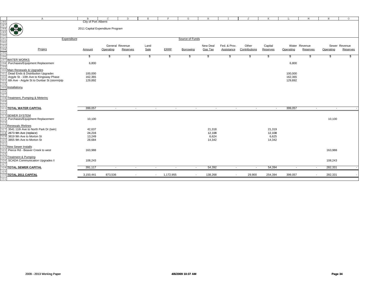|            | $\mathbb{A}$                                                                                                       | $\mathbf{B}$                     | $\mathsf{C}$ | D                        | $\,$ E | F                        | G                        | H        | $^{\rm T}$               | J             | K        | L                        | M                        | $\, {\rm N}$ | $\circ$       |
|------------|--------------------------------------------------------------------------------------------------------------------|----------------------------------|--------------|--------------------------|--------|--------------------------|--------------------------|----------|--------------------------|---------------|----------|--------------------------|--------------------------|--------------|---------------|
|            |                                                                                                                    | City of Port Alberni             |              |                          |        |                          |                          |          |                          |               |          |                          |                          |              |               |
|            |                                                                                                                    |                                  |              |                          |        |                          |                          |          |                          |               |          |                          |                          |              |               |
|            |                                                                                                                    | 2011 Capital Expenditure Program |              |                          |        |                          |                          |          |                          |               |          |                          |                          |              |               |
|            |                                                                                                                    |                                  |              |                          |        |                          |                          |          |                          |               |          |                          |                          |              |               |
|            |                                                                                                                    |                                  |              |                          |        |                          |                          |          |                          |               |          |                          |                          |              |               |
|            |                                                                                                                    |                                  |              |                          |        |                          |                          |          |                          |               |          |                          |                          |              |               |
|            | Expenditure                                                                                                        |                                  |              |                          |        |                          | Source of Funds          |          |                          |               |          |                          |                          |              |               |
|            | 286<br>287<br>289<br>289<br>291<br>291<br>295<br>295<br>295<br>296<br>297<br>296<br>297<br>298<br>Purchases/Equipr |                                  |              |                          |        |                          |                          |          |                          |               |          |                          |                          |              |               |
|            |                                                                                                                    |                                  |              |                          |        |                          |                          |          |                          |               |          |                          |                          |              |               |
|            |                                                                                                                    |                                  |              | General Revenue          | Land   |                          |                          | New Deal | Fed. & Prov.             | Other         | Capital  |                          | Water Revenue            |              | Sewer Revenue |
|            | Project                                                                                                            | Amount                           | Operating    | Reserves                 | Sale   | <b>ERRF</b>              | Borrowing                | Gas Tax  | Assistance               | Contributions | Reserves | Operating                | <b>Reserves</b>          | Operating    | Reserves      |
|            |                                                                                                                    |                                  |              |                          |        |                          |                          |          |                          |               |          |                          |                          |              |               |
|            |                                                                                                                    |                                  |              |                          |        |                          |                          |          |                          |               |          |                          |                          |              |               |
|            |                                                                                                                    | \$                               | \$           | \$                       | \$     | -S                       | \$                       | \$       | \$                       | \$            | \$       | \$                       | \$.                      | £.           |               |
|            |                                                                                                                    |                                  |              |                          |        |                          |                          |          |                          |               |          |                          |                          |              |               |
|            | Purchases/Equipment Replacement                                                                                    | 6,800                            |              |                          |        |                          |                          |          |                          |               |          | 6,800                    |                          |              |               |
|            |                                                                                                                    |                                  |              |                          |        |                          |                          |          |                          |               |          |                          |                          |              |               |
| 299        |                                                                                                                    |                                  |              |                          |        |                          |                          |          |                          |               |          |                          |                          |              |               |
|            | 300 Main Renewals & Upgrades                                                                                       |                                  |              |                          |        |                          |                          |          |                          |               |          |                          |                          |              |               |
| 301        | Dead Ends & Distribution Upgrades                                                                                  | 100,000                          |              |                          |        |                          |                          |          |                          |               |          | 100,000                  |                          |              |               |
| 302        | Argyle St - 10th Ave to Kingsway Phase                                                                             | 162,365                          |              |                          |        |                          |                          |          |                          |               |          | 162,365                  |                          |              |               |
|            | 303 6th Ave - Argyle St to Dunbar St (storm/ptp                                                                    | 129,892                          |              |                          |        |                          |                          |          |                          |               |          | 129,892                  |                          |              |               |
|            |                                                                                                                    |                                  |              |                          |        |                          |                          |          |                          |               |          |                          |                          |              |               |
| 304        |                                                                                                                    |                                  |              |                          |        |                          |                          |          |                          |               |          |                          |                          |              |               |
|            | 305 Installations                                                                                                  |                                  |              |                          |        |                          |                          |          |                          |               |          |                          |                          |              |               |
|            |                                                                                                                    |                                  |              |                          |        |                          |                          |          |                          |               |          |                          |                          |              |               |
| 306<br>307 |                                                                                                                    |                                  |              |                          |        |                          |                          |          |                          |               |          |                          |                          |              |               |
|            |                                                                                                                    |                                  |              |                          |        |                          |                          |          |                          |               |          |                          |                          |              |               |
| 308        | Treatment, Pumping & Metering                                                                                      |                                  |              |                          |        |                          |                          |          |                          |               |          |                          |                          |              |               |
|            |                                                                                                                    |                                  |              |                          |        |                          |                          |          |                          |               |          |                          |                          |              |               |
| 309<br>310 |                                                                                                                    |                                  |              |                          |        |                          |                          |          |                          |               |          |                          |                          |              |               |
|            | <b>311 TOTAL WATER CAPITAL</b>                                                                                     | 399,057                          |              |                          |        |                          |                          |          |                          |               |          | 399,057                  |                          |              |               |
|            |                                                                                                                    |                                  | $\sim$       | $\sim$                   | $\sim$ | $\sim$                   | $\sim$                   | $\sim$   | $\sim$                   | $\sim$        | $\sim$   |                          | $\sim$                   | $\sim$       |               |
| 312        |                                                                                                                    |                                  |              |                          |        |                          |                          |          |                          |               |          |                          |                          |              |               |
| 313        | <b>SEWER SYSTEM</b>                                                                                                |                                  |              |                          |        |                          |                          |          |                          |               |          |                          |                          |              |               |
|            | 314 Purchases/Equipment Replacement                                                                                | 10,100                           |              |                          |        |                          |                          |          |                          |               |          |                          |                          | 10,100       |               |
|            |                                                                                                                    |                                  |              |                          |        |                          |                          |          |                          |               |          |                          |                          |              |               |
|            |                                                                                                                    |                                  |              |                          |        |                          |                          |          |                          |               |          |                          |                          |              |               |
|            | 316 Renewals / Relines                                                                                             |                                  |              |                          |        |                          |                          |          |                          |               |          |                          |                          |              |               |
| 317        | 3541 11th Ave to North Park Dr (twin)                                                                              | 42,637                           |              |                          |        |                          |                          | 21,318   |                          |               | 21,319   |                          |                          |              |               |
| 318        | 2673 9th Ave (replace)                                                                                             | 24,216                           |              |                          |        |                          |                          | 12,108   |                          |               | 12,108   |                          |                          |              |               |
|            | 3819 9th Ave to Morton St                                                                                          | 13,249                           |              |                          |        |                          |                          | 6,624    |                          |               | 6,625    |                          |                          |              |               |
|            |                                                                                                                    |                                  |              |                          |        |                          |                          |          |                          |               |          |                          |                          |              |               |
| 320        | 3855 9th Ave to Morton St                                                                                          | 28,684                           |              |                          |        |                          |                          | 14,342   |                          |               | 14,342   |                          |                          |              |               |
| 321        |                                                                                                                    |                                  |              |                          |        |                          |                          |          |                          |               |          |                          |                          |              |               |
| 322        | New Sewer Installs                                                                                                 |                                  |              |                          |        |                          |                          |          |                          |               |          |                          |                          |              |               |
|            | Pierce Rd - Beaver Creek to west                                                                                   | 163,988                          |              |                          |        |                          |                          |          |                          |               |          |                          |                          | 163,988      |               |
| 323        |                                                                                                                    |                                  |              |                          |        |                          |                          |          |                          |               |          |                          |                          |              |               |
| 324        |                                                                                                                    |                                  |              |                          |        |                          |                          |          |                          |               |          |                          |                          |              |               |
| 325        | Treatment & Pumping                                                                                                |                                  |              |                          |        |                          |                          |          |                          |               |          |                          |                          |              |               |
|            | <b>SCADA Communication Upgrades II</b>                                                                             | 108,243                          |              |                          |        |                          |                          |          |                          |               |          |                          |                          | 108,243      |               |
| 327        |                                                                                                                    |                                  |              |                          |        |                          |                          |          |                          |               |          |                          |                          |              |               |
|            | 328 TOTAL SEWER CAPITAL                                                                                            | 391,117                          |              |                          |        | $\overline{\phantom{a}}$ |                          | 54,392   |                          |               | 54,394   | $\overline{\phantom{a}}$ |                          | 282,331      |               |
|            |                                                                                                                    |                                  | $\sim$       | $\overline{\phantom{a}}$ | $\sim$ |                          | $\sim$                   |          | $\sim$                   | $\sim$        |          |                          | $\sim$                   |              |               |
| 329        |                                                                                                                    |                                  |              |                          |        |                          |                          |          |                          |               |          |                          |                          |              |               |
|            | 330 TOTAL 2011 CAPITAL                                                                                             | 3,150,441                        | 873,536      |                          | $\sim$ | 1,172,955                | $\overline{\phantom{a}}$ | 138,268  | $\overline{\phantom{a}}$ | 29,900        | 254,394  | 399,057                  | $\overline{\phantom{a}}$ | 282,331      |               |
| 331        |                                                                                                                    |                                  |              |                          |        |                          |                          |          |                          |               |          |                          |                          |              |               |
|            |                                                                                                                    |                                  |              |                          |        |                          |                          |          |                          |               |          |                          |                          |              |               |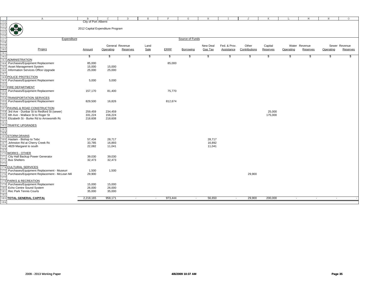|                                                                           | $\mathbb{A}$                                 | $\mathbf{B}$                     | $\mathsf{C}$ | D               | $\mathbf E$ | F           | G                        | H        | T            | J             | K        | L                        | M             | $\, {\rm N}$ | $\circ$       |
|---------------------------------------------------------------------------|----------------------------------------------|----------------------------------|--------------|-----------------|-------------|-------------|--------------------------|----------|--------------|---------------|----------|--------------------------|---------------|--------------|---------------|
| 332<br>333<br>334<br>335<br>336<br>336<br>337<br>338<br>339<br>340<br>341 |                                              | City of Port Alberni             |              |                 |             |             |                          |          |              |               |          |                          |               |              |               |
|                                                                           |                                              |                                  |              |                 |             |             |                          |          |              |               |          |                          |               |              |               |
|                                                                           | <b>33 88</b>                                 | 2012 Capital Expenditure Program |              |                 |             |             |                          |          |              |               |          |                          |               |              |               |
|                                                                           |                                              |                                  |              |                 |             |             |                          |          |              |               |          |                          |               |              |               |
|                                                                           |                                              |                                  |              |                 |             |             |                          |          |              |               |          |                          |               |              |               |
|                                                                           | Expenditure                                  |                                  |              |                 |             |             | Source of Funds          |          |              |               |          |                          |               |              |               |
|                                                                           |                                              |                                  |              |                 |             |             |                          |          |              |               |          |                          |               |              |               |
|                                                                           |                                              |                                  |              | General Revenue | Land        |             |                          | New Deal | Fed. & Prov. | Other         | Capital  |                          | Water Revenue |              | Sewer Revenue |
|                                                                           |                                              |                                  |              |                 |             |             |                          |          |              |               |          |                          |               |              |               |
|                                                                           | Project                                      | Amount                           | Operating    | Reserves        | Sale        | <b>ERRF</b> | Borrowing                | Gas Tax  | Assistance   | Contributions | Reserves | Operating                | Reserves      | Operating    | Reserves      |
|                                                                           |                                              |                                  |              |                 |             |             |                          |          |              |               |          |                          |               |              |               |
|                                                                           |                                              | \$                               | \$           | SS.             | \$          | S,          | S                        | S.       | -86          | S.            | \$       | \$                       | -S            | \$.          |               |
| 343                                                                       | <b>ADMINISTRATION</b>                        |                                  |              |                 |             |             |                          |          |              |               |          |                          |               |              |               |
| 344                                                                       | Purchases/Equipment Replacement              | 85,000                           |              |                 |             | 85,000      |                          |          |              |               |          |                          |               |              |               |
| 345                                                                       | Asset Management System                      | 15,000                           | 15,000       |                 |             |             |                          |          |              |               |          |                          |               |              |               |
| 346                                                                       | Information Services Office Upgrade          | 25,000                           | 25,000       |                 |             |             |                          |          |              |               |          |                          |               |              |               |
| 347                                                                       |                                              |                                  |              |                 |             |             |                          |          |              |               |          |                          |               |              |               |
|                                                                           | 348 POLICE PROTECTION                        |                                  |              |                 |             |             |                          |          |              |               |          |                          |               |              |               |
| 349                                                                       | Purchases/Equipment Replacement              | 5,000                            | 5,000        |                 |             |             |                          |          |              |               |          |                          |               |              |               |
|                                                                           |                                              |                                  |              |                 |             |             |                          |          |              |               |          |                          |               |              |               |
| 351                                                                       | FIRE DEPARTMENT                              |                                  |              |                 |             |             |                          |          |              |               |          |                          |               |              |               |
| 352                                                                       | Purchases/Equipment Replacement              | 157,170                          | 81,400       |                 |             | 75,770      |                          |          |              |               |          |                          |               |              |               |
|                                                                           |                                              |                                  |              |                 |             |             |                          |          |              |               |          |                          |               |              |               |
|                                                                           | <b>TRANSPORTATION SERVICES</b>               |                                  |              |                 |             |             |                          |          |              |               |          |                          |               |              |               |
| 354                                                                       |                                              |                                  |              |                 |             |             |                          |          |              |               |          |                          |               |              |               |
| 355                                                                       | Purchases/Equipment Replacement              | 829,500                          | 16,826       |                 |             | 812,674     |                          |          |              |               |          |                          |               |              |               |
|                                                                           |                                              |                                  |              |                 |             |             |                          |          |              |               |          |                          |               |              |               |
| 357                                                                       | PAVING & ROAD CONSTRUCTION                   |                                  |              |                 |             |             |                          |          |              |               |          |                          |               |              |               |
| 358                                                                       | 3rd Ave - Dunbar St to Redford St (sewer)    | 259,459                          | 234,459      |                 |             |             |                          |          |              |               | 25,000   |                          |               |              |               |
| 359                                                                       | 6th Ave - Wallace St to Roger St             | 331,224                          | 156,224      |                 |             |             |                          |          |              |               | 175,000  |                          |               |              |               |
| 360                                                                       | Elizabeth St - Burke Rd to Arrowsmith Rc     | 218,608                          | 218,608      |                 |             |             |                          |          |              |               |          |                          |               |              |               |
| 361                                                                       |                                              |                                  |              |                 |             |             |                          |          |              |               |          |                          |               |              |               |
| 362                                                                       | <b>TRAFFIC UPGRADES</b>                      |                                  |              |                 |             |             |                          |          |              |               |          |                          |               |              |               |
|                                                                           |                                              |                                  |              |                 |             |             |                          |          |              |               |          |                          |               |              |               |
| 363<br>364                                                                |                                              |                                  |              |                 |             |             |                          |          |              |               |          |                          |               |              |               |
| 365                                                                       | <b>STORM DRAINS</b>                          |                                  |              |                 |             |             |                          |          |              |               |          |                          |               |              |               |
| 366                                                                       | Haslam - Bishop to Tebo                      | 57,434                           | 28,717       |                 |             |             |                          | 28,717   |              |               |          |                          |               |              |               |
| 367                                                                       | Johnston Rd at Cherry Creek Rd               | 33,785                           | 16,893       |                 |             |             |                          | 16,892   |              |               |          |                          |               |              |               |
|                                                                           |                                              |                                  |              |                 |             |             |                          |          |              |               |          |                          |               |              |               |
| 368                                                                       | 4829 Margaret to south                       | 22,082                           | 11,041       |                 |             |             |                          | 11,041   |              |               |          |                          |               |              |               |
|                                                                           |                                              |                                  |              |                 |             |             |                          |          |              |               |          |                          |               |              |               |
|                                                                           | 370 WORKS - OTHER                            |                                  |              |                 |             |             |                          |          |              |               |          |                          |               |              |               |
| 371                                                                       | City Hall Backup Power Generator             | 39,030                           | 39,030       |                 |             |             |                          |          |              |               |          |                          |               |              |               |
| 372                                                                       | <b>Bus Shelters</b>                          | 32,473                           | 32,473       |                 |             |             |                          |          |              |               |          |                          |               |              |               |
| 373                                                                       |                                              |                                  |              |                 |             |             |                          |          |              |               |          |                          |               |              |               |
|                                                                           | <b>CULTURAL SERVICES</b>                     |                                  |              |                 |             |             |                          |          |              |               |          |                          |               |              |               |
|                                                                           | Purchases/Equipment Replacement - Museum     | 1,500                            | 1,500        |                 |             |             |                          |          |              |               |          |                          |               |              |               |
| 376                                                                       | Purchases/Equipment Replacement - McLean Mil | 29,900                           |              |                 |             |             |                          |          |              | 29,900        |          |                          |               |              |               |
|                                                                           |                                              |                                  |              |                 |             |             |                          |          |              |               |          |                          |               |              |               |
|                                                                           | 378 PARKS & RECREATION                       |                                  |              |                 |             |             |                          |          |              |               |          |                          |               |              |               |
| 379                                                                       | Purchases/Equipment Replacement              | 15,000                           | 15,000       |                 |             |             |                          |          |              |               |          |                          |               |              |               |
| 380                                                                       | Echo Centre Sound System                     | 26,000                           | 26,000       |                 |             |             |                          |          |              |               |          |                          |               |              |               |
|                                                                           | Rec Park Tennis Courts                       |                                  |              |                 |             |             |                          |          |              |               |          |                          |               |              |               |
| 381                                                                       |                                              | 35,000                           | 35,000       |                 |             |             |                          |          |              |               |          |                          |               |              |               |
| 382                                                                       |                                              |                                  |              |                 |             |             |                          |          |              |               |          |                          |               |              |               |
|                                                                           | <b>383 TOTAL GENERAL CAPITAL</b>             | 2,218,165                        | 958,171      |                 | $\sim$      | 973,444     | $\overline{\phantom{a}}$ | 56,650   | $\sim$       | 29,900        | 200,000  | $\overline{\phantom{a}}$ |               |              |               |
| 384                                                                       |                                              |                                  |              |                 |             |             |                          |          |              |               |          |                          |               |              |               |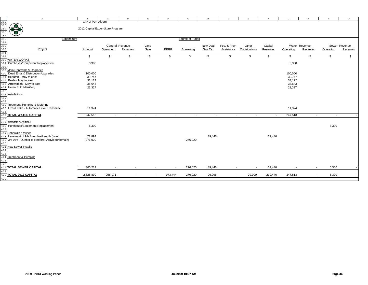|                                                                    | Α                                                  | $\, {\bf B}$                     | $\mathcal{C}$            | $\mathbb D$              | Ε                        | F.          | G               | H                        |                          | J                        | K        | L         | M              | $\, {\rm N}$             | $\circ$       |
|--------------------------------------------------------------------|----------------------------------------------------|----------------------------------|--------------------------|--------------------------|--------------------------|-------------|-----------------|--------------------------|--------------------------|--------------------------|----------|-----------|----------------|--------------------------|---------------|
|                                                                    |                                                    | City of Port Alberni             |                          |                          |                          |             |                 |                          |                          |                          |          |           |                |                          |               |
| 385<br>386<br>387<br>388<br>389<br>390<br>391<br>392<br>393<br>394 | 好好                                                 |                                  |                          |                          |                          |             |                 |                          |                          |                          |          |           |                |                          |               |
|                                                                    |                                                    | 2012 Capital Expenditure Program |                          |                          |                          |             |                 |                          |                          |                          |          |           |                |                          |               |
|                                                                    |                                                    |                                  |                          |                          |                          |             |                 |                          |                          |                          |          |           |                |                          |               |
|                                                                    | S                                                  |                                  |                          |                          |                          |             |                 |                          |                          |                          |          |           |                |                          |               |
|                                                                    | Expenditure                                        |                                  |                          |                          |                          |             | Source of Funds |                          |                          |                          |          |           |                |                          |               |
|                                                                    |                                                    |                                  |                          |                          |                          |             |                 |                          |                          |                          |          |           |                |                          |               |
|                                                                    |                                                    |                                  |                          | General Revenue          | Land                     |             |                 | New Deal                 | Fed. & Prov.             | Other                    | Capital  |           | Water Revenue  |                          | Sewer Revenue |
|                                                                    | Project                                            | <b>Amount</b>                    | Operating                | Reserves                 | Sale                     | <b>ERRF</b> | Borrowing       | Gas Tax                  | Assistance               | Contributions            | Reserves | Operating | Reserves       | Operating                | Reserves      |
|                                                                    |                                                    |                                  |                          |                          |                          |             |                 |                          |                          |                          |          |           |                |                          |               |
| 395                                                                |                                                    | \$                               | -\$                      | \$                       | \$                       | \$          | \$              | S.                       | \$                       | S.                       | \$       | \$        | -\$            | \$                       |               |
|                                                                    | 396 WATER WORKS                                    |                                  |                          |                          |                          |             |                 |                          |                          |                          |          |           |                |                          |               |
|                                                                    | 397 Purchases/Equipment Replacement                | 3,300                            |                          |                          |                          |             |                 |                          |                          |                          |          | 3,300     |                |                          |               |
| 398                                                                |                                                    |                                  |                          |                          |                          |             |                 |                          |                          |                          |          |           |                |                          |               |
|                                                                    | 399 Main Renewals & Upgrades                       |                                  |                          |                          |                          |             |                 |                          |                          |                          |          |           |                |                          |               |
|                                                                    | 400 Dead Ends & Distribution Upgrades              | 100,000                          |                          |                          |                          |             |                 |                          |                          |                          |          | 100,000   |                |                          |               |
|                                                                    | 401 Beaufort - May to east                         | 39,747                           |                          |                          |                          |             |                 |                          |                          |                          |          | 39,747    |                |                          |               |
|                                                                    | 402 Beale - May to east                            | 33,122                           |                          |                          |                          |             |                 |                          |                          |                          |          | 33,122    |                |                          |               |
|                                                                    | 403 Arrowsmith - May to east                       | 38,643                           |                          |                          |                          |             |                 |                          |                          |                          |          | 38,643    |                |                          |               |
| 404                                                                | Helen St to Merrifield                             | 21,327                           |                          |                          |                          |             |                 |                          |                          |                          |          | 21,327    |                |                          |               |
| 405                                                                |                                                    |                                  |                          |                          |                          |             |                 |                          |                          |                          |          |           |                |                          |               |
|                                                                    | 406 Installations                                  |                                  |                          |                          |                          |             |                 |                          |                          |                          |          |           |                |                          |               |
| 407                                                                |                                                    |                                  |                          |                          |                          |             |                 |                          |                          |                          |          |           |                |                          |               |
| 408                                                                |                                                    |                                  |                          |                          |                          |             |                 |                          |                          |                          |          |           |                |                          |               |
|                                                                    | 409 Treatment, Pumping & Metering                  |                                  |                          |                          |                          |             |                 |                          |                          |                          |          |           |                |                          |               |
|                                                                    | 410 Lizard Lake - Automatic Level Transmitter      | 11,374                           |                          |                          |                          |             |                 |                          |                          |                          |          | 11,374    |                |                          |               |
| 411                                                                |                                                    |                                  |                          |                          |                          |             |                 |                          |                          |                          |          |           |                |                          |               |
| 412                                                                | TOTAL WATER CAPITAL                                | 247,513                          | $\overline{\phantom{a}}$ | $\overline{\phantom{a}}$ | $\sim$                   | $\sim$      | $\sim$          | $\overline{\phantom{a}}$ | $\sim$                   | $\overline{\phantom{a}}$ | $\sim$   | 247,513   | $\sim$         | $\overline{\phantom{a}}$ |               |
|                                                                    |                                                    |                                  |                          |                          |                          |             |                 |                          |                          |                          |          |           |                |                          |               |
| 413                                                                |                                                    |                                  |                          |                          |                          |             |                 |                          |                          |                          |          |           |                |                          |               |
|                                                                    | 414 SEWER SYSTEM                                   |                                  |                          |                          |                          |             |                 |                          |                          |                          |          |           |                |                          |               |
| 415                                                                | Purchases/Equipment Replacement                    | 5,300                            |                          |                          |                          |             |                 |                          |                          |                          |          |           |                | 5,300                    |               |
| 416                                                                |                                                    |                                  |                          |                          |                          |             |                 |                          |                          |                          |          |           |                |                          |               |
|                                                                    | 417 Renewals / Relines                             |                                  |                          |                          |                          |             |                 |                          |                          |                          |          |           |                |                          |               |
|                                                                    | 418 Lane east of 9th Ave - Neill south (twin)      | 78,892                           |                          |                          |                          |             |                 | 39,446                   |                          |                          | 39,446   |           |                |                          |               |
|                                                                    | 419 3rd Ave - Dunbar to Redford (Argyle forcemain) | 276,020                          |                          |                          |                          |             | 276,020         |                          |                          |                          |          |           |                |                          |               |
| 420                                                                |                                                    |                                  |                          |                          |                          |             |                 |                          |                          |                          |          |           |                |                          |               |
|                                                                    | 421 New Sewer Installs                             |                                  |                          |                          |                          |             |                 |                          |                          |                          |          |           |                |                          |               |
| 422                                                                |                                                    |                                  |                          |                          |                          |             |                 |                          |                          |                          |          |           |                |                          |               |
| 423                                                                |                                                    |                                  |                          |                          |                          |             |                 |                          |                          |                          |          |           |                |                          |               |
|                                                                    | 424 Treatment & Pumping                            |                                  |                          |                          |                          |             |                 |                          |                          |                          |          |           |                |                          |               |
| 425                                                                |                                                    |                                  |                          |                          |                          |             |                 |                          |                          |                          |          |           |                |                          |               |
| 426                                                                |                                                    |                                  |                          |                          |                          |             |                 |                          |                          |                          |          |           |                |                          |               |
|                                                                    | 427 TOTAL SEWER CAPITAL                            | 360,212                          | $\sim$                   | $\sim$                   | $\sim$                   | $\sim$      | 276,020         | 39,446                   | $\overline{\phantom{a}}$ | $\sim$                   | 39,446   | $\sim$    | $\sim$         | 5,300                    |               |
| 428                                                                |                                                    |                                  |                          |                          |                          |             |                 |                          |                          |                          |          |           |                |                          |               |
|                                                                    | 429 TOTAL 2012 CAPITAL                             | 2,825,890                        | 958,171                  | $\overline{\phantom{a}}$ | $\overline{\phantom{a}}$ | 973,444     | 276,020         | 96,096                   | $\overline{\phantom{a}}$ | 29,900                   | 239,446  | 247,513   | $\blacksquare$ | 5,300                    |               |
| 430                                                                |                                                    |                                  |                          |                          |                          |             |                 |                          |                          |                          |          |           |                |                          |               |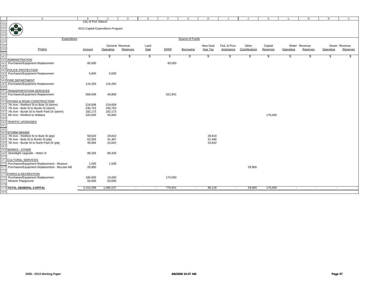|                                                                                                                                                                         | $\mathbb{A}$                                 | B                                | C               | D                        | E      | F           | G               | H        | I.           | J             | K        | L                        | M                        | N         | $\circ$       |  |
|-------------------------------------------------------------------------------------------------------------------------------------------------------------------------|----------------------------------------------|----------------------------------|-----------------|--------------------------|--------|-------------|-----------------|----------|--------------|---------------|----------|--------------------------|--------------------------|-----------|---------------|--|
| $\begin{array}{r} 431 \\ 432 \\ \hline 433 \\ \hline 434 \\ \hline 435 \\ \hline 436 \\ \hline 437 \\ \hline 438 \\ \hline 439 \\ \hline 440 \\ \hline 441 \end{array}$ |                                              | City of Port Alberni             |                 |                          |        |             |                 |          |              |               |          |                          |                          |           |               |  |
|                                                                                                                                                                         | (1)                                          |                                  |                 |                          |        |             |                 |          |              |               |          |                          |                          |           |               |  |
|                                                                                                                                                                         |                                              | 2013 Capital Expenditure Program |                 |                          |        |             |                 |          |              |               |          |                          |                          |           |               |  |
|                                                                                                                                                                         | 38                                           |                                  |                 |                          |        |             |                 |          |              |               |          |                          |                          |           |               |  |
|                                                                                                                                                                         |                                              |                                  |                 |                          |        |             |                 |          |              |               |          |                          |                          |           |               |  |
|                                                                                                                                                                         | Expenditure                                  |                                  |                 |                          |        |             | Source of Funds |          |              |               |          |                          |                          |           |               |  |
|                                                                                                                                                                         |                                              |                                  |                 |                          |        |             |                 |          |              |               |          |                          |                          |           |               |  |
|                                                                                                                                                                         |                                              |                                  | General Revenue |                          | Land   |             |                 | New Deal | Fed. & Prov. | Other         | Capital  |                          | Water Revenue            |           | Sewer Revenue |  |
|                                                                                                                                                                         | Project                                      | Amount                           | Operating       | Reserves                 | Sale   | <b>ERRF</b> | Borrowing       | Gas Tax  | Assistance   | Contributions | Reserves | Operating                | Reserves                 | Operating | Reserves      |  |
|                                                                                                                                                                         |                                              |                                  |                 |                          |        |             |                 |          |              |               |          |                          |                          |           |               |  |
|                                                                                                                                                                         |                                              | \$                               | \$              | \$                       | \$     | \$          | \$              | \$       | \$           | \$            | \$       | \$                       | \$                       | \$        |               |  |
| 442                                                                                                                                                                     | <b>ADMINISTRATION</b>                        |                                  |                 |                          |        |             |                 |          |              |               |          |                          |                          |           |               |  |
|                                                                                                                                                                         | Purchases/Equipment Replacement              | 85,000                           |                 |                          |        | 85,000      |                 |          |              |               |          |                          |                          |           |               |  |
| 443                                                                                                                                                                     |                                              |                                  |                 |                          |        |             |                 |          |              |               |          |                          |                          |           |               |  |
| 444                                                                                                                                                                     |                                              |                                  |                 |                          |        |             |                 |          |              |               |          |                          |                          |           |               |  |
| 445                                                                                                                                                                     | POLICE PROTECTION                            |                                  |                 |                          |        |             |                 |          |              |               |          |                          |                          |           |               |  |
| 446                                                                                                                                                                     | Purchases/Equipment Replacement              | 5,000                            | 5,000           |                          |        |             |                 |          |              |               |          |                          |                          |           |               |  |
| 447                                                                                                                                                                     |                                              |                                  |                 |                          |        |             |                 |          |              |               |          |                          |                          |           |               |  |
| 448                                                                                                                                                                     | <b>FIRE DEPARTMENT</b>                       |                                  |                 |                          |        |             |                 |          |              |               |          |                          |                          |           |               |  |
| 449                                                                                                                                                                     | Purchases/Equipment Replacement              | 116,250                          | 116,250         |                          |        |             |                 |          |              |               |          |                          |                          |           |               |  |
| 450                                                                                                                                                                     |                                              |                                  |                 |                          |        |             |                 |          |              |               |          |                          |                          |           |               |  |
| 451<br>452                                                                                                                                                              | <b>TRANSPORTATION SERVICES</b>               |                                  |                 |                          |        |             |                 |          |              |               |          |                          |                          |           |               |  |
|                                                                                                                                                                         | Purchases/Equipment Replacement              | 568,649                          | 46,808          |                          |        | 521,841     |                 |          |              |               |          |                          |                          |           |               |  |
| 453                                                                                                                                                                     |                                              |                                  |                 |                          |        |             |                 |          |              |               |          |                          |                          |           |               |  |
| 454                                                                                                                                                                     | PAVING & ROAD CONSTRUCTION                   |                                  |                 |                          |        |             |                 |          |              |               |          |                          |                          |           |               |  |
| 455                                                                                                                                                                     | 7th Ave - Redford St to Bute St (storm)      | 218,608                          | 218,608         |                          |        |             |                 |          |              |               |          |                          |                          |           |               |  |
| 456                                                                                                                                                                     | 7th Ave - Bute St to Burde St (storm)        | 230,753                          | 230,753         |                          |        |             |                 |          |              |               |          |                          |                          |           |               |  |
| 457                                                                                                                                                                     | 7th Ave - Burde St to North Park Dr (storm)  | 182,173                          | 182,173         |                          |        |             |                 |          |              |               |          |                          |                          |           |               |  |
| 458                                                                                                                                                                     | 6th Ave - Redford to Wallace                 | 220,000                          | 45,000          |                          |        |             |                 |          |              |               | 175,000  |                          |                          |           |               |  |
|                                                                                                                                                                         |                                              |                                  |                 |                          |        |             |                 |          |              |               |          |                          |                          |           |               |  |
| 460                                                                                                                                                                     | <b>TRAFFIC UPGRADES</b>                      |                                  |                 |                          |        |             |                 |          |              |               |          |                          |                          |           |               |  |
| 461                                                                                                                                                                     |                                              |                                  |                 |                          |        |             |                 |          |              |               |          |                          |                          |           |               |  |
| 462                                                                                                                                                                     |                                              |                                  |                 |                          |        |             |                 |          |              |               |          |                          |                          |           |               |  |
| 463                                                                                                                                                                     | <b>STORM DRAINS</b>                          |                                  |                 |                          |        |             |                 |          |              |               |          |                          |                          |           |               |  |
| 464                                                                                                                                                                     | 7th Ave - Redford St to Bute St (ptp)        | 59,620                           | 29,810          |                          |        |             |                 | 29,810   |              |               |          |                          |                          |           |               |  |
| 465                                                                                                                                                                     | 7th Ave - Bute St to Burde St (ptp)          | 62,933                           | 31,467          |                          |        |             |                 | 31,466   |              |               |          |                          |                          |           |               |  |
| 466                                                                                                                                                                     | 7th Ave - Burde St to North Park Dr (ptp)    | 49,684                           | 24,842          |                          |        |             |                 | 24,842   |              |               |          |                          |                          |           |               |  |
| 46'                                                                                                                                                                     |                                              |                                  |                 |                          |        |             |                 |          |              |               |          |                          |                          |           |               |  |
| 468                                                                                                                                                                     | <b>WORKS - OTHER</b>                         |                                  |                 |                          |        |             |                 |          |              |               |          |                          |                          |           |               |  |
|                                                                                                                                                                         | Streetlight Upgrade - Helen St               | 88,326                           | 88,326          |                          |        |             |                 |          |              |               |          |                          |                          |           |               |  |
| 469                                                                                                                                                                     |                                              |                                  |                 |                          |        |             |                 |          |              |               |          |                          |                          |           |               |  |
| 470                                                                                                                                                                     |                                              |                                  |                 |                          |        |             |                 |          |              |               |          |                          |                          |           |               |  |
|                                                                                                                                                                         | 471 CULTURAL SERVICES                        |                                  |                 |                          |        |             |                 |          |              |               |          |                          |                          |           |               |  |
| 472                                                                                                                                                                     | Purchases/Equipment Replacement - Museum     | 1,500                            | 1,500           |                          |        |             |                 |          |              |               |          |                          |                          |           |               |  |
| 473                                                                                                                                                                     | Purchases/Equipment Replacement - McLean Mil | 29,900                           |                 |                          |        |             |                 |          |              | 29,900        |          |                          |                          |           |               |  |
| 474                                                                                                                                                                     |                                              |                                  |                 |                          |        |             |                 |          |              |               |          |                          |                          |           |               |  |
| 475                                                                                                                                                                     | <b>PARKS &amp; RECREATION</b>                |                                  |                 |                          |        |             |                 |          |              |               |          |                          |                          |           |               |  |
| 476                                                                                                                                                                     | Purchases/Equipment Replacement              | 185,000                          | 15,000          |                          |        | 170,000     |                 |          |              |               |          |                          |                          |           |               |  |
| 477                                                                                                                                                                     | Weaver Playground                            | 50,000                           | 50,000          |                          |        |             |                 |          |              |               |          |                          |                          |           |               |  |
|                                                                                                                                                                         |                                              |                                  |                 |                          |        |             |                 |          |              |               |          |                          |                          |           |               |  |
|                                                                                                                                                                         | 479 TOTAL GENERAL CAPITAL                    | 2,153,396                        | 1,085,537       | $\overline{\phantom{a}}$ | $\sim$ | 776,841     | $\sim$          | 86,118   | $\sim$       | 29,900        | 175,000  | $\overline{\phantom{a}}$ | $\overline{\phantom{a}}$ | $\sim$    |               |  |
| 480                                                                                                                                                                     |                                              |                                  |                 |                          |        |             |                 |          |              |               |          |                          |                          |           |               |  |